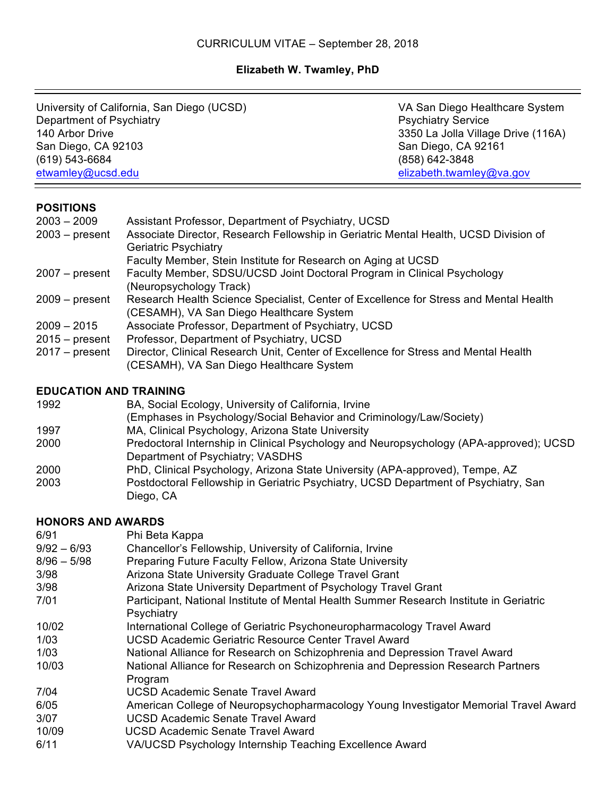# **Elizabeth W. Twamley, PhD**

| University of California, San Diego (UCSD) |                                                                                                                                             | VA San Diego Healthcare System     |  |  |  |
|--------------------------------------------|---------------------------------------------------------------------------------------------------------------------------------------------|------------------------------------|--|--|--|
| Department of Psychiatry                   |                                                                                                                                             | <b>Psychiatry Service</b>          |  |  |  |
| 140 Arbor Drive                            |                                                                                                                                             | 3350 La Jolla Village Drive (116A) |  |  |  |
| San Diego, CA 92103                        |                                                                                                                                             | San Diego, CA 92161                |  |  |  |
| (619) 543-6684                             |                                                                                                                                             | (858) 642-3848                     |  |  |  |
| etwamley@ucsd.edu                          |                                                                                                                                             | elizabeth.twamley@va.gov           |  |  |  |
|                                            |                                                                                                                                             |                                    |  |  |  |
| <b>POSITIONS</b>                           |                                                                                                                                             |                                    |  |  |  |
| $2003 - 2009$                              | Assistant Professor, Department of Psychiatry, UCSD<br>Associate Director, Research Fellowship in Geriatric Mental Health, UCSD Division of |                                    |  |  |  |
| $2003 - present$                           |                                                                                                                                             |                                    |  |  |  |
|                                            | <b>Geriatric Psychiatry</b><br>Faculty Member, Stein Institute for Research on Aging at UCSD                                                |                                    |  |  |  |
| $2007 - present$                           | Faculty Member, SDSU/UCSD Joint Doctoral Program in Clinical Psychology                                                                     |                                    |  |  |  |
|                                            | (Neuropsychology Track)                                                                                                                     |                                    |  |  |  |
| $2009 - present$                           | Research Health Science Specialist, Center of Excellence for Stress and Mental Health                                                       |                                    |  |  |  |
|                                            | (CESAMH), VA San Diego Healthcare System                                                                                                    |                                    |  |  |  |
| $2009 - 2015$                              | Associate Professor, Department of Psychiatry, UCSD                                                                                         |                                    |  |  |  |
| $2015 - present$                           | Professor, Department of Psychiatry, UCSD                                                                                                   |                                    |  |  |  |
| $2017 - present$                           | Director, Clinical Research Unit, Center of Excellence for Stress and Mental Health                                                         |                                    |  |  |  |
|                                            | (CESAMH), VA San Diego Healthcare System                                                                                                    |                                    |  |  |  |
| <b>EDUCATION AND TRAINING</b>              |                                                                                                                                             |                                    |  |  |  |
| 1992                                       | BA, Social Ecology, University of California, Irvine                                                                                        |                                    |  |  |  |
|                                            | (Emphases in Psychology/Social Behavior and Criminology/Law/Society)                                                                        |                                    |  |  |  |
| 1997                                       | MA, Clinical Psychology, Arizona State University                                                                                           |                                    |  |  |  |
| 2000                                       | Predoctoral Internship in Clinical Psychology and Neuropsychology (APA-approved); UCSD                                                      |                                    |  |  |  |
|                                            | Department of Psychiatry; VASDHS                                                                                                            |                                    |  |  |  |
| 2000                                       | PhD, Clinical Psychology, Arizona State University (APA-approved), Tempe, AZ                                                                |                                    |  |  |  |
| 2003                                       | Postdoctoral Fellowship in Geriatric Psychiatry, UCSD Department of Psychiatry, San                                                         |                                    |  |  |  |
|                                            | Diego, CA                                                                                                                                   |                                    |  |  |  |
| <b>HONORS AND AWARDS</b>                   |                                                                                                                                             |                                    |  |  |  |
| 6/91                                       | Phi Beta Kappa                                                                                                                              |                                    |  |  |  |
| $9/92 - 6/93$                              | Chancellor's Fellowship, University of California, Irvine                                                                                   |                                    |  |  |  |
| $8/96 - 5/98$                              | Preparing Future Faculty Fellow, Arizona State University                                                                                   |                                    |  |  |  |
| 3/98<br>3/98                               | Arizona State University Graduate College Travel Grant                                                                                      |                                    |  |  |  |
| 7/01                                       | Arizona State University Department of Psychology Travel Grant                                                                              |                                    |  |  |  |
|                                            | Participant, National Institute of Mental Health Summer Research Institute in Geriatric<br>Psychiatry                                       |                                    |  |  |  |
| 10/02                                      | International College of Geriatric Psychoneuropharmacology Travel Award                                                                     |                                    |  |  |  |
| 1/03                                       | <b>UCSD Academic Geriatric Resource Center Travel Award</b>                                                                                 |                                    |  |  |  |
| 1/03                                       | National Alliance for Research on Schizophrenia and Depression Travel Award                                                                 |                                    |  |  |  |
| 10/03                                      | National Alliance for Research on Schizophrenia and Depression Research Partners                                                            |                                    |  |  |  |
|                                            | Program                                                                                                                                     |                                    |  |  |  |
| 7/04                                       | <b>UCSD Academic Senate Travel Award</b>                                                                                                    |                                    |  |  |  |
| 6/05                                       | American College of Neuropsychopharmacology Young Investigator Memorial Travel Award                                                        |                                    |  |  |  |
| 3/07                                       | <b>UCSD Academic Senate Travel Award</b>                                                                                                    |                                    |  |  |  |
| 10/09                                      | <b>UCSD Academic Senate Travel Award</b>                                                                                                    |                                    |  |  |  |
| 6/11                                       | VA/UCSD Psychology Internship Teaching Excellence Award                                                                                     |                                    |  |  |  |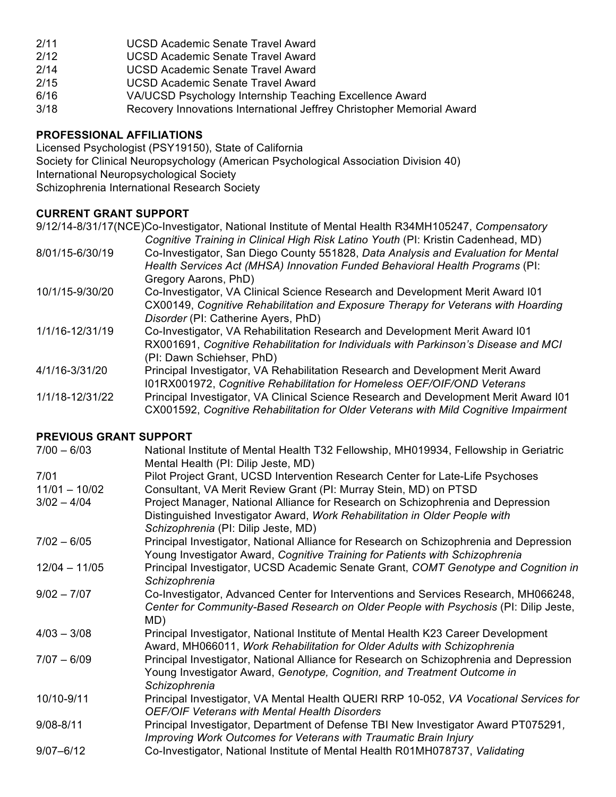- 2/11 UCSD Academic Senate Travel Award
- 2/12 UCSD Academic Senate Travel Award
- 2/14 UCSD Academic Senate Travel Award
- 2/15 UCSD Academic Senate Travel Award
- 6/16 VA/UCSD Psychology Internship Teaching Excellence Award
- 3/18 Recovery Innovations International Jeffrey Christopher Memorial Award

## **PROFESSIONAL AFFILIATIONS**

Licensed Psychologist (PSY19150), State of California Society for Clinical Neuropsychology (American Psychological Association Division 40) International Neuropsychological Society Schizophrenia International Research Society

## **CURRENT GRANT SUPPORT**

9/12/14-8/31/17(NCE)Co-Investigator, National Institute of Mental Health R34MH105247, *Compensatory* 

- *Cognitive Training in Clinical High Risk Latino Youth* (PI: Kristin Cadenhead, MD) 8/01/15-6/30/19 Co-Investigator, San Diego County 551828, *Data Analysis and Evaluation for Mental Health Services Act (MHSA) Innovation Funded Behavioral Health Programs* (PI: Gregory Aarons, PhD)
- 10/1/15-9/30/20 Co-Investigator, VA Clinical Science Research and Development Merit Award I01 CX00149, *Cognitive Rehabilitation and Exposure Therapy for Veterans with Hoarding Disorder* (PI: Catherine Ayers, PhD)
- 1/1/16-12/31/19 Co-Investigator, VA Rehabilitation Research and Development Merit Award I01 RX001691, *Cognitive Rehabilitation for Individuals with Parkinson's Disease and MCI*  (PI: Dawn Schiehser, PhD)
- 4/1/16-3/31/20 Principal Investigator, VA Rehabilitation Research and Development Merit Award I01RX001972, *Cognitive Rehabilitation for Homeless OEF/OIF/OND Veterans*
- 1/1/18-12/31/22 Principal Investigator, VA Clinical Science Research and Development Merit Award I01 CX001592, *Cognitive Rehabilitation for Older Veterans with Mild Cognitive Impairment*

## **PREVIOUS GRANT SUPPORT**

| $7/00 - 6/03$   | National Institute of Mental Health T32 Fellowship, MH019934, Fellowship in Geriatric<br>Mental Health (PI: Dilip Jeste, MD) |
|-----------------|------------------------------------------------------------------------------------------------------------------------------|
| 7/01            | Pilot Project Grant, UCSD Intervention Research Center for Late-Life Psychoses                                               |
| $11/01 - 10/02$ | Consultant, VA Merit Review Grant (PI: Murray Stein, MD) on PTSD                                                             |
| $3/02 - 4/04$   | Project Manager, National Alliance for Research on Schizophrenia and Depression                                              |
|                 | Distinguished Investigator Award, Work Rehabilitation in Older People with                                                   |
|                 | Schizophrenia (PI: Dilip Jeste, MD)                                                                                          |
| $7/02 - 6/05$   | Principal Investigator, National Alliance for Research on Schizophrenia and Depression                                       |
|                 | Young Investigator Award, Cognitive Training for Patients with Schizophrenia                                                 |
| $12/04 - 11/05$ | Principal Investigator, UCSD Academic Senate Grant, COMT Genotype and Cognition in                                           |
|                 | Schizophrenia                                                                                                                |
| $9/02 - 7/07$   | Co-Investigator, Advanced Center for Interventions and Services Research, MH066248,                                          |
|                 | Center for Community-Based Research on Older People with Psychosis (PI: Dilip Jeste,                                         |
|                 | MD)                                                                                                                          |
| $4/03 - 3/08$   | Principal Investigator, National Institute of Mental Health K23 Career Development                                           |
|                 | Award, MH066011, Work Rehabilitation for Older Adults with Schizophrenia                                                     |
| $7/07 - 6/09$   | Principal Investigator, National Alliance for Research on Schizophrenia and Depression                                       |
|                 | Young Investigator Award, Genotype, Cognition, and Treatment Outcome in                                                      |
|                 | Schizophrenia                                                                                                                |
| 10/10-9/11      | Principal Investigator, VA Mental Health QUERI RRP 10-052, VA Vocational Services for                                        |
|                 | <b>OEF/OIF Veterans with Mental Health Disorders</b>                                                                         |
| $9/08 - 8/11$   | Principal Investigator, Department of Defense TBI New Investigator Award PT075291,                                           |
|                 | Improving Work Outcomes for Veterans with Traumatic Brain Injury                                                             |
| $9/07 - 6/12$   | Co-Investigator, National Institute of Mental Health R01MH078737, Validating                                                 |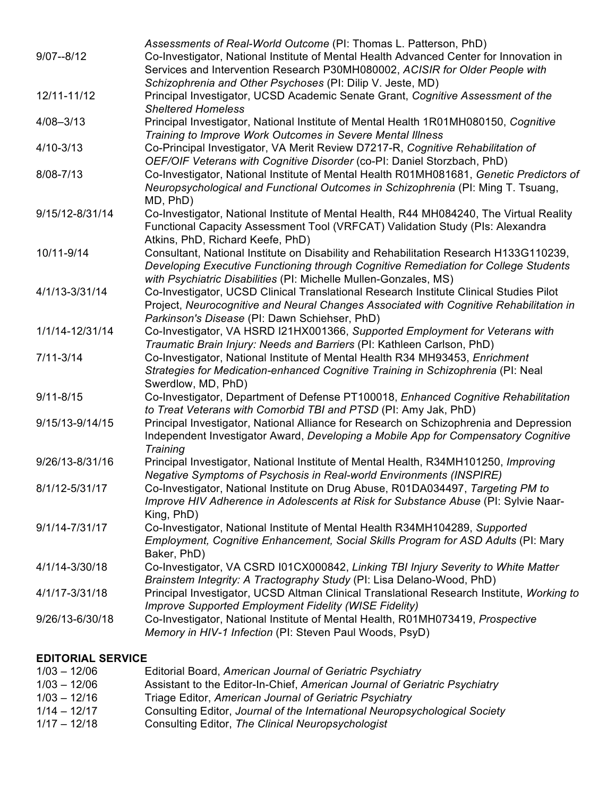| Co-Investigator, National Institute of Mental Health Advanced Center for Innovation in<br>Services and Intervention Research P30MH080002, ACISIR for Older People with<br>Schizophrenia and Other Psychoses (PI: Dilip V. Jeste, MD)<br>12/11-11/12<br>Principal Investigator, UCSD Academic Senate Grant, Cognitive Assessment of the<br><b>Sheltered Homeless</b><br>Principal Investigator, National Institute of Mental Health 1R01MH080150, Cognitive<br>$4/08 - 3/13$<br>Training to Improve Work Outcomes in Severe Mental Illness<br>Co-Principal Investigator, VA Merit Review D7217-R, Cognitive Rehabilitation of<br>$4/10 - 3/13$<br>OEF/OIF Veterans with Cognitive Disorder (co-PI: Daniel Storzbach, PhD)<br>Co-Investigator, National Institute of Mental Health R01MH081681, Genetic Predictors of<br>8/08-7/13<br>Neuropsychological and Functional Outcomes in Schizophrenia (PI: Ming T. Tsuang,<br>MD, PhD)<br>Co-Investigator, National Institute of Mental Health, R44 MH084240, The Virtual Reality<br>9/15/12-8/31/14<br>Functional Capacity Assessment Tool (VRFCAT) Validation Study (PIs: Alexandra<br>Atkins, PhD, Richard Keefe, PhD)<br>Consultant, National Institute on Disability and Rehabilitation Research H133G110239,<br>10/11-9/14<br>Developing Executive Functioning through Cognitive Remediation for College Students<br>with Psychiatric Disabilities (PI: Michelle Mullen-Gonzales, MS)<br>4/1/13-3/31/14<br>Co-Investigator, UCSD Clinical Translational Research Institute Clinical Studies Pilot<br>Project, Neurocognitive and Neural Changes Associated with Cognitive Rehabilitation in<br>Parkinson's Disease (PI: Dawn Schiehser, PhD)<br>Co-Investigator, VA HSRD I21HX001366, Supported Employment for Veterans with<br>1/1/14-12/31/14<br>Traumatic Brain Injury: Needs and Barriers (PI: Kathleen Carlson, PhD)<br>Co-Investigator, National Institute of Mental Health R34 MH93453, Enrichment<br>$7/11 - 3/14$<br>Strategies for Medication-enhanced Cognitive Training in Schizophrenia (PI: Neal<br>Swerdlow, MD, PhD)<br>Co-Investigator, Department of Defense PT100018, Enhanced Cognitive Rehabilitation<br>to Treat Veterans with Comorbid TBI and PTSD (PI: Amy Jak, PhD)<br>Principal Investigator, National Alliance for Research on Schizophrenia and Depression<br>Independent Investigator Award, Developing a Mobile App for Compensatory Cognitive<br>Training<br>Principal Investigator, National Institute of Mental Health, R34MH101250, Improving<br>Negative Symptoms of Psychosis in Real-world Environments (INSPIRE)<br>Co-Investigator, National Institute on Drug Abuse, R01DA034497, Targeting PM to<br>Improve HIV Adherence in Adolescents at Risk for Substance Abuse (PI: Sylvie Naar-<br>King, PhD)<br>Co-Investigator, National Institute of Mental Health R34MH104289, Supported<br>9/1/14-7/31/17<br>Employment, Cognitive Enhancement, Social Skills Program for ASD Adults (PI: Mary<br>Baker, PhD)<br>Co-Investigator, VA CSRD I01CX000842, Linking TBI Injury Severity to White Matter<br>4/1/14-3/30/18<br>Brainstem Integrity: A Tractography Study (PI: Lisa Delano-Wood, PhD)<br>Principal Investigator, UCSD Altman Clinical Translational Research Institute, Working to<br>4/1/17-3/31/18<br><b>Improve Supported Employment Fidelity (WISE Fidelity)</b><br>9/26/13-6/30/18<br>Co-Investigator, National Institute of Mental Health, R01MH073419, Prospective<br>Memory in HIV-1 Infection (PI: Steven Paul Woods, PsyD) |                 | Assessments of Real-World Outcome (PI: Thomas L. Patterson, PhD) |  |  |  |
|------------------------------------------------------------------------------------------------------------------------------------------------------------------------------------------------------------------------------------------------------------------------------------------------------------------------------------------------------------------------------------------------------------------------------------------------------------------------------------------------------------------------------------------------------------------------------------------------------------------------------------------------------------------------------------------------------------------------------------------------------------------------------------------------------------------------------------------------------------------------------------------------------------------------------------------------------------------------------------------------------------------------------------------------------------------------------------------------------------------------------------------------------------------------------------------------------------------------------------------------------------------------------------------------------------------------------------------------------------------------------------------------------------------------------------------------------------------------------------------------------------------------------------------------------------------------------------------------------------------------------------------------------------------------------------------------------------------------------------------------------------------------------------------------------------------------------------------------------------------------------------------------------------------------------------------------------------------------------------------------------------------------------------------------------------------------------------------------------------------------------------------------------------------------------------------------------------------------------------------------------------------------------------------------------------------------------------------------------------------------------------------------------------------------------------------------------------------------------------------------------------------------------------------------------------------------------------------------------------------------------------------------------------------------------------------------------------------------------------------------------------------------------------------------------------------------------------------------------------------------------------------------------------------------------------------------------------------------------------------------------------------------------------------------------------------------------------------------------------------------------------------------------------------------------------------------------------------------------------------------------------------------------------------------------------------------------------------------------------------------------------------------------------------------------------------------------------------------------------------------------------------------------------|-----------------|------------------------------------------------------------------|--|--|--|
|                                                                                                                                                                                                                                                                                                                                                                                                                                                                                                                                                                                                                                                                                                                                                                                                                                                                                                                                                                                                                                                                                                                                                                                                                                                                                                                                                                                                                                                                                                                                                                                                                                                                                                                                                                                                                                                                                                                                                                                                                                                                                                                                                                                                                                                                                                                                                                                                                                                                                                                                                                                                                                                                                                                                                                                                                                                                                                                                                                                                                                                                                                                                                                                                                                                                                                                                                                                                                                                                                                                                    | $9/07 - 8/12$   |                                                                  |  |  |  |
|                                                                                                                                                                                                                                                                                                                                                                                                                                                                                                                                                                                                                                                                                                                                                                                                                                                                                                                                                                                                                                                                                                                                                                                                                                                                                                                                                                                                                                                                                                                                                                                                                                                                                                                                                                                                                                                                                                                                                                                                                                                                                                                                                                                                                                                                                                                                                                                                                                                                                                                                                                                                                                                                                                                                                                                                                                                                                                                                                                                                                                                                                                                                                                                                                                                                                                                                                                                                                                                                                                                                    |                 |                                                                  |  |  |  |
|                                                                                                                                                                                                                                                                                                                                                                                                                                                                                                                                                                                                                                                                                                                                                                                                                                                                                                                                                                                                                                                                                                                                                                                                                                                                                                                                                                                                                                                                                                                                                                                                                                                                                                                                                                                                                                                                                                                                                                                                                                                                                                                                                                                                                                                                                                                                                                                                                                                                                                                                                                                                                                                                                                                                                                                                                                                                                                                                                                                                                                                                                                                                                                                                                                                                                                                                                                                                                                                                                                                                    |                 |                                                                  |  |  |  |
|                                                                                                                                                                                                                                                                                                                                                                                                                                                                                                                                                                                                                                                                                                                                                                                                                                                                                                                                                                                                                                                                                                                                                                                                                                                                                                                                                                                                                                                                                                                                                                                                                                                                                                                                                                                                                                                                                                                                                                                                                                                                                                                                                                                                                                                                                                                                                                                                                                                                                                                                                                                                                                                                                                                                                                                                                                                                                                                                                                                                                                                                                                                                                                                                                                                                                                                                                                                                                                                                                                                                    |                 |                                                                  |  |  |  |
|                                                                                                                                                                                                                                                                                                                                                                                                                                                                                                                                                                                                                                                                                                                                                                                                                                                                                                                                                                                                                                                                                                                                                                                                                                                                                                                                                                                                                                                                                                                                                                                                                                                                                                                                                                                                                                                                                                                                                                                                                                                                                                                                                                                                                                                                                                                                                                                                                                                                                                                                                                                                                                                                                                                                                                                                                                                                                                                                                                                                                                                                                                                                                                                                                                                                                                                                                                                                                                                                                                                                    |                 |                                                                  |  |  |  |
|                                                                                                                                                                                                                                                                                                                                                                                                                                                                                                                                                                                                                                                                                                                                                                                                                                                                                                                                                                                                                                                                                                                                                                                                                                                                                                                                                                                                                                                                                                                                                                                                                                                                                                                                                                                                                                                                                                                                                                                                                                                                                                                                                                                                                                                                                                                                                                                                                                                                                                                                                                                                                                                                                                                                                                                                                                                                                                                                                                                                                                                                                                                                                                                                                                                                                                                                                                                                                                                                                                                                    |                 |                                                                  |  |  |  |
|                                                                                                                                                                                                                                                                                                                                                                                                                                                                                                                                                                                                                                                                                                                                                                                                                                                                                                                                                                                                                                                                                                                                                                                                                                                                                                                                                                                                                                                                                                                                                                                                                                                                                                                                                                                                                                                                                                                                                                                                                                                                                                                                                                                                                                                                                                                                                                                                                                                                                                                                                                                                                                                                                                                                                                                                                                                                                                                                                                                                                                                                                                                                                                                                                                                                                                                                                                                                                                                                                                                                    |                 |                                                                  |  |  |  |
|                                                                                                                                                                                                                                                                                                                                                                                                                                                                                                                                                                                                                                                                                                                                                                                                                                                                                                                                                                                                                                                                                                                                                                                                                                                                                                                                                                                                                                                                                                                                                                                                                                                                                                                                                                                                                                                                                                                                                                                                                                                                                                                                                                                                                                                                                                                                                                                                                                                                                                                                                                                                                                                                                                                                                                                                                                                                                                                                                                                                                                                                                                                                                                                                                                                                                                                                                                                                                                                                                                                                    |                 |                                                                  |  |  |  |
|                                                                                                                                                                                                                                                                                                                                                                                                                                                                                                                                                                                                                                                                                                                                                                                                                                                                                                                                                                                                                                                                                                                                                                                                                                                                                                                                                                                                                                                                                                                                                                                                                                                                                                                                                                                                                                                                                                                                                                                                                                                                                                                                                                                                                                                                                                                                                                                                                                                                                                                                                                                                                                                                                                                                                                                                                                                                                                                                                                                                                                                                                                                                                                                                                                                                                                                                                                                                                                                                                                                                    |                 |                                                                  |  |  |  |
|                                                                                                                                                                                                                                                                                                                                                                                                                                                                                                                                                                                                                                                                                                                                                                                                                                                                                                                                                                                                                                                                                                                                                                                                                                                                                                                                                                                                                                                                                                                                                                                                                                                                                                                                                                                                                                                                                                                                                                                                                                                                                                                                                                                                                                                                                                                                                                                                                                                                                                                                                                                                                                                                                                                                                                                                                                                                                                                                                                                                                                                                                                                                                                                                                                                                                                                                                                                                                                                                                                                                    |                 |                                                                  |  |  |  |
|                                                                                                                                                                                                                                                                                                                                                                                                                                                                                                                                                                                                                                                                                                                                                                                                                                                                                                                                                                                                                                                                                                                                                                                                                                                                                                                                                                                                                                                                                                                                                                                                                                                                                                                                                                                                                                                                                                                                                                                                                                                                                                                                                                                                                                                                                                                                                                                                                                                                                                                                                                                                                                                                                                                                                                                                                                                                                                                                                                                                                                                                                                                                                                                                                                                                                                                                                                                                                                                                                                                                    |                 |                                                                  |  |  |  |
|                                                                                                                                                                                                                                                                                                                                                                                                                                                                                                                                                                                                                                                                                                                                                                                                                                                                                                                                                                                                                                                                                                                                                                                                                                                                                                                                                                                                                                                                                                                                                                                                                                                                                                                                                                                                                                                                                                                                                                                                                                                                                                                                                                                                                                                                                                                                                                                                                                                                                                                                                                                                                                                                                                                                                                                                                                                                                                                                                                                                                                                                                                                                                                                                                                                                                                                                                                                                                                                                                                                                    |                 |                                                                  |  |  |  |
|                                                                                                                                                                                                                                                                                                                                                                                                                                                                                                                                                                                                                                                                                                                                                                                                                                                                                                                                                                                                                                                                                                                                                                                                                                                                                                                                                                                                                                                                                                                                                                                                                                                                                                                                                                                                                                                                                                                                                                                                                                                                                                                                                                                                                                                                                                                                                                                                                                                                                                                                                                                                                                                                                                                                                                                                                                                                                                                                                                                                                                                                                                                                                                                                                                                                                                                                                                                                                                                                                                                                    |                 |                                                                  |  |  |  |
|                                                                                                                                                                                                                                                                                                                                                                                                                                                                                                                                                                                                                                                                                                                                                                                                                                                                                                                                                                                                                                                                                                                                                                                                                                                                                                                                                                                                                                                                                                                                                                                                                                                                                                                                                                                                                                                                                                                                                                                                                                                                                                                                                                                                                                                                                                                                                                                                                                                                                                                                                                                                                                                                                                                                                                                                                                                                                                                                                                                                                                                                                                                                                                                                                                                                                                                                                                                                                                                                                                                                    |                 |                                                                  |  |  |  |
|                                                                                                                                                                                                                                                                                                                                                                                                                                                                                                                                                                                                                                                                                                                                                                                                                                                                                                                                                                                                                                                                                                                                                                                                                                                                                                                                                                                                                                                                                                                                                                                                                                                                                                                                                                                                                                                                                                                                                                                                                                                                                                                                                                                                                                                                                                                                                                                                                                                                                                                                                                                                                                                                                                                                                                                                                                                                                                                                                                                                                                                                                                                                                                                                                                                                                                                                                                                                                                                                                                                                    |                 |                                                                  |  |  |  |
|                                                                                                                                                                                                                                                                                                                                                                                                                                                                                                                                                                                                                                                                                                                                                                                                                                                                                                                                                                                                                                                                                                                                                                                                                                                                                                                                                                                                                                                                                                                                                                                                                                                                                                                                                                                                                                                                                                                                                                                                                                                                                                                                                                                                                                                                                                                                                                                                                                                                                                                                                                                                                                                                                                                                                                                                                                                                                                                                                                                                                                                                                                                                                                                                                                                                                                                                                                                                                                                                                                                                    |                 |                                                                  |  |  |  |
|                                                                                                                                                                                                                                                                                                                                                                                                                                                                                                                                                                                                                                                                                                                                                                                                                                                                                                                                                                                                                                                                                                                                                                                                                                                                                                                                                                                                                                                                                                                                                                                                                                                                                                                                                                                                                                                                                                                                                                                                                                                                                                                                                                                                                                                                                                                                                                                                                                                                                                                                                                                                                                                                                                                                                                                                                                                                                                                                                                                                                                                                                                                                                                                                                                                                                                                                                                                                                                                                                                                                    |                 |                                                                  |  |  |  |
|                                                                                                                                                                                                                                                                                                                                                                                                                                                                                                                                                                                                                                                                                                                                                                                                                                                                                                                                                                                                                                                                                                                                                                                                                                                                                                                                                                                                                                                                                                                                                                                                                                                                                                                                                                                                                                                                                                                                                                                                                                                                                                                                                                                                                                                                                                                                                                                                                                                                                                                                                                                                                                                                                                                                                                                                                                                                                                                                                                                                                                                                                                                                                                                                                                                                                                                                                                                                                                                                                                                                    |                 |                                                                  |  |  |  |
|                                                                                                                                                                                                                                                                                                                                                                                                                                                                                                                                                                                                                                                                                                                                                                                                                                                                                                                                                                                                                                                                                                                                                                                                                                                                                                                                                                                                                                                                                                                                                                                                                                                                                                                                                                                                                                                                                                                                                                                                                                                                                                                                                                                                                                                                                                                                                                                                                                                                                                                                                                                                                                                                                                                                                                                                                                                                                                                                                                                                                                                                                                                                                                                                                                                                                                                                                                                                                                                                                                                                    |                 |                                                                  |  |  |  |
|                                                                                                                                                                                                                                                                                                                                                                                                                                                                                                                                                                                                                                                                                                                                                                                                                                                                                                                                                                                                                                                                                                                                                                                                                                                                                                                                                                                                                                                                                                                                                                                                                                                                                                                                                                                                                                                                                                                                                                                                                                                                                                                                                                                                                                                                                                                                                                                                                                                                                                                                                                                                                                                                                                                                                                                                                                                                                                                                                                                                                                                                                                                                                                                                                                                                                                                                                                                                                                                                                                                                    |                 |                                                                  |  |  |  |
|                                                                                                                                                                                                                                                                                                                                                                                                                                                                                                                                                                                                                                                                                                                                                                                                                                                                                                                                                                                                                                                                                                                                                                                                                                                                                                                                                                                                                                                                                                                                                                                                                                                                                                                                                                                                                                                                                                                                                                                                                                                                                                                                                                                                                                                                                                                                                                                                                                                                                                                                                                                                                                                                                                                                                                                                                                                                                                                                                                                                                                                                                                                                                                                                                                                                                                                                                                                                                                                                                                                                    |                 |                                                                  |  |  |  |
|                                                                                                                                                                                                                                                                                                                                                                                                                                                                                                                                                                                                                                                                                                                                                                                                                                                                                                                                                                                                                                                                                                                                                                                                                                                                                                                                                                                                                                                                                                                                                                                                                                                                                                                                                                                                                                                                                                                                                                                                                                                                                                                                                                                                                                                                                                                                                                                                                                                                                                                                                                                                                                                                                                                                                                                                                                                                                                                                                                                                                                                                                                                                                                                                                                                                                                                                                                                                                                                                                                                                    |                 |                                                                  |  |  |  |
|                                                                                                                                                                                                                                                                                                                                                                                                                                                                                                                                                                                                                                                                                                                                                                                                                                                                                                                                                                                                                                                                                                                                                                                                                                                                                                                                                                                                                                                                                                                                                                                                                                                                                                                                                                                                                                                                                                                                                                                                                                                                                                                                                                                                                                                                                                                                                                                                                                                                                                                                                                                                                                                                                                                                                                                                                                                                                                                                                                                                                                                                                                                                                                                                                                                                                                                                                                                                                                                                                                                                    |                 |                                                                  |  |  |  |
|                                                                                                                                                                                                                                                                                                                                                                                                                                                                                                                                                                                                                                                                                                                                                                                                                                                                                                                                                                                                                                                                                                                                                                                                                                                                                                                                                                                                                                                                                                                                                                                                                                                                                                                                                                                                                                                                                                                                                                                                                                                                                                                                                                                                                                                                                                                                                                                                                                                                                                                                                                                                                                                                                                                                                                                                                                                                                                                                                                                                                                                                                                                                                                                                                                                                                                                                                                                                                                                                                                                                    |                 |                                                                  |  |  |  |
|                                                                                                                                                                                                                                                                                                                                                                                                                                                                                                                                                                                                                                                                                                                                                                                                                                                                                                                                                                                                                                                                                                                                                                                                                                                                                                                                                                                                                                                                                                                                                                                                                                                                                                                                                                                                                                                                                                                                                                                                                                                                                                                                                                                                                                                                                                                                                                                                                                                                                                                                                                                                                                                                                                                                                                                                                                                                                                                                                                                                                                                                                                                                                                                                                                                                                                                                                                                                                                                                                                                                    |                 |                                                                  |  |  |  |
|                                                                                                                                                                                                                                                                                                                                                                                                                                                                                                                                                                                                                                                                                                                                                                                                                                                                                                                                                                                                                                                                                                                                                                                                                                                                                                                                                                                                                                                                                                                                                                                                                                                                                                                                                                                                                                                                                                                                                                                                                                                                                                                                                                                                                                                                                                                                                                                                                                                                                                                                                                                                                                                                                                                                                                                                                                                                                                                                                                                                                                                                                                                                                                                                                                                                                                                                                                                                                                                                                                                                    |                 |                                                                  |  |  |  |
|                                                                                                                                                                                                                                                                                                                                                                                                                                                                                                                                                                                                                                                                                                                                                                                                                                                                                                                                                                                                                                                                                                                                                                                                                                                                                                                                                                                                                                                                                                                                                                                                                                                                                                                                                                                                                                                                                                                                                                                                                                                                                                                                                                                                                                                                                                                                                                                                                                                                                                                                                                                                                                                                                                                                                                                                                                                                                                                                                                                                                                                                                                                                                                                                                                                                                                                                                                                                                                                                                                                                    |                 |                                                                  |  |  |  |
|                                                                                                                                                                                                                                                                                                                                                                                                                                                                                                                                                                                                                                                                                                                                                                                                                                                                                                                                                                                                                                                                                                                                                                                                                                                                                                                                                                                                                                                                                                                                                                                                                                                                                                                                                                                                                                                                                                                                                                                                                                                                                                                                                                                                                                                                                                                                                                                                                                                                                                                                                                                                                                                                                                                                                                                                                                                                                                                                                                                                                                                                                                                                                                                                                                                                                                                                                                                                                                                                                                                                    | $9/11 - 8/15$   |                                                                  |  |  |  |
|                                                                                                                                                                                                                                                                                                                                                                                                                                                                                                                                                                                                                                                                                                                                                                                                                                                                                                                                                                                                                                                                                                                                                                                                                                                                                                                                                                                                                                                                                                                                                                                                                                                                                                                                                                                                                                                                                                                                                                                                                                                                                                                                                                                                                                                                                                                                                                                                                                                                                                                                                                                                                                                                                                                                                                                                                                                                                                                                                                                                                                                                                                                                                                                                                                                                                                                                                                                                                                                                                                                                    |                 |                                                                  |  |  |  |
|                                                                                                                                                                                                                                                                                                                                                                                                                                                                                                                                                                                                                                                                                                                                                                                                                                                                                                                                                                                                                                                                                                                                                                                                                                                                                                                                                                                                                                                                                                                                                                                                                                                                                                                                                                                                                                                                                                                                                                                                                                                                                                                                                                                                                                                                                                                                                                                                                                                                                                                                                                                                                                                                                                                                                                                                                                                                                                                                                                                                                                                                                                                                                                                                                                                                                                                                                                                                                                                                                                                                    | 9/15/13-9/14/15 |                                                                  |  |  |  |
|                                                                                                                                                                                                                                                                                                                                                                                                                                                                                                                                                                                                                                                                                                                                                                                                                                                                                                                                                                                                                                                                                                                                                                                                                                                                                                                                                                                                                                                                                                                                                                                                                                                                                                                                                                                                                                                                                                                                                                                                                                                                                                                                                                                                                                                                                                                                                                                                                                                                                                                                                                                                                                                                                                                                                                                                                                                                                                                                                                                                                                                                                                                                                                                                                                                                                                                                                                                                                                                                                                                                    |                 |                                                                  |  |  |  |
|                                                                                                                                                                                                                                                                                                                                                                                                                                                                                                                                                                                                                                                                                                                                                                                                                                                                                                                                                                                                                                                                                                                                                                                                                                                                                                                                                                                                                                                                                                                                                                                                                                                                                                                                                                                                                                                                                                                                                                                                                                                                                                                                                                                                                                                                                                                                                                                                                                                                                                                                                                                                                                                                                                                                                                                                                                                                                                                                                                                                                                                                                                                                                                                                                                                                                                                                                                                                                                                                                                                                    |                 |                                                                  |  |  |  |
|                                                                                                                                                                                                                                                                                                                                                                                                                                                                                                                                                                                                                                                                                                                                                                                                                                                                                                                                                                                                                                                                                                                                                                                                                                                                                                                                                                                                                                                                                                                                                                                                                                                                                                                                                                                                                                                                                                                                                                                                                                                                                                                                                                                                                                                                                                                                                                                                                                                                                                                                                                                                                                                                                                                                                                                                                                                                                                                                                                                                                                                                                                                                                                                                                                                                                                                                                                                                                                                                                                                                    | 9/26/13-8/31/16 |                                                                  |  |  |  |
|                                                                                                                                                                                                                                                                                                                                                                                                                                                                                                                                                                                                                                                                                                                                                                                                                                                                                                                                                                                                                                                                                                                                                                                                                                                                                                                                                                                                                                                                                                                                                                                                                                                                                                                                                                                                                                                                                                                                                                                                                                                                                                                                                                                                                                                                                                                                                                                                                                                                                                                                                                                                                                                                                                                                                                                                                                                                                                                                                                                                                                                                                                                                                                                                                                                                                                                                                                                                                                                                                                                                    |                 |                                                                  |  |  |  |
|                                                                                                                                                                                                                                                                                                                                                                                                                                                                                                                                                                                                                                                                                                                                                                                                                                                                                                                                                                                                                                                                                                                                                                                                                                                                                                                                                                                                                                                                                                                                                                                                                                                                                                                                                                                                                                                                                                                                                                                                                                                                                                                                                                                                                                                                                                                                                                                                                                                                                                                                                                                                                                                                                                                                                                                                                                                                                                                                                                                                                                                                                                                                                                                                                                                                                                                                                                                                                                                                                                                                    | 8/1/12-5/31/17  |                                                                  |  |  |  |
|                                                                                                                                                                                                                                                                                                                                                                                                                                                                                                                                                                                                                                                                                                                                                                                                                                                                                                                                                                                                                                                                                                                                                                                                                                                                                                                                                                                                                                                                                                                                                                                                                                                                                                                                                                                                                                                                                                                                                                                                                                                                                                                                                                                                                                                                                                                                                                                                                                                                                                                                                                                                                                                                                                                                                                                                                                                                                                                                                                                                                                                                                                                                                                                                                                                                                                                                                                                                                                                                                                                                    |                 |                                                                  |  |  |  |
|                                                                                                                                                                                                                                                                                                                                                                                                                                                                                                                                                                                                                                                                                                                                                                                                                                                                                                                                                                                                                                                                                                                                                                                                                                                                                                                                                                                                                                                                                                                                                                                                                                                                                                                                                                                                                                                                                                                                                                                                                                                                                                                                                                                                                                                                                                                                                                                                                                                                                                                                                                                                                                                                                                                                                                                                                                                                                                                                                                                                                                                                                                                                                                                                                                                                                                                                                                                                                                                                                                                                    |                 |                                                                  |  |  |  |
|                                                                                                                                                                                                                                                                                                                                                                                                                                                                                                                                                                                                                                                                                                                                                                                                                                                                                                                                                                                                                                                                                                                                                                                                                                                                                                                                                                                                                                                                                                                                                                                                                                                                                                                                                                                                                                                                                                                                                                                                                                                                                                                                                                                                                                                                                                                                                                                                                                                                                                                                                                                                                                                                                                                                                                                                                                                                                                                                                                                                                                                                                                                                                                                                                                                                                                                                                                                                                                                                                                                                    |                 |                                                                  |  |  |  |
|                                                                                                                                                                                                                                                                                                                                                                                                                                                                                                                                                                                                                                                                                                                                                                                                                                                                                                                                                                                                                                                                                                                                                                                                                                                                                                                                                                                                                                                                                                                                                                                                                                                                                                                                                                                                                                                                                                                                                                                                                                                                                                                                                                                                                                                                                                                                                                                                                                                                                                                                                                                                                                                                                                                                                                                                                                                                                                                                                                                                                                                                                                                                                                                                                                                                                                                                                                                                                                                                                                                                    |                 |                                                                  |  |  |  |
|                                                                                                                                                                                                                                                                                                                                                                                                                                                                                                                                                                                                                                                                                                                                                                                                                                                                                                                                                                                                                                                                                                                                                                                                                                                                                                                                                                                                                                                                                                                                                                                                                                                                                                                                                                                                                                                                                                                                                                                                                                                                                                                                                                                                                                                                                                                                                                                                                                                                                                                                                                                                                                                                                                                                                                                                                                                                                                                                                                                                                                                                                                                                                                                                                                                                                                                                                                                                                                                                                                                                    |                 |                                                                  |  |  |  |
|                                                                                                                                                                                                                                                                                                                                                                                                                                                                                                                                                                                                                                                                                                                                                                                                                                                                                                                                                                                                                                                                                                                                                                                                                                                                                                                                                                                                                                                                                                                                                                                                                                                                                                                                                                                                                                                                                                                                                                                                                                                                                                                                                                                                                                                                                                                                                                                                                                                                                                                                                                                                                                                                                                                                                                                                                                                                                                                                                                                                                                                                                                                                                                                                                                                                                                                                                                                                                                                                                                                                    |                 |                                                                  |  |  |  |
|                                                                                                                                                                                                                                                                                                                                                                                                                                                                                                                                                                                                                                                                                                                                                                                                                                                                                                                                                                                                                                                                                                                                                                                                                                                                                                                                                                                                                                                                                                                                                                                                                                                                                                                                                                                                                                                                                                                                                                                                                                                                                                                                                                                                                                                                                                                                                                                                                                                                                                                                                                                                                                                                                                                                                                                                                                                                                                                                                                                                                                                                                                                                                                                                                                                                                                                                                                                                                                                                                                                                    |                 |                                                                  |  |  |  |
|                                                                                                                                                                                                                                                                                                                                                                                                                                                                                                                                                                                                                                                                                                                                                                                                                                                                                                                                                                                                                                                                                                                                                                                                                                                                                                                                                                                                                                                                                                                                                                                                                                                                                                                                                                                                                                                                                                                                                                                                                                                                                                                                                                                                                                                                                                                                                                                                                                                                                                                                                                                                                                                                                                                                                                                                                                                                                                                                                                                                                                                                                                                                                                                                                                                                                                                                                                                                                                                                                                                                    |                 |                                                                  |  |  |  |
|                                                                                                                                                                                                                                                                                                                                                                                                                                                                                                                                                                                                                                                                                                                                                                                                                                                                                                                                                                                                                                                                                                                                                                                                                                                                                                                                                                                                                                                                                                                                                                                                                                                                                                                                                                                                                                                                                                                                                                                                                                                                                                                                                                                                                                                                                                                                                                                                                                                                                                                                                                                                                                                                                                                                                                                                                                                                                                                                                                                                                                                                                                                                                                                                                                                                                                                                                                                                                                                                                                                                    |                 |                                                                  |  |  |  |
|                                                                                                                                                                                                                                                                                                                                                                                                                                                                                                                                                                                                                                                                                                                                                                                                                                                                                                                                                                                                                                                                                                                                                                                                                                                                                                                                                                                                                                                                                                                                                                                                                                                                                                                                                                                                                                                                                                                                                                                                                                                                                                                                                                                                                                                                                                                                                                                                                                                                                                                                                                                                                                                                                                                                                                                                                                                                                                                                                                                                                                                                                                                                                                                                                                                                                                                                                                                                                                                                                                                                    |                 |                                                                  |  |  |  |
|                                                                                                                                                                                                                                                                                                                                                                                                                                                                                                                                                                                                                                                                                                                                                                                                                                                                                                                                                                                                                                                                                                                                                                                                                                                                                                                                                                                                                                                                                                                                                                                                                                                                                                                                                                                                                                                                                                                                                                                                                                                                                                                                                                                                                                                                                                                                                                                                                                                                                                                                                                                                                                                                                                                                                                                                                                                                                                                                                                                                                                                                                                                                                                                                                                                                                                                                                                                                                                                                                                                                    |                 |                                                                  |  |  |  |
|                                                                                                                                                                                                                                                                                                                                                                                                                                                                                                                                                                                                                                                                                                                                                                                                                                                                                                                                                                                                                                                                                                                                                                                                                                                                                                                                                                                                                                                                                                                                                                                                                                                                                                                                                                                                                                                                                                                                                                                                                                                                                                                                                                                                                                                                                                                                                                                                                                                                                                                                                                                                                                                                                                                                                                                                                                                                                                                                                                                                                                                                                                                                                                                                                                                                                                                                                                                                                                                                                                                                    |                 |                                                                  |  |  |  |

## **EDITORIAL SERVICE**

| $1/03 - 12/06$ | Editorial Board, American Journal of Geriatric Psychiatry                  |
|----------------|----------------------------------------------------------------------------|
| $1/03 - 12/06$ | Assistant to the Editor-In-Chief, American Journal of Geriatric Psychiatry |
| $1/03 - 12/16$ | Triage Editor, American Journal of Geriatric Psychiatry                    |
| $1/14 - 12/17$ | Consulting Editor, Journal of the International Neuropsychological Society |
| $1/17 - 12/18$ | Consulting Editor, The Clinical Neuropsychologist                          |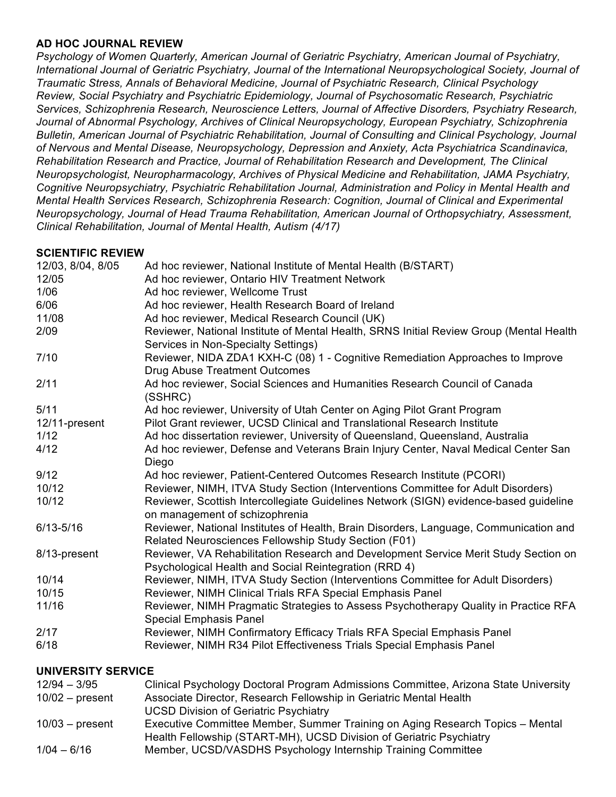#### **AD HOC JOURNAL REVIEW**

*Psychology of Women Quarterly, American Journal of Geriatric Psychiatry, American Journal of Psychiatry, International Journal of Geriatric Psychiatry, Journal of the International Neuropsychological Society, Journal of Traumatic Stress, Annals of Behavioral Medicine, Journal of Psychiatric Research, Clinical Psychology Review, Social Psychiatry and Psychiatric Epidemiology, Journal of Psychosomatic Research, Psychiatric Services, Schizophrenia Research, Neuroscience Letters, Journal of Affective Disorders, Psychiatry Research, Journal of Abnormal Psychology, Archives of Clinical Neuropsychology, European Psychiatry, Schizophrenia Bulletin, American Journal of Psychiatric Rehabilitation, Journal of Consulting and Clinical Psychology, Journal of Nervous and Mental Disease, Neuropsychology, Depression and Anxiety, Acta Psychiatrica Scandinavica, Rehabilitation Research and Practice, Journal of Rehabilitation Research and Development, The Clinical Neuropsychologist, Neuropharmacology, Archives of Physical Medicine and Rehabilitation, JAMA Psychiatry, Cognitive Neuropsychiatry, Psychiatric Rehabilitation Journal, Administration and Policy in Mental Health and Mental Health Services Research, Schizophrenia Research: Cognition, Journal of Clinical and Experimental Neuropsychology, Journal of Head Trauma Rehabilitation, American Journal of Orthopsychiatry, Assessment, Clinical Rehabilitation, Journal of Mental Health, Autism (4/17)*

#### **SCIENTIFIC REVIEW**

| 12/03, 8/04, 8/05 | Ad hoc reviewer, National Institute of Mental Health (B/START)                                                                                |  |  |  |
|-------------------|-----------------------------------------------------------------------------------------------------------------------------------------------|--|--|--|
| 12/05             | Ad hoc reviewer, Ontario HIV Treatment Network                                                                                                |  |  |  |
| 1/06              | Ad hoc reviewer, Wellcome Trust                                                                                                               |  |  |  |
| 6/06              | Ad hoc reviewer, Health Research Board of Ireland                                                                                             |  |  |  |
| 11/08             | Ad hoc reviewer, Medical Research Council (UK)                                                                                                |  |  |  |
| 2/09              | Reviewer, National Institute of Mental Health, SRNS Initial Review Group (Mental Health<br>Services in Non-Specialty Settings)                |  |  |  |
| 7/10              | Reviewer, NIDA ZDA1 KXH-C (08) 1 - Cognitive Remediation Approaches to Improve                                                                |  |  |  |
|                   | <b>Drug Abuse Treatment Outcomes</b>                                                                                                          |  |  |  |
| 2/11              | Ad hoc reviewer, Social Sciences and Humanities Research Council of Canada<br>(SSHRC)                                                         |  |  |  |
| 5/11              | Ad hoc reviewer, University of Utah Center on Aging Pilot Grant Program                                                                       |  |  |  |
| 12/11-present     | Pilot Grant reviewer, UCSD Clinical and Translational Research Institute                                                                      |  |  |  |
| 1/12              | Ad hoc dissertation reviewer, University of Queensland, Queensland, Australia                                                                 |  |  |  |
| 4/12              | Ad hoc reviewer, Defense and Veterans Brain Injury Center, Naval Medical Center San<br>Diego                                                  |  |  |  |
| 9/12              | Ad hoc reviewer, Patient-Centered Outcomes Research Institute (PCORI)                                                                         |  |  |  |
| 10/12             | Reviewer, NIMH, ITVA Study Section (Interventions Committee for Adult Disorders)                                                              |  |  |  |
| 10/12             | Reviewer, Scottish Intercollegiate Guidelines Network (SIGN) evidence-based guideline<br>on management of schizophrenia                       |  |  |  |
| $6/13 - 5/16$     | Reviewer, National Institutes of Health, Brain Disorders, Language, Communication and<br>Related Neurosciences Fellowship Study Section (F01) |  |  |  |
| 8/13-present      | Reviewer, VA Rehabilitation Research and Development Service Merit Study Section on<br>Psychological Health and Social Reintegration (RRD 4)  |  |  |  |
| 10/14             | Reviewer, NIMH, ITVA Study Section (Interventions Committee for Adult Disorders)                                                              |  |  |  |
| 10/15             | Reviewer, NIMH Clinical Trials RFA Special Emphasis Panel                                                                                     |  |  |  |
| 11/16             | Reviewer, NIMH Pragmatic Strategies to Assess Psychotherapy Quality in Practice RFA<br><b>Special Emphasis Panel</b>                          |  |  |  |
| 2/17              | Reviewer, NIMH Confirmatory Efficacy Trials RFA Special Emphasis Panel                                                                        |  |  |  |
| 6/18              | Reviewer, NIMH R34 Pilot Effectiveness Trials Special Emphasis Panel                                                                          |  |  |  |
|                   |                                                                                                                                               |  |  |  |

#### **UNIVERSITY SERVICE**

| $12/94 - 3/95$    | Clinical Psychology Doctoral Program Admissions Committee, Arizona State University |  |  |  |  |
|-------------------|-------------------------------------------------------------------------------------|--|--|--|--|
| $10/02$ – present | Associate Director, Research Fellowship in Geriatric Mental Health                  |  |  |  |  |
|                   | <b>UCSD Division of Geriatric Psychiatry</b>                                        |  |  |  |  |
| $10/03$ – present | Executive Committee Member, Summer Training on Aging Research Topics – Mental       |  |  |  |  |
|                   | Health Fellowship (START-MH), UCSD Division of Geriatric Psychiatry                 |  |  |  |  |
| $1/04 - 6/16$     | Member, UCSD/VASDHS Psychology Internship Training Committee                        |  |  |  |  |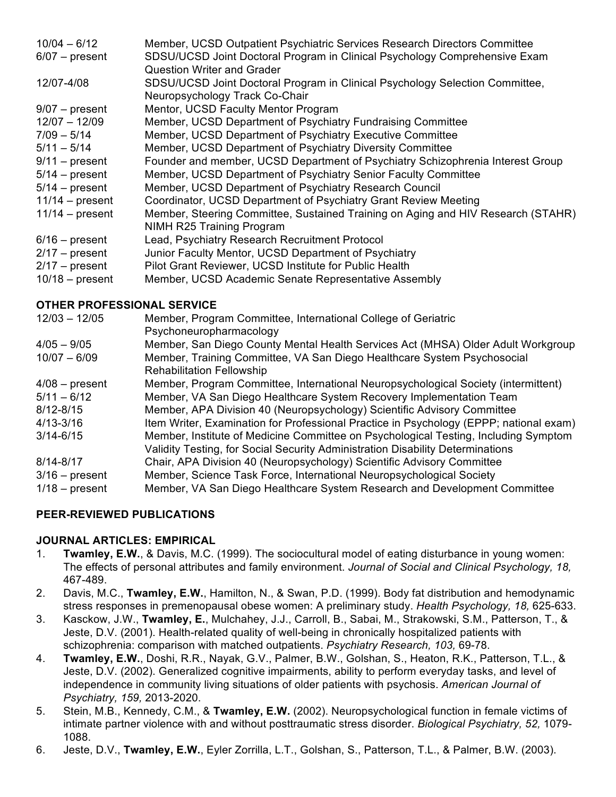| $10/04 - 6/12$    | Member, UCSD Outpatient Psychiatric Services Research Directors Committee        |
|-------------------|----------------------------------------------------------------------------------|
| $6/07$ – present  | SDSU/UCSD Joint Doctoral Program in Clinical Psychology Comprehensive Exam       |
|                   | <b>Question Writer and Grader</b>                                                |
| 12/07-4/08        | SDSU/UCSD Joint Doctoral Program in Clinical Psychology Selection Committee,     |
|                   | Neuropsychology Track Co-Chair                                                   |
| $9/07$ – present  | Mentor, UCSD Faculty Mentor Program                                              |
| $12/07 - 12/09$   | Member, UCSD Department of Psychiatry Fundraising Committee                      |
| $7/09 - 5/14$     | Member, UCSD Department of Psychiatry Executive Committee                        |
| $5/11 - 5/14$     | Member, UCSD Department of Psychiatry Diversity Committee                        |
| $9/11$ – present  | Founder and member, UCSD Department of Psychiatry Schizophrenia Interest Group   |
| $5/14$ – present  | Member, UCSD Department of Psychiatry Senior Faculty Committee                   |
| $5/14$ – present  | Member, UCSD Department of Psychiatry Research Council                           |
| $11/14$ – present | Coordinator, UCSD Department of Psychiatry Grant Review Meeting                  |
| $11/14$ – present | Member, Steering Committee, Sustained Training on Aging and HIV Research (STAHR) |
|                   | NIMH R25 Training Program                                                        |
| $6/16$ – present  | Lead, Psychiatry Research Recruitment Protocol                                   |
| $2/17$ – present  | Junior Faculty Mentor, UCSD Department of Psychiatry                             |
| $2/17$ – present  | Pilot Grant Reviewer, UCSD Institute for Public Health                           |
| $10/18$ – present | Member, UCSD Academic Senate Representative Assembly                             |

## **OTHER PROFESSIONAL SERVICE**

| $12/03 - 12/05$  | Member, Program Committee, International College of Geriatric                          |  |  |  |  |
|------------------|----------------------------------------------------------------------------------------|--|--|--|--|
|                  | Psychoneuropharmacology                                                                |  |  |  |  |
| $4/05 - 9/05$    | Member, San Diego County Mental Health Services Act (MHSA) Older Adult Workgroup       |  |  |  |  |
| $10/07 - 6/09$   | Member, Training Committee, VA San Diego Healthcare System Psychosocial                |  |  |  |  |
|                  | <b>Rehabilitation Fellowship</b>                                                       |  |  |  |  |
| $4/08$ – present | Member, Program Committee, International Neuropsychological Society (intermittent)     |  |  |  |  |
| $5/11 - 6/12$    | Member, VA San Diego Healthcare System Recovery Implementation Team                    |  |  |  |  |
| $8/12 - 8/15$    | Member, APA Division 40 (Neuropsychology) Scientific Advisory Committee                |  |  |  |  |
| $4/13 - 3/16$    | Item Writer, Examination for Professional Practice in Psychology (EPPP; national exam) |  |  |  |  |
| $3/14 - 6/15$    | Member, Institute of Medicine Committee on Psychological Testing, Including Symptom    |  |  |  |  |
|                  | Validity Testing, for Social Security Administration Disability Determinations         |  |  |  |  |
| $8/14 - 8/17$    | Chair, APA Division 40 (Neuropsychology) Scientific Advisory Committee                 |  |  |  |  |
| $3/16$ – present | Member, Science Task Force, International Neuropsychological Society                   |  |  |  |  |
| $1/18$ – present | Member, VA San Diego Healthcare System Research and Development Committee              |  |  |  |  |

## **PEER-REVIEWED PUBLICATIONS**

#### **JOURNAL ARTICLES: EMPIRICAL**

- 1. **Twamley, E.W.**, & Davis, M.C. (1999). The sociocultural model of eating disturbance in young women: The effects of personal attributes and family environment. *Journal of Social and Clinical Psychology, 18,* 467-489.
- 2. Davis, M.C., **Twamley, E.W.**, Hamilton, N., & Swan, P.D. (1999). Body fat distribution and hemodynamic stress responses in premenopausal obese women: A preliminary study. *Health Psychology, 18,* 625-633.
- 3. Kasckow, J.W., **Twamley, E.**, Mulchahey, J.J., Carroll, B., Sabai, M., Strakowski, S.M., Patterson, T., & Jeste, D.V. (2001). Health-related quality of well-being in chronically hospitalized patients with schizophrenia: comparison with matched outpatients. *Psychiatry Research, 103,* 69-78.
- 4. **Twamley, E.W.**, Doshi, R.R., Nayak, G.V., Palmer, B.W., Golshan, S., Heaton, R.K., Patterson, T.L., & Jeste, D.V. (2002). Generalized cognitive impairments, ability to perform everyday tasks, and level of independence in community living situations of older patients with psychosis. *American Journal of Psychiatry, 159,* 2013-2020.
- 5. Stein, M.B., Kennedy, C.M., & **Twamley, E.W.** (2002). Neuropsychological function in female victims of intimate partner violence with and without posttraumatic stress disorder. *Biological Psychiatry, 52,* 1079- 1088.
- 6. Jeste, D.V., **Twamley, E.W.**, Eyler Zorrilla, L.T., Golshan, S., Patterson, T.L., & Palmer, B.W. (2003).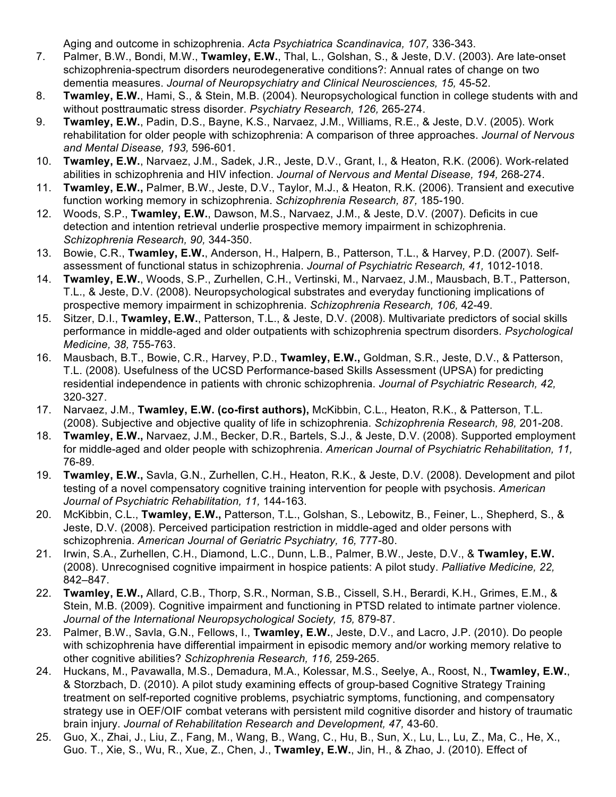Aging and outcome in schizophrenia. *Acta Psychiatrica Scandinavica, 107,* 336-343.

- 7. Palmer, B.W., Bondi, M.W., **Twamley, E.W.**, Thal, L., Golshan, S., & Jeste, D.V. (2003). Are late-onset schizophrenia-spectrum disorders neurodegenerative conditions?: Annual rates of change on two dementia measures. *Journal of Neuropsychiatry and Clinical Neurosciences, 15,* 45-52.
- 8. **Twamley, E.W.**, Hami, S., & Stein, M.B. (2004). Neuropsychological function in college students with and without posttraumatic stress disorder. *Psychiatry Research, 126,* 265-274.
- 9. **Twamley, E.W.**, Padin, D.S., Bayne, K.S., Narvaez, J.M., Williams, R.E., & Jeste, D.V. (2005). Work rehabilitation for older people with schizophrenia: A comparison of three approaches. *Journal of Nervous and Mental Disease, 193,* 596-601.
- 10. **Twamley, E.W.**, Narvaez, J.M., Sadek, J.R., Jeste, D.V., Grant, I., & Heaton, R.K. (2006). Work-related abilities in schizophrenia and HIV infection. *Journal of Nervous and Mental Disease, 194,* 268-274.
- 11. **Twamley, E.W.,** Palmer, B.W., Jeste, D.V., Taylor, M.J., & Heaton, R.K. (2006). Transient and executive function working memory in schizophrenia. *Schizophrenia Research, 87,* 185-190.
- 12. Woods, S.P., **Twamley, E.W.**, Dawson, M.S., Narvaez, J.M., & Jeste, D.V. (2007). Deficits in cue detection and intention retrieval underlie prospective memory impairment in schizophrenia. *Schizophrenia Research, 90,* 344-350.
- 13. Bowie, C.R., **Twamley, E.W.**, Anderson, H., Halpern, B., Patterson, T.L., & Harvey, P.D. (2007). Selfassessment of functional status in schizophrenia. *Journal of Psychiatric Research, 41,* 1012-1018.
- 14. **Twamley, E.W.**, Woods, S.P., Zurhellen, C.H., Vertinski, M., Narvaez, J.M., Mausbach, B.T., Patterson, T.L., & Jeste, D.V. (2008). Neuropsychological substrates and everyday functioning implications of prospective memory impairment in schizophrenia. *Schizophrenia Research, 106,* 42-49.
- 15. Sitzer, D.I., **Twamley, E.W.**, Patterson, T.L., & Jeste, D.V. (2008). Multivariate predictors of social skills performance in middle-aged and older outpatients with schizophrenia spectrum disorders. *Psychological Medicine, 38,* 755-763.
- 16. Mausbach, B.T., Bowie, C.R., Harvey, P.D., **Twamley, E.W.,** Goldman, S.R., Jeste, D.V., & Patterson, T.L. (2008). Usefulness of the UCSD Performance-based Skills Assessment (UPSA) for predicting residential independence in patients with chronic schizophrenia. *Journal of Psychiatric Research, 42,* 320-327.
- 17. Narvaez, J.M., **Twamley, E.W. (co-first authors),** McKibbin, C.L., Heaton, R.K., & Patterson, T.L. (2008). Subjective and objective quality of life in schizophrenia. *Schizophrenia Research, 98,* 201-208.
- 18. **Twamley, E.W.,** Narvaez, J.M., Becker, D.R., Bartels, S.J., & Jeste, D.V. (2008). Supported employment for middle-aged and older people with schizophrenia. *American Journal of Psychiatric Rehabilitation, 11,* 76-89.
- 19. **Twamley, E.W.,** Savla, G.N., Zurhellen, C.H., Heaton, R.K., & Jeste, D.V. (2008). Development and pilot testing of a novel compensatory cognitive training intervention for people with psychosis. *American Journal of Psychiatric Rehabilitation, 11,* 144-163.
- 20. McKibbin, C.L., **Twamley, E.W.,** Patterson, T.L., Golshan, S., Lebowitz, B., Feiner, L., Shepherd, S., & Jeste, D.V. (2008). Perceived participation restriction in middle-aged and older persons with schizophrenia. *American Journal of Geriatric Psychiatry, 16,* 777-80.
- 21. Irwin, S.A., Zurhellen, C.H., Diamond, L.C., Dunn, L.B., Palmer, B.W., Jeste, D.V., & **Twamley, E.W.** (2008). Unrecognised cognitive impairment in hospice patients: A pilot study. *Palliative Medicine, 22,* 842–847.
- 22. **Twamley, E.W.,** Allard, C.B., Thorp, S.R., Norman, S.B., Cissell, S.H., Berardi, K.H., Grimes, E.M., & Stein, M.B. (2009). Cognitive impairment and functioning in PTSD related to intimate partner violence. *Journal of the International Neuropsychological Society, 15,* 879-87.
- 23. Palmer, B.W., Savla, G.N., Fellows, I., **Twamley, E.W.**, Jeste, D.V., and Lacro, J.P. (2010). Do people with schizophrenia have differential impairment in episodic memory and/or working memory relative to other cognitive abilities? *Schizophrenia Research, 116,* 259-265.
- 24. Huckans, M., Pavawalla, M.S., Demadura, M.A., Kolessar, M.S., Seelye, A., Roost, N., **Twamley, E.W.**, & Storzbach, D. (2010). A pilot study examining effects of group-based Cognitive Strategy Training treatment on self-reported cognitive problems, psychiatric symptoms, functioning, and compensatory strategy use in OEF/OIF combat veterans with persistent mild cognitive disorder and history of traumatic brain injury. *Journal of Rehabilitation Research and Development, 47,* 43-60.
- 25. Guo, X., Zhai, J., Liu, Z., Fang, M., Wang, B., Wang, C., Hu, B., Sun, X., Lu, L., Lu, Z., Ma, C., He, X., Guo. T., Xie, S., Wu, R., Xue, Z., Chen, J., **Twamley, E.W.**, Jin, H., & Zhao, J. (2010). Effect of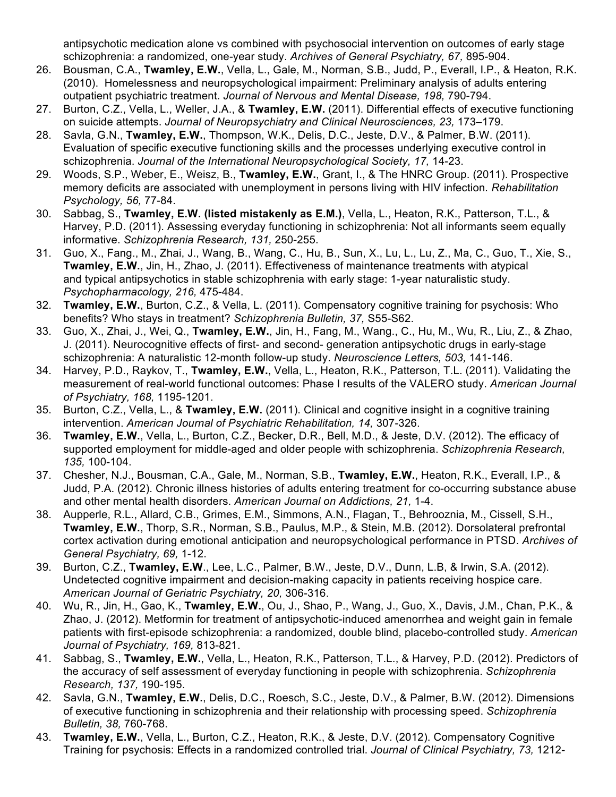antipsychotic medication alone vs combined with psychosocial intervention on outcomes of early stage schizophrenia: a randomized, one-year study. *Archives of General Psychiatry, 67,* 895-904.

- 26. Bousman, C.A., **Twamley, E.W.**, Vella, L., Gale, M., Norman, S.B., Judd, P., Everall, I.P., & Heaton, R.K. (2010). Homelessness and neuropsychological impairment: Preliminary analysis of adults entering outpatient psychiatric treatment. *Journal of Nervous and Mental Disease, 198,* 790-794.
- 27. Burton, C.Z., Vella, L., Weller, J.A., & **Twamley, E.W.** (2011). Differential effects of executive functioning on suicide attempts. *Journal of Neuropsychiatry and Clinical Neurosciences, 23,* 173–179.
- 28. Savla, G.N., **Twamley, E.W.**, Thompson, W.K., Delis, D.C., Jeste, D.V., & Palmer, B.W. (2011). Evaluation of specific executive functioning skills and the processes underlying executive control in schizophrenia. *Journal of the International Neuropsychological Society, 17,* 14-23.
- 29. Woods, S.P., Weber, E., Weisz, B., **Twamley, E.W.**, Grant, I., & The HNRC Group. (2011). Prospective memory deficits are associated with unemployment in persons living with HIV infection*. Rehabilitation Psychology, 56,* 77-84.
- 30. Sabbag, S., **Twamley, E.W. (listed mistakenly as E.M.)**, Vella, L., Heaton, R.K., Patterson, T.L., & Harvey, P.D. (2011). Assessing everyday functioning in schizophrenia: Not all informants seem equally informative. *Schizophrenia Research, 131,* 250-255.
- 31. Guo, X., Fang., M., Zhai, J., Wang, B., Wang, C., Hu, B., Sun, X., Lu, L., Lu, Z., Ma, C., Guo, T., Xie, S., **Twamley, E.W.**, Jin, H., Zhao, J. (2011). Effectiveness of maintenance treatments with atypical and typical antipsychotics in stable schizophrenia with early stage: 1-year naturalistic study. *Psychopharmacology, 216,* 475-484.
- 32. **Twamley, E.W.**, Burton, C.Z., & Vella, L. (2011). Compensatory cognitive training for psychosis: Who benefits? Who stays in treatment? *Schizophrenia Bulletin, 37,* S55-S62.
- 33. Guo, X., Zhai, J., Wei, Q., **Twamley, E.W.**, Jin, H., Fang, M., Wang., C., Hu, M., Wu, R., Liu, Z., & Zhao, J. (2011). Neurocognitive effects of first- and second- generation antipsychotic drugs in early-stage schizophrenia: A naturalistic 12-month follow-up study. *Neuroscience Letters, 503,* 141-146.
- 34. Harvey, P.D., Raykov, T., **Twamley, E.W.**, Vella, L., Heaton, R.K., Patterson, T.L. (2011). Validating the measurement of real-world functional outcomes: Phase I results of the VALERO study. *American Journal of Psychiatry, 168,* 1195-1201.
- 35. Burton, C.Z., Vella, L., & **Twamley, E.W.** (2011). Clinical and cognitive insight in a cognitive training intervention. *American Journal of Psychiatric Rehabilitation, 14,* 307-326.
- 36. **Twamley, E.W.**, Vella, L., Burton, C.Z., Becker, D.R., Bell, M.D., & Jeste, D.V. (2012). The efficacy of supported employment for middle-aged and older people with schizophrenia. *Schizophrenia Research, 135,* 100-104.
- 37. Chesher, N.J., Bousman, C.A., Gale, M., Norman, S.B., **Twamley, E.W.**, Heaton, R.K., Everall, I.P., & Judd, P.A. (2012). Chronic illness histories of adults entering treatment for co-occurring substance abuse and other mental health disorders. *American Journal on Addictions, 21,* 1-4.
- 38. Aupperle, R.L., Allard, C.B., Grimes, E.M., Simmons, A.N., Flagan, T., Behrooznia, M., Cissell, S.H., **Twamley, E.W.**, Thorp, S.R., Norman, S.B., Paulus, M.P., & Stein, M.B. (2012). Dorsolateral prefrontal cortex activation during emotional anticipation and neuropsychological performance in PTSD. *Archives of General Psychiatry, 69,* 1-12.
- 39. Burton, C.Z., **Twamley, E.W**., Lee, L.C., Palmer, B.W., Jeste, D.V., Dunn, L.B, & Irwin, S.A. (2012). Undetected cognitive impairment and decision-making capacity in patients receiving hospice care. *American Journal of Geriatric Psychiatry, 20,* 306-316.
- 40. Wu, R., Jin, H., Gao, K., **Twamley, E.W.**, Ou, J., Shao, P., Wang, J., Guo, X., Davis, J.M., Chan, P.K., & Zhao, J. (2012). Metformin for treatment of antipsychotic-induced amenorrhea and weight gain in female patients with first-episode schizophrenia: a randomized, double blind, placebo-controlled study. *American Journal of Psychiatry, 169,* 813-821.
- 41. Sabbag, S., **Twamley, E.W.**, Vella, L., Heaton, R.K., Patterson, T.L., & Harvey, P.D. (2012). Predictors of the accuracy of self assessment of everyday functioning in people with schizophrenia. *Schizophrenia Research, 137,* 190-195.
- 42. Savla, G.N., **Twamley, E.W.**, Delis, D.C., Roesch, S.C., Jeste, D.V., & Palmer, B.W. (2012). Dimensions of executive functioning in schizophrenia and their relationship with processing speed. *Schizophrenia Bulletin, 38,* 760-768.
- 43. **Twamley, E.W.**, Vella, L., Burton, C.Z., Heaton, R.K., & Jeste, D.V. (2012). Compensatory Cognitive Training for psychosis: Effects in a randomized controlled trial. *Journal of Clinical Psychiatry, 73,* 1212-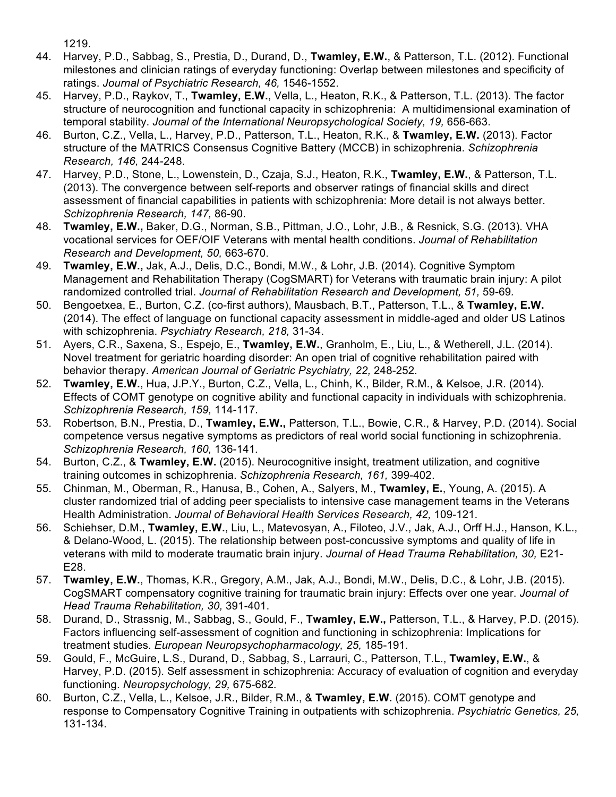1219.

- 44. Harvey, P.D., Sabbag, S., Prestia, D., Durand, D., **Twamley, E.W.**, & Patterson, T.L. (2012). Functional milestones and clinician ratings of everyday functioning: Overlap between milestones and specificity of ratings. *Journal of Psychiatric Research, 46,* 1546-1552.
- 45. Harvey, P.D., Raykov, T., **Twamley, E.W.**, Vella, L., Heaton, R.K., & Patterson, T.L. (2013). The factor structure of neurocognition and functional capacity in schizophrenia: A multidimensional examination of temporal stability. *Journal of the International Neuropsychological Society, 19,* 656-663.
- 46. Burton, C.Z., Vella, L., Harvey, P.D., Patterson, T.L., Heaton, R.K., & **Twamley, E.W.** (2013). Factor structure of the MATRICS Consensus Cognitive Battery (MCCB) in schizophrenia. *Schizophrenia Research, 146,* 244-248.
- 47. Harvey, P.D., Stone, L., Lowenstein, D., Czaja, S.J., Heaton, R.K., **Twamley, E.W.**, & Patterson, T.L. (2013). The convergence between self-reports and observer ratings of financial skills and direct assessment of financial capabilities in patients with schizophrenia: More detail is not always better. *Schizophrenia Research, 147,* 86-90.
- 48. **Twamley, E.W.,** Baker, D.G., Norman, S.B., Pittman, J.O., Lohr, J.B., & Resnick, S.G. (2013). VHA vocational services for OEF/OIF Veterans with mental health conditions. *Journal of Rehabilitation Research and Development, 50,* 663-670.
- 49. **Twamley, E.W.,** Jak, A.J., Delis, D.C., Bondi, M.W., & Lohr, J.B. (2014). Cognitive Symptom Management and Rehabilitation Therapy (CogSMART) for Veterans with traumatic brain injury: A pilot randomized controlled trial. *Journal of Rehabilitation Research and Development, 51,* 59-69*.*
- 50. Bengoetxea, E., Burton, C.Z. (co-first authors), Mausbach, B.T., Patterson, T.L., & **Twamley, E.W.** (2014). The effect of language on functional capacity assessment in middle-aged and older US Latinos with schizophrenia. *Psychiatry Research, 218,* 31-34.
- 51. Ayers, C.R., Saxena, S., Espejo, E., **Twamley, E.W.**, Granholm, E., Liu, L., & Wetherell, J.L. (2014). Novel treatment for geriatric hoarding disorder: An open trial of cognitive rehabilitation paired with behavior therapy. *American Journal of Geriatric Psychiatry, 22,* 248-252*.*
- 52. **Twamley, E.W.**, Hua, J.P.Y., Burton, C.Z., Vella, L., Chinh, K., Bilder, R.M., & Kelsoe, J.R. (2014). Effects of COMT genotype on cognitive ability and functional capacity in individuals with schizophrenia. *Schizophrenia Research, 159,* 114-117*.*
- 53. Robertson, B.N., Prestia, D., **Twamley, E.W.,** Patterson, T.L., Bowie, C.R., & Harvey, P.D. (2014). Social competence versus negative symptoms as predictors of real world social functioning in schizophrenia. *Schizophrenia Research, 160,* 136-141*.*
- 54. Burton, C.Z., & **Twamley, E.W.** (2015). Neurocognitive insight, treatment utilization, and cognitive training outcomes in schizophrenia. *Schizophrenia Research, 161,* 399-402.
- 55. Chinman, M., Oberman, R., Hanusa, B., Cohen, A., Salyers, M., **Twamley, E.**, Young, A. (2015). A cluster randomized trial of adding peer specialists to intensive case management teams in the Veterans Health Administration. *Journal of Behavioral Health Services Research, 42,* 109-121*.*
- 56. Schiehser, D.M., **Twamley, E.W.**, Liu, L., Matevosyan, A., Filoteo, J.V., Jak, A.J., Orff H.J., Hanson, K.L., & Delano-Wood, L. (2015). The relationship between post-concussive symptoms and quality of life in veterans with mild to moderate traumatic brain injury. *Journal of Head Trauma Rehabilitation, 30,* E21- E28.
- 57. **Twamley, E.W.**, Thomas, K.R., Gregory, A.M., Jak, A.J., Bondi, M.W., Delis, D.C., & Lohr, J.B. (2015). CogSMART compensatory cognitive training for traumatic brain injury: Effects over one year. *Journal of Head Trauma Rehabilitation, 30,* 391-401.
- 58. Durand, D., Strassnig, M., Sabbag, S., Gould, F., **Twamley, E.W.,** Patterson, T.L., & Harvey, P.D. (2015). Factors influencing self-assessment of cognition and functioning in schizophrenia: Implications for treatment studies. *European Neuropsychopharmacology, 25,* 185-191*.*
- 59. Gould, F., McGuire, L.S., Durand, D., Sabbag, S., Larrauri, C., Patterson, T.L., **Twamley, E.W.**, & Harvey, P.D. (2015). Self assessment in schizophrenia: Accuracy of evaluation of cognition and everyday functioning. *Neuropsychology, 29,* 675-682*.*
- 60. Burton, C.Z., Vella, L., Kelsoe, J.R., Bilder, R.M., & **Twamley, E.W.** (2015). COMT genotype and response to Compensatory Cognitive Training in outpatients with schizophrenia. *Psychiatric Genetics, 25,*  131-134*.*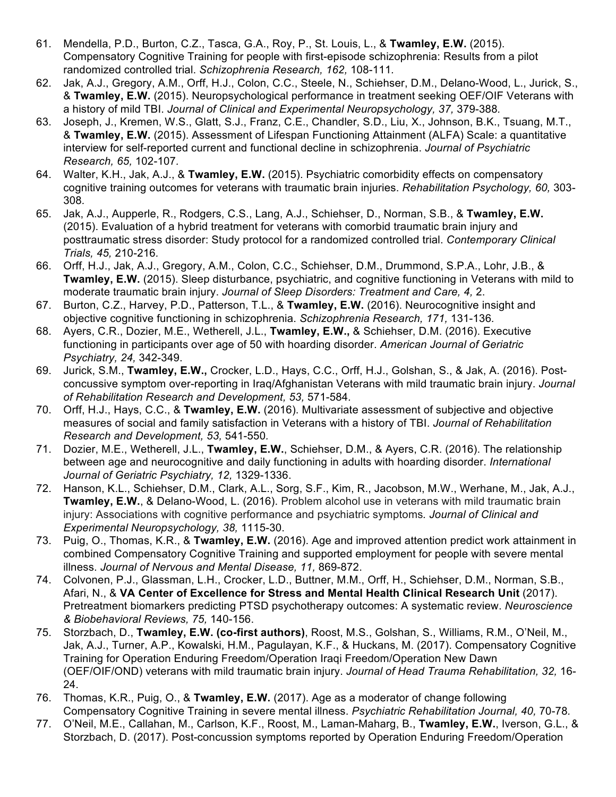- 61. Mendella, P.D., Burton, C.Z., Tasca, G.A., Roy, P., St. Louis, L., & **Twamley, E.W.** (2015). Compensatory Cognitive Training for people with first-episode schizophrenia: Results from a pilot randomized controlled trial. *Schizophrenia Research, 162,* 108-111*.*
- 62. Jak, A.J., Gregory, A.M., Orff, H.J., Colon, C.C., Steele, N., Schiehser, D.M., Delano-Wood, L., Jurick, S., & **Twamley, E.W.** (2015). Neuropsychological performance in treatment seeking OEF/OIF Veterans with a history of mild TBI. *Journal of Clinical and Experimental Neuropsychology, 37,* 379-388*.*
- 63. Joseph, J., Kremen, W.S., Glatt, S.J., Franz, C.E., Chandler, S.D., Liu, X., Johnson, B.K., Tsuang, M.T., & **Twamley, E.W.** (2015). Assessment of Lifespan Functioning Attainment (ALFA) Scale: a quantitative interview for self-reported current and functional decline in schizophrenia. *Journal of Psychiatric Research, 65,* 102-107*.*
- 64. Walter, K.H., Jak, A.J., & **Twamley, E.W.** (2015). Psychiatric comorbidity effects on compensatory cognitive training outcomes for veterans with traumatic brain injuries. *Rehabilitation Psychology, 60,* 303- 308*.*
- 65. Jak, A.J., Aupperle, R., Rodgers, C.S., Lang, A.J., Schiehser, D., Norman, S.B., & **Twamley, E.W.** (2015). Evaluation of a hybrid treatment for veterans with comorbid traumatic brain injury and posttraumatic stress disorder: Study protocol for a randomized controlled trial. *Contemporary Clinical Trials, 45,* 210-216*.*
- 66. Orff, H.J., Jak, A.J., Gregory, A.M., Colon, C.C., Schiehser, D.M., Drummond, S.P.A., Lohr, J.B., & **Twamley, E.W.** (2015). Sleep disturbance, psychiatric, and cognitive functioning in Veterans with mild to moderate traumatic brain injury. *Journal of Sleep Disorders: Treatment and Care, 4,* 2.
- 67. Burton, C.Z., Harvey, P.D., Patterson, T.L., & **Twamley, E.W.** (2016). Neurocognitive insight and objective cognitive functioning in schizophrenia. *Schizophrenia Research, 171,* 131-136*.*
- 68. Ayers, C.R., Dozier, M.E., Wetherell, J.L., **Twamley, E.W.,** & Schiehser, D.M. (2016). Executive functioning in participants over age of 50 with hoarding disorder. *American Journal of Geriatric Psychiatry, 24,* 342-349.
- 69. Jurick, S.M., **Twamley, E.W.,** Crocker, L.D., Hays, C.C., Orff, H.J., Golshan, S., & Jak, A. (2016). Postconcussive symptom over-reporting in Iraq/Afghanistan Veterans with mild traumatic brain injury. *Journal of Rehabilitation Research and Development, 53,* 571-584*.*
- 70. Orff, H.J., Hays, C.C., & **Twamley, E.W.** (2016). Multivariate assessment of subjective and objective measures of social and family satisfaction in Veterans with a history of TBI. *Journal of Rehabilitation Research and Development, 53,* 541-550*.*
- 71. Dozier, M.E., Wetherell, J.L., **Twamley, E.W.**, Schiehser, D.M., & Ayers, C.R. (2016). The relationship between age and neurocognitive and daily functioning in adults with hoarding disorder. *International Journal of Geriatric Psychiatry, 12,* 1329-1336.
- 72. Hanson, K.L., Schiehser, D.M., Clark, A.L., Sorg, S.F., Kim, R., Jacobson, M.W., Werhane, M., Jak, A.J., **Twamley, E.W.**, & Delano-Wood, L. (2016). Problem alcohol use in veterans with mild traumatic brain injury: Associations with cognitive performance and psychiatric symptoms*. Journal of Clinical and Experimental Neuropsychology, 38,* 1115-30.
- 73. Puig, O., Thomas, K.R., & **Twamley, E.W.** (2016). Age and improved attention predict work attainment in combined Compensatory Cognitive Training and supported employment for people with severe mental illness. *Journal of Nervous and Mental Disease, 11,* 869-872.
- 74. Colvonen, P.J., Glassman, L.H., Crocker, L.D., Buttner, M.M., Orff, H., Schiehser, D.M., Norman, S.B., Afari, N., & **VA Center of Excellence for Stress and Mental Health Clinical Research Unit** (2017). Pretreatment biomarkers predicting PTSD psychotherapy outcomes: A systematic review. *Neuroscience & Biobehavioral Reviews, 75,* 140-156.
- 75. Storzbach, D., **Twamley, E.W. (co-first authors)**, Roost, M.S., Golshan, S., Williams, R.M., O'Neil, M., Jak, A.J., Turner, A.P., Kowalski, H.M., Pagulayan, K.F., & Huckans, M. (2017). Compensatory Cognitive Training for Operation Enduring Freedom/Operation Iraqi Freedom/Operation New Dawn (OEF/OIF/OND) veterans with mild traumatic brain injury. *Journal of Head Trauma Rehabilitation, 32,* 16- 24.
- 76. Thomas, K.R., Puig, O., & **Twamley, E.W.** (2017). Age as a moderator of change following Compensatory Cognitive Training in severe mental illness. *Psychiatric Rehabilitation Journal, 40,* 70-78*.*
- 77. O'Neil, M.E., Callahan, M., Carlson, K.F., Roost, M., Laman-Maharg, B., **Twamley, E.W.**, Iverson, G.L., & Storzbach, D. (2017). Post-concussion symptoms reported by Operation Enduring Freedom/Operation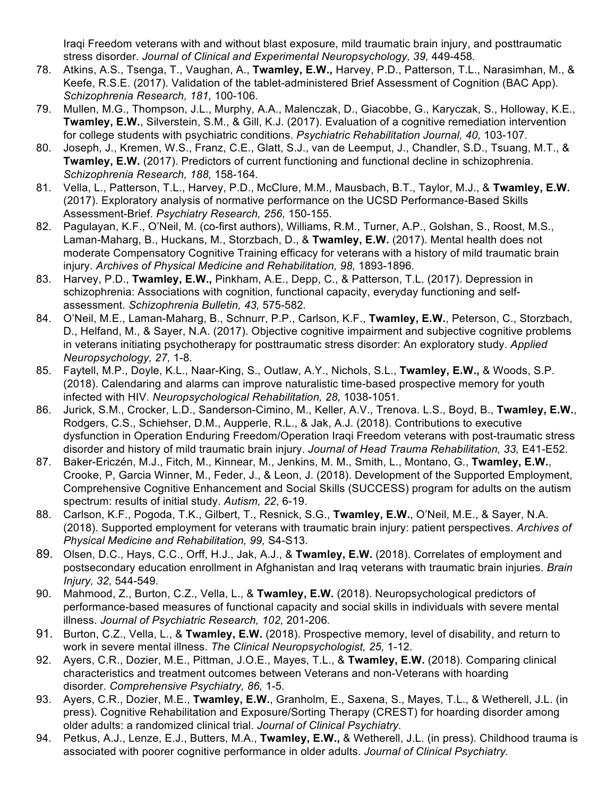Iraqi Freedom veterans with and without blast exposure, mild traumatic brain injury, and posttraumatic stress disorder. Journal of Clinical and Experimental Neuropsychology, 39, 449-458.

- 78. Atkins, A.S., Tsenga, T., Vaughan, A., **Twamley, E.W.,** Harvey, P.D., Patterson, T.L., Narasimhan, M., & Keefe, R.S.E. (2017). Validation of the tablet-administered Brief Assessment of Cognition (BAC App). *Schizophrenia Research, 181,* 100-106*.*
- 79. Mullen, M.G., Thompson, J.L., Murphy, A.A., Malenczak, D., Giacobbe, G., Karyczak, S., Holloway, K.E., **Twamley, E.W.**, Silverstein, S.M., & Gill, K.J. (2017). Evaluation of a cognitive remediation intervention for college students with psychiatric conditions. *Psychiatric Rehabilitation Journal, 40,* 103-107*.*
- 80. Joseph, J., Kremen, W.S., Franz, C.E., Glatt, S.J., van de Leemput, J., Chandler, S.D., Tsuang, M.T., & **Twamley, E.W.** (2017). Predictors of current functioning and functional decline in schizophrenia. *Schizophrenia Research, 188,* 158-164*.*
- 81. Vella, L., Patterson, T.L., Harvey, P.D., McClure, M.M., Mausbach, B.T., Taylor, M.J., & **Twamley, E.W.** (2017). Exploratory analysis of normative performance on the UCSD Performance-Based Skills Assessment-Brief. *Psychiatry Research, 256,* 150-155*.*
- 82. Pagulayan, K.F., O'Neil, M. (co-first authors), Williams, R.M., Turner, A.P., Golshan, S., Roost, M.S., Laman-Maharg, B., Huckans, M., Storzbach, D., & **Twamley, E.W.** (2017). Mental health does not moderate Compensatory Cognitive Training efficacy for veterans with a history of mild traumatic brain injury. *Archives of Physical Medicine and Rehabilitation, 98,* 1893-1896*.*
- 83. Harvey, P.D., **Twamley, E.W.,** Pinkham, A.E., Depp, C., & Patterson, T.L. (2017). Depression in schizophrenia: Associations with cognition, functional capacity, everyday functioning and selfassessment. *Schizophrenia Bulletin, 43,* 575-582*.*
- 84. O'Neil, M.E., Laman-Maharg, B., Schnurr, P.P., Carlson, K.F., **Twamley, E.W.**, Peterson, C., Storzbach, D., Helfand, M., & Sayer, N.A. (2017). Objective cognitive impairment and subjective cognitive problems in veterans initiating psychotherapy for posttraumatic stress disorder: An exploratory study. *Applied Neuropsychology, 27,* 1-8*.*
- 85. Faytell, M.P., Doyle, K.L., Naar-King, S., Outlaw, A.Y., Nichols, S.L., **Twamley, E.W.,** & Woods, S.P. (2018). Calendaring and alarms can improve naturalistic time-based prospective memory for youth infected with HIV. *Neuropsychological Rehabilitation, 28,* 1038-1051*.*
- 86. Jurick, S.M., Crocker, L.D., Sanderson-Cimino, M., Keller, A.V., Trenova. L.S., Boyd, B., **Twamley, E.W.**, Rodgers, C.S., Schiehser, D.M., Aupperle, R.L., & Jak, A.J. (2018). Contributions to executive dysfunction in Operation Enduring Freedom/Operation Iraqi Freedom veterans with post-traumatic stress disorder and history of mild traumatic brain injury. *Journal of Head Trauma Rehabilitation, 33,* E41-E52*.*
- 87. Baker-Ericzén, M.J., Fitch, M., Kinnear, M., Jenkins, M. M., Smith, L., Montano, G., **Twamley, E.W.**, Crooke, P, Garcia Winner, M., Feder, J., & Leon, J. (2018). Development of the Supported Employment, Comprehensive Cognitive Enhancement and Social Skills (SUCCESS) program for adults on the autism spectrum: results of initial study. *Autism, 22*, 6-19.
- 88. Carlson, K.F., Pogoda, T.K., Gilbert, T., Resnick, S.G., **Twamley, E.W.**, O'Neil, M.E., & Sayer, N.A. (2018). Supported employment for veterans with traumatic brain injury: patient perspectives. *Archives of Physical Medicine and Rehabilitation, 99,* S4-S13*.*
- 89. Olsen, D.C., Hays, C.C., Orff, H.J., Jak, A.J., & **Twamley, E.W.** (2018). Correlates of employment and postsecondary education enrollment in Afghanistan and Iraq veterans with traumatic brain injuries. *Brain Injury, 32,* 544-549*.*
- 90. Mahmood, Z., Burton, C.Z., Vella, L., & **Twamley, E.W.** (2018). Neuropsychological predictors of performance-based measures of functional capacity and social skills in individuals with severe mental illness. *Journal of Psychiatric Research, 102,* 201-206*.*
- 91. Burton, C.Z., Vella, L., & **Twamley, E.W.** (2018). Prospective memory, level of disability, and return to work in severe mental illness. *The Clinical Neuropsychologist, 25,* 1-12*.*
- 92. Ayers, C.R., Dozier, M.E., Pittman, J.O.E., Mayes, T.L., & **Twamley, E.W.** (2018). Comparing clinical characteristics and treatment outcomes between Veterans and non-Veterans with hoarding disorder. *Comprehensive Psychiatry, 86,* 1-5*.*
- 93. Ayers, C.R., Dozier, M.E., **Twamley, E.W.**, Granholm, E., Saxena, S., Mayes, T.L., & Wetherell, J.L. (in press). Cognitive Rehabilitation and Exposure/Sorting Therapy (CREST) for hoarding disorder among older adults: a randomized clinical trial. *Journal of Clinical Psychiatry.*
- 94. Petkus, A.J., Lenze, E.J., Butters, M.A., **Twamley, E.W.,** & Wetherell, J.L. (in press). Childhood trauma is associated with poorer cognitive performance in older adults. *Journal of Clinical Psychiatry.*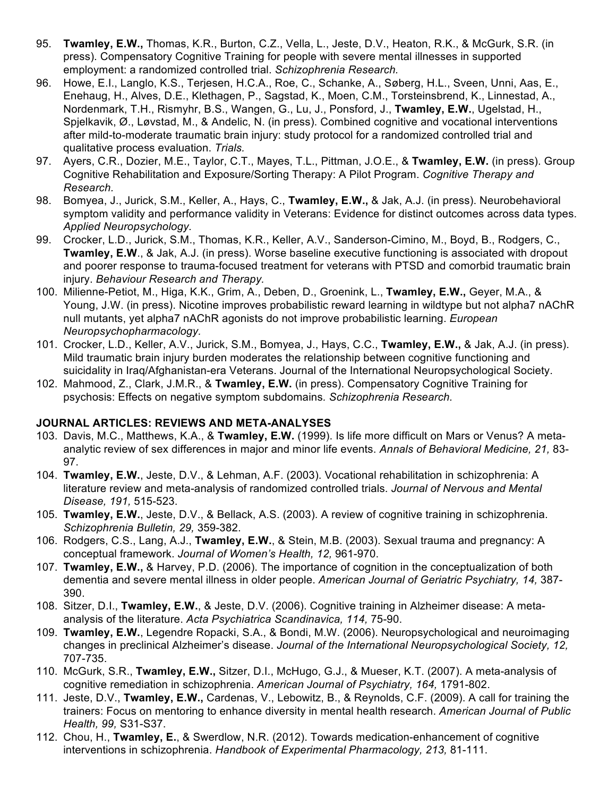- 95. **Twamley, E.W.,** Thomas, K.R., Burton, C.Z., Vella, L., Jeste, D.V., Heaton, R.K., & McGurk, S.R. (in press). Compensatory Cognitive Training for people with severe mental illnesses in supported employment: a randomized controlled trial. *Schizophrenia Research.*
- 96. Howe, E.I., Langlo, K.S., Terjesen, H.C.A., Roe, C., Schanke, A., Søberg, H.L., Sveen, Unni, Aas, E., Enehaug, H., Alves, D.E., Klethagen, P., Sagstad, K., Moen, C.M., Torsteinsbrend, K., Linnestad, A., Nordenmark, T.H., Rismyhr, B.S., Wangen, G., Lu, J., Ponsford, J., **Twamley, E.W.**, Ugelstad, H., Spjelkavik, Ø., Løvstad, M., & Andelic, N. (in press). Combined cognitive and vocational interventions after mild-to-moderate traumatic brain injury: study protocol for a randomized controlled trial and qualitative process evaluation. *Trials.*
- 97. Ayers, C.R., Dozier, M.E., Taylor, C.T., Mayes, T.L., Pittman, J.O.E., & **Twamley, E.W.** (in press). Group Cognitive Rehabilitation and Exposure/Sorting Therapy: A Pilot Program. *Cognitive Therapy and Research.*
- 98. Bomyea, J., Jurick, S.M., Keller, A., Hays, C., **Twamley, E.W.,** & Jak, A.J. (in press). Neurobehavioral symptom validity and performance validity in Veterans: Evidence for distinct outcomes across data types. *Applied Neuropsychology.*
- 99. Crocker, L.D., Jurick, S.M., Thomas, K.R., Keller, A.V., Sanderson-Cimino, M., Boyd, B., Rodgers, C., **Twamley, E.W**., & Jak, A.J. (in press). Worse baseline executive functioning is associated with dropout and poorer response to trauma-focused treatment for veterans with PTSD and comorbid traumatic brain injury. *Behaviour Research and Therapy.*
- 100. Milienne-Petiot, M., Higa, K.K., Grim, A., Deben, D., Groenink, L., **Twamley, E.W.,** Geyer, M.A., & Young, J.W. (in press). Nicotine improves probabilistic reward learning in wildtype but not alpha7 nAChR null mutants, yet alpha7 nAChR agonists do not improve probabilistic learning. *European Neuropsychopharmacology.*
- 101. Crocker, L.D., Keller, A.V., Jurick, S.M., Bomyea, J., Hays, C.C., **Twamley, E.W.,** & Jak, A.J. (in press). Mild traumatic brain injury burden moderates the relationship between cognitive functioning and suicidality in Iraq/Afghanistan-era Veterans. Journal of the International Neuropsychological Society.
- 102. Mahmood, Z., Clark, J.M.R., & **Twamley, E.W.** (in press). Compensatory Cognitive Training for psychosis: Effects on negative symptom subdomains*. Schizophrenia Research.*

#### **JOURNAL ARTICLES: REVIEWS AND META-ANALYSES**

- 103. Davis, M.C., Matthews, K.A., & **Twamley, E.W.** (1999). Is life more difficult on Mars or Venus? A metaanalytic review of sex differences in major and minor life events. *Annals of Behavioral Medicine, 21,* 83- 97.
- 104. **Twamley, E.W.**, Jeste, D.V., & Lehman, A.F. (2003). Vocational rehabilitation in schizophrenia: A literature review and meta-analysis of randomized controlled trials. *Journal of Nervous and Mental Disease, 191,* 515-523.
- 105. **Twamley, E.W.**, Jeste, D.V., & Bellack, A.S. (2003). A review of cognitive training in schizophrenia. *Schizophrenia Bulletin, 29,* 359-382.
- 106. Rodgers, C.S., Lang, A.J., **Twamley, E.W.**, & Stein, M.B. (2003). Sexual trauma and pregnancy: A conceptual framework. *Journal of Women's Health, 12,* 961-970.
- 107. **Twamley, E.W.,** & Harvey, P.D. (2006). The importance of cognition in the conceptualization of both dementia and severe mental illness in older people. *American Journal of Geriatric Psychiatry, 14,* 387- 390.
- 108. Sitzer, D.I., **Twamley, E.W.**, & Jeste, D.V. (2006). Cognitive training in Alzheimer disease: A metaanalysis of the literature. *Acta Psychiatrica Scandinavica, 114,* 75-90.
- 109. **Twamley, E.W.**, Legendre Ropacki, S.A., & Bondi, M.W. (2006). Neuropsychological and neuroimaging changes in preclinical Alzheimer's disease. *Journal of the International Neuropsychological Society, 12,*  707-735.
- 110. McGurk, S.R., **Twamley, E.W.,** Sitzer, D.I., McHugo, G.J., & Mueser, K.T. (2007). A meta-analysis of cognitive remediation in schizophrenia. *American Journal of Psychiatry, 164,* 1791-802.
- 111. Jeste, D.V., **Twamley, E.W.,** Cardenas, V., Lebowitz, B., & Reynolds, C.F. (2009). A call for training the trainers: Focus on mentoring to enhance diversity in mental health research. *American Journal of Public Health, 99,* S31-S37.
- 112. Chou, H., **Twamley, E.**, & Swerdlow, N.R. (2012). Towards medication-enhancement of cognitive interventions in schizophrenia. *Handbook of Experimental Pharmacology, 213,* 81-111.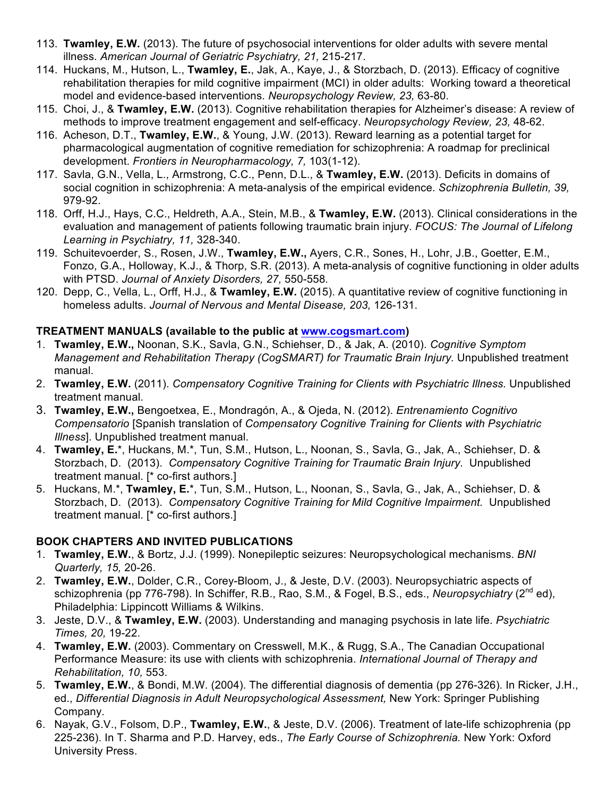- 113. **Twamley, E.W.** (2013). The future of psychosocial interventions for older adults with severe mental illness. *American Journal of Geriatric Psychiatry, 21,* 215-217.
- 114. Huckans, M., Hutson, L., **Twamley, E.**, Jak, A., Kaye, J., & Storzbach, D. (2013). Efficacy of cognitive rehabilitation therapies for mild cognitive impairment (MCI) in older adults: Working toward a theoretical model and evidence-based interventions. *Neuropsychology Review, 23,* 63-80.
- 115. Choi, J., & **Twamley, E.W.** (2013). Cognitive rehabilitation therapies for Alzheimer's disease: A review of methods to improve treatment engagement and self-efficacy. *Neuropsychology Review, 23,* 48-62.
- 116. Acheson, D.T., **Twamley, E.W.**, & Young, J.W. (2013). Reward learning as a potential target for pharmacological augmentation of cognitive remediation for schizophrenia: A roadmap for preclinical development. *Frontiers in Neuropharmacology, 7,* 103(1-12).
- 117. Savla, G.N., Vella, L., Armstrong, C.C., Penn, D.L., & **Twamley, E.W.** (2013). Deficits in domains of social cognition in schizophrenia: A meta-analysis of the empirical evidence. *Schizophrenia Bulletin, 39,*  979-92.
- 118. Orff, H.J., Hays, C.C., Heldreth, A.A., Stein, M.B., & **Twamley, E.W.** (2013). Clinical considerations in the evaluation and management of patients following traumatic brain injury. *FOCUS: The Journal of Lifelong Learning in Psychiatry, 11,* 328-340.
- 119. Schuitevoerder, S., Rosen, J.W., **Twamley, E.W.,** Ayers, C.R., Sones, H., Lohr, J.B., Goetter, E.M., Fonzo, G.A., Holloway, K.J., & Thorp, S.R. (2013). A meta-analysis of cognitive functioning in older adults with PTSD. *Journal of Anxiety Disorders, 27,* 550-558*.*
- 120. Depp, C., Vella, L., Orff, H.J., & **Twamley, E.W.** (2015). A quantitative review of cognitive functioning in homeless adults. *Journal of Nervous and Mental Disease, 203,* 126-131.

### **TREATMENT MANUALS (available to the public at www.cogsmart.com)**

- 1. **Twamley, E.W.,** Noonan, S.K., Savla, G.N., Schiehser, D., & Jak, A. (2010). *Cognitive Symptom Management and Rehabilitation Therapy (CogSMART) for Traumatic Brain Injury.* Unpublished treatment manual.
- 2. **Twamley, E.W.** (2011). *Compensatory Cognitive Training for Clients with Psychiatric Illness.* Unpublished treatment manual.
- 3. **Twamley, E.W.,** Bengoetxea, E., Mondragón, A., & Ojeda, N. (2012). *Entrenamiento Cognitivo Compensatorio* [Spanish translation of *Compensatory Cognitive Training for Clients with Psychiatric Illness*]. Unpublished treatment manual.
- 4. **Twamley, E.**\*, Huckans, M.\*, Tun, S.M., Hutson, L., Noonan, S., Savla, G., Jak, A., Schiehser, D. & Storzbach, D. (2013). *Compensatory Cognitive Training for Traumatic Brain Injury.* Unpublished treatment manual. [\* co-first authors.]
- 5. Huckans, M.\*, **Twamley, E.**\*, Tun, S.M., Hutson, L., Noonan, S., Savla, G., Jak, A., Schiehser, D. & Storzbach, D. (2013). *Compensatory Cognitive Training for Mild Cognitive Impairment.* Unpublished treatment manual. [\* co-first authors.]

#### **BOOK CHAPTERS AND INVITED PUBLICATIONS**

- 1. **Twamley, E.W.**, & Bortz, J.J. (1999). Nonepileptic seizures: Neuropsychological mechanisms. *BNI Quarterly, 15,* 20-26.
- 2. **Twamley, E.W.**, Dolder, C.R., Corey-Bloom, J., & Jeste, D.V. (2003). Neuropsychiatric aspects of schizophrenia (pp 776-798). In Schiffer, R.B., Rao, S.M., & Fogel, B.S., eds., *Neuropsychiatry* (2nd ed), Philadelphia: Lippincott Williams & Wilkins.
- 3. Jeste, D.V., & **Twamley, E.W.** (2003). Understanding and managing psychosis in late life. *Psychiatric Times, 20,* 19-22.
- 4. **Twamley, E.W.** (2003). Commentary on Cresswell, M.K., & Rugg, S.A., The Canadian Occupational Performance Measure: its use with clients with schizophrenia. *International Journal of Therapy and Rehabilitation, 10,* 553.
- 5. **Twamley, E.W.**, & Bondi, M.W. (2004). The differential diagnosis of dementia (pp 276-326). In Ricker, J.H., ed., *Differential Diagnosis in Adult Neuropsychological Assessment,* New York: Springer Publishing Company.
- 6. Nayak, G.V., Folsom, D.P., **Twamley, E.W.**, & Jeste, D.V. (2006). Treatment of late-life schizophrenia (pp 225-236). In T. Sharma and P.D. Harvey, eds., *The Early Course of Schizophrenia.* New York: Oxford University Press.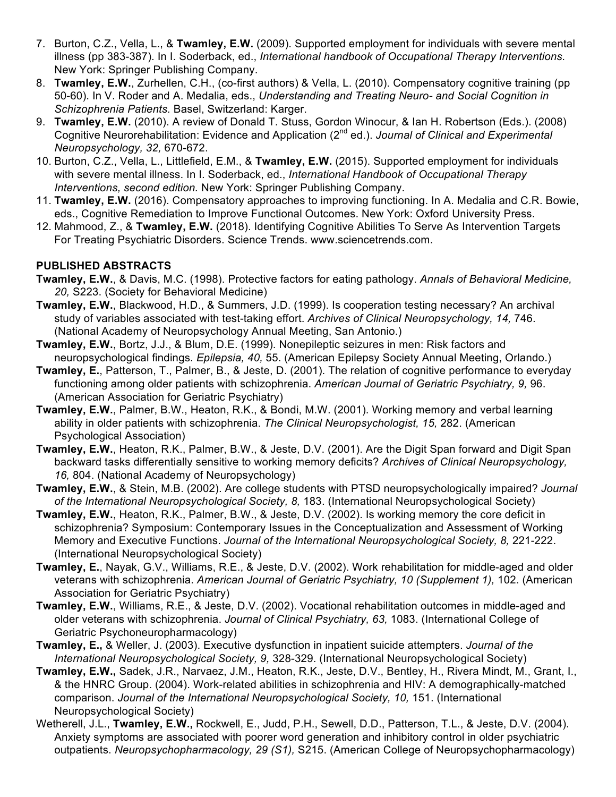- 7. Burton, C.Z., Vella, L., & **Twamley, E.W.** (2009). Supported employment for individuals with severe mental illness (pp 383-387). In I. Soderback, ed., *International handbook of Occupational Therapy Interventions.*  New York: Springer Publishing Company.
- 8. **Twamley, E.W.**, Zurhellen, C.H., (co-first authors) & Vella, L. (2010). Compensatory cognitive training (pp 50-60). In V. Roder and A. Medalia, eds., *Understanding and Treating Neuro- and Social Cognition in Schizophrenia Patients.* Basel, Switzerland: Karger.
- 9. **Twamley, E.W.** (2010). A review of Donald T. Stuss, Gordon Winocur, & Ian H. Robertson (Eds.). (2008) Cognitive Neurorehabilitation: Evidence and Application (2nd ed.). *Journal of Clinical and Experimental Neuropsychology, 32,* 670-672.
- 10. Burton, C.Z., Vella, L., Littlefield, E.M., & **Twamley, E.W.** (2015). Supported employment for individuals with severe mental illness. In I. Soderback, ed., *International Handbook of Occupational Therapy Interventions, second edition.* New York: Springer Publishing Company.
- 11. **Twamley, E.W.** (2016). Compensatory approaches to improving functioning. In A. Medalia and C.R. Bowie, eds., Cognitive Remediation to Improve Functional Outcomes. New York: Oxford University Press.
- 12. Mahmood, Z., & **Twamley, E.W.** (2018). Identifying Cognitive Abilities To Serve As Intervention Targets For Treating Psychiatric Disorders. Science Trends. www.sciencetrends.com.

### **PUBLISHED ABSTRACTS**

- **Twamley, E.W.**, & Davis, M.C. (1998). Protective factors for eating pathology. *Annals of Behavioral Medicine, 20,* S223. (Society for Behavioral Medicine)
- **Twamley, E.W.**, Blackwood, H.D., & Summers, J.D. (1999). Is cooperation testing necessary? An archival study of variables associated with test-taking effort. *Archives of Clinical Neuropsychology, 14,* 746. (National Academy of Neuropsychology Annual Meeting, San Antonio.)
- **Twamley, E.W.**, Bortz, J.J., & Blum, D.E. (1999). Nonepileptic seizures in men: Risk factors and neuropsychological findings. *Epilepsia, 40,* 55. (American Epilepsy Society Annual Meeting, Orlando.)
- **Twamley, E.**, Patterson, T., Palmer, B., & Jeste, D. (2001). The relation of cognitive performance to everyday functioning among older patients with schizophrenia. *American Journal of Geriatric Psychiatry, 9,* 96. (American Association for Geriatric Psychiatry)
- **Twamley, E.W.**, Palmer, B.W., Heaton, R.K., & Bondi, M.W. (2001). Working memory and verbal learning ability in older patients with schizophrenia. *The Clinical Neuropsychologist, 15,* 282. (American Psychological Association)
- **Twamley, E.W.**, Heaton, R.K., Palmer, B.W., & Jeste, D.V. (2001). Are the Digit Span forward and Digit Span backward tasks differentially sensitive to working memory deficits? *Archives of Clinical Neuropsychology, 16,* 804. (National Academy of Neuropsychology)
- **Twamley, E.W.**, & Stein, M.B. (2002). Are college students with PTSD neuropsychologically impaired? *Journal of the International Neuropsychological Society, 8,* 183. (International Neuropsychological Society)
- **Twamley, E.W.**, Heaton, R.K., Palmer, B.W., & Jeste, D.V. (2002). Is working memory the core deficit in schizophrenia? Symposium: Contemporary Issues in the Conceptualization and Assessment of Working Memory and Executive Functions. *Journal of the International Neuropsychological Society, 8, 221-222.* (International Neuropsychological Society)
- **Twamley, E.**, Nayak, G.V., Williams, R.E., & Jeste, D.V. (2002). Work rehabilitation for middle-aged and older veterans with schizophrenia. *American Journal of Geriatric Psychiatry, 10 (Supplement 1),* 102. (American Association for Geriatric Psychiatry)
- **Twamley, E.W.**, Williams, R.E., & Jeste, D.V. (2002). Vocational rehabilitation outcomes in middle-aged and older veterans with schizophrenia. *Journal of Clinical Psychiatry, 63,* 1083. (International College of Geriatric Psychoneuropharmacology)
- **Twamley, E.,** & Weller, J. (2003). Executive dysfunction in inpatient suicide attempters. *Journal of the International Neuropsychological Society, 9,* 328-329. (International Neuropsychological Society)
- **Twamley, E.W.,** Sadek, J.R., Narvaez, J.M., Heaton, R.K., Jeste, D.V., Bentley, H., Rivera Mindt, M., Grant, I., & the HNRC Group. (2004). Work-related abilities in schizophrenia and HIV: A demographically-matched comparison. *Journal of the International Neuropsychological Society, 10,* 151. (International Neuropsychological Society)
- Wetherell, J.L., **Twamley, E.W.,** Rockwell, E., Judd, P.H., Sewell, D.D., Patterson, T.L., & Jeste, D.V. (2004). Anxiety symptoms are associated with poorer word generation and inhibitory control in older psychiatric outpatients. *Neuropsychopharmacology, 29 (S1),* S215. (American College of Neuropsychopharmacology)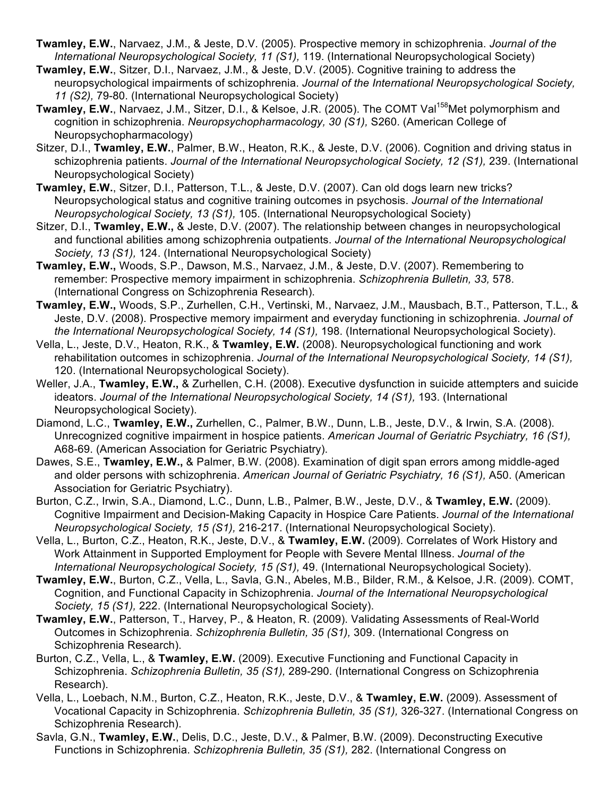- **Twamley, E.W.**, Narvaez, J.M., & Jeste, D.V. (2005). Prospective memory in schizophrenia. *Journal of the International Neuropsychological Society, 11 (S1),* 119. (International Neuropsychological Society)
- **Twamley, E.W.**, Sitzer, D.I., Narvaez, J.M., & Jeste, D.V. (2005). Cognitive training to address the neuropsychological impairments of schizophrenia. *Journal of the International Neuropsychological Society, 11 (S2),* 79-80. (International Neuropsychological Society)
- **Twamley, E.W., Narvaez, J.M., Sitzer, D.I., & Kelsoe, J.R. (2005). The COMT Val<sup>158</sup>Met polymorphism and** cognition in schizophrenia. *Neuropsychopharmacology, 30 (S1),* S260. (American College of Neuropsychopharmacology)
- Sitzer, D.I., **Twamley, E.W.**, Palmer, B.W., Heaton, R.K., & Jeste, D.V. (2006). Cognition and driving status in schizophrenia patients. *Journal of the International Neuropsychological Society, 12 (S1),* 239. (International Neuropsychological Society)
- **Twamley, E.W.**, Sitzer, D.I., Patterson, T.L., & Jeste, D.V. (2007). Can old dogs learn new tricks? Neuropsychological status and cognitive training outcomes in psychosis. *Journal of the International Neuropsychological Society, 13 (S1),* 105. (International Neuropsychological Society)
- Sitzer, D.I., **Twamley, E.W.,** & Jeste, D.V. (2007). The relationship between changes in neuropsychological and functional abilities among schizophrenia outpatients. *Journal of the International Neuropsychological Society, 13 (S1),* 124. (International Neuropsychological Society)
- **Twamley, E.W.,** Woods, S.P., Dawson, M.S., Narvaez, J.M., & Jeste, D.V. (2007). Remembering to remember: Prospective memory impairment in schizophrenia. *Schizophrenia Bulletin, 33,* 578. (International Congress on Schizophrenia Research).
- **Twamley, E.W.,** Woods, S.P., Zurhellen, C.H., Vertinski, M., Narvaez, J.M., Mausbach, B.T., Patterson, T.L., & Jeste, D.V. (2008). Prospective memory impairment and everyday functioning in schizophrenia. *Journal of the International Neuropsychological Society, 14 (S1),* 198. (International Neuropsychological Society).
- Vella, L., Jeste, D.V., Heaton, R.K., & **Twamley, E.W.** (2008). Neuropsychological functioning and work rehabilitation outcomes in schizophrenia. *Journal of the International Neuropsychological Society, 14 (S1),*  120. (International Neuropsychological Society).
- Weller, J.A., **Twamley, E.W.,** & Zurhellen, C.H. (2008). Executive dysfunction in suicide attempters and suicide ideators. *Journal of the International Neuropsychological Society, 14 (S1), 193.* (International Neuropsychological Society).
- Diamond, L.C., **Twamley, E.W.,** Zurhellen, C., Palmer, B.W., Dunn, L.B., Jeste, D.V., & Irwin, S.A. (2008). Unrecognized cognitive impairment in hospice patients. *American Journal of Geriatric Psychiatry, 16 (S1),*  A68-69. (American Association for Geriatric Psychiatry).
- Dawes, S.E., **Twamley, E.W.,** & Palmer, B.W. (2008). Examination of digit span errors among middle-aged and older persons with schizophrenia. *American Journal of Geriatric Psychiatry, 16 (S1),* A50. (American Association for Geriatric Psychiatry).
- Burton, C.Z., Irwin, S.A., Diamond, L.C., Dunn, L.B., Palmer, B.W., Jeste, D.V., & **Twamley, E.W.** (2009). Cognitive Impairment and Decision-Making Capacity in Hospice Care Patients. *Journal of the International Neuropsychological Society, 15 (S1),* 216-217. (International Neuropsychological Society).
- Vella, L., Burton, C.Z., Heaton, R.K., Jeste, D.V., & **Twamley, E.W.** (2009). Correlates of Work History and Work Attainment in Supported Employment for People with Severe Mental Illness. *Journal of the International Neuropsychological Society, 15 (S1),* 49. (International Neuropsychological Society).
- **Twamley, E.W.**, Burton, C.Z., Vella, L., Savla, G.N., Abeles, M.B., Bilder, R.M., & Kelsoe, J.R. (2009). COMT, Cognition, and Functional Capacity in Schizophrenia. *Journal of the International Neuropsychological Society, 15 (S1),* 222. (International Neuropsychological Society).
- **Twamley, E.W.**, Patterson, T., Harvey, P., & Heaton, R. (2009). Validating Assessments of Real-World Outcomes in Schizophrenia. *Schizophrenia Bulletin, 35 (S1),* 309. (International Congress on Schizophrenia Research).
- Burton, C.Z., Vella, L., & **Twamley, E.W.** (2009). Executive Functioning and Functional Capacity in Schizophrenia. *Schizophrenia Bulletin, 35 (S1),* 289-290. (International Congress on Schizophrenia Research).
- Vella, L., Loebach, N.M., Burton, C.Z., Heaton, R.K., Jeste, D.V., & **Twamley, E.W.** (2009). Assessment of Vocational Capacity in Schizophrenia. *Schizophrenia Bulletin, 35 (S1),* 326-327. (International Congress on Schizophrenia Research).
- Savla, G.N., **Twamley, E.W.**, Delis, D.C., Jeste, D.V., & Palmer, B.W. (2009). Deconstructing Executive Functions in Schizophrenia. *Schizophrenia Bulletin, 35 (S1),* 282. (International Congress on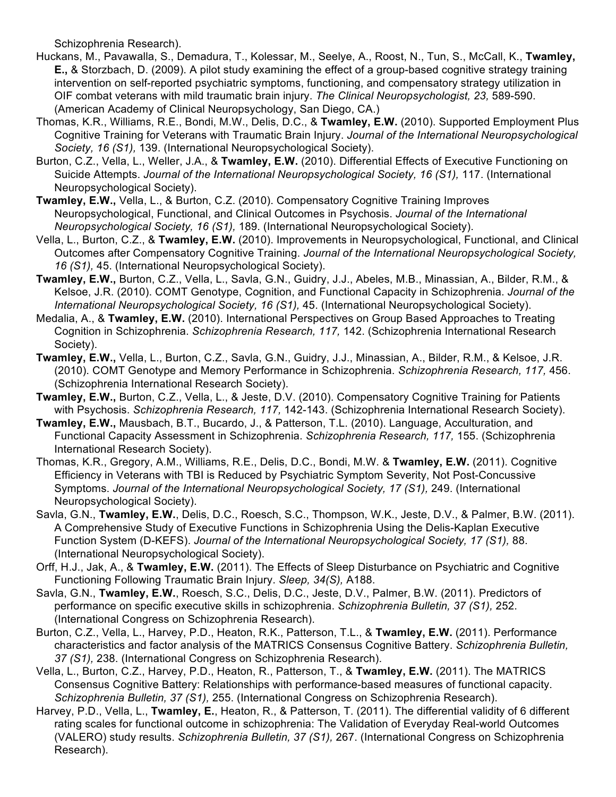Schizophrenia Research).

- Huckans, M., Pavawalla, S., Demadura, T., Kolessar, M., Seelye, A., Roost, N., Tun, S., McCall, K., **Twamley, E.,** & Storzbach, D. (2009). A pilot study examining the effect of a group-based cognitive strategy training intervention on self-reported psychiatric symptoms, functioning, and compensatory strategy utilization in OIF combat veterans with mild traumatic brain injury. *The Clinical Neuropsychologist, 23,* 589-590. (American Academy of Clinical Neuropsychology, San Diego, CA.)
- Thomas, K.R., Williams, R.E., Bondi, M.W., Delis, D.C., & **Twamley, E.W.** (2010). Supported Employment Plus Cognitive Training for Veterans with Traumatic Brain Injury. *Journal of the International Neuropsychological Society, 16 (S1),* 139. (International Neuropsychological Society).
- Burton, C.Z., Vella, L., Weller, J.A., & **Twamley, E.W.** (2010). Differential Effects of Executive Functioning on Suicide Attempts. *Journal of the International Neuropsychological Society, 16 (S1),* 117. (International Neuropsychological Society).
- **Twamley, E.W.,** Vella, L., & Burton, C.Z. (2010). Compensatory Cognitive Training Improves Neuropsychological, Functional, and Clinical Outcomes in Psychosis. *Journal of the International Neuropsychological Society, 16 (S1),* 189. (International Neuropsychological Society).
- Vella, L., Burton, C.Z., & **Twamley, E.W.** (2010). Improvements in Neuropsychological, Functional, and Clinical Outcomes after Compensatory Cognitive Training. *Journal of the International Neuropsychological Society, 16 (S1),* 45. (International Neuropsychological Society).
- **Twamley, E.W.,** Burton, C.Z., Vella, L., Savla, G.N., Guidry, J.J., Abeles, M.B., Minassian, A., Bilder, R.M., & Kelsoe, J.R. (2010). COMT Genotype, Cognition, and Functional Capacity in Schizophrenia. *Journal of the International Neuropsychological Society, 16 (S1),* 45. (International Neuropsychological Society).
- Medalia, A., & **Twamley, E.W.** (2010). International Perspectives on Group Based Approaches to Treating Cognition in Schizophrenia. *Schizophrenia Research, 117,* 142. (Schizophrenia International Research Society).
- **Twamley, E.W.,** Vella, L., Burton, C.Z., Savla, G.N., Guidry, J.J., Minassian, A., Bilder, R.M., & Kelsoe, J.R. (2010). COMT Genotype and Memory Performance in Schizophrenia. *Schizophrenia Research, 117,* 456. (Schizophrenia International Research Society).
- **Twamley, E.W.,** Burton, C.Z., Vella, L., & Jeste, D.V. (2010). Compensatory Cognitive Training for Patients with Psychosis. *Schizophrenia Research, 117,* 142-143. (Schizophrenia International Research Society).
- **Twamley, E.W.,** Mausbach, B.T., Bucardo, J., & Patterson, T.L. (2010). Language, Acculturation, and Functional Capacity Assessment in Schizophrenia. *Schizophrenia Research, 117,* 155. (Schizophrenia International Research Society).
- Thomas, K.R., Gregory, A.M., Williams, R.E., Delis, D.C., Bondi, M.W. & **Twamley, E.W.** (2011). Cognitive Efficiency in Veterans with TBI is Reduced by Psychiatric Symptom Severity, Not Post-Concussive Symptoms. *Journal of the International Neuropsychological Society, 17 (S1),* 249. (International Neuropsychological Society).
- Savla, G.N., **Twamley, E.W.**, Delis, D.C., Roesch, S.C., Thompson, W.K., Jeste, D.V., & Palmer, B.W. (2011). A Comprehensive Study of Executive Functions in Schizophrenia Using the Delis-Kaplan Executive Function System (D-KEFS). *Journal of the International Neuropsychological Society, 17 (S1),* 88. (International Neuropsychological Society).
- Orff, H.J., Jak, A., & **Twamley, E.W.** (2011). The Effects of Sleep Disturbance on Psychiatric and Cognitive Functioning Following Traumatic Brain Injury. *Sleep, 34(S),* A188.
- Savla, G.N., **Twamley, E.W.**, Roesch, S.C., Delis, D.C., Jeste, D.V., Palmer, B.W. (2011). Predictors of performance on specific executive skills in schizophrenia. *Schizophrenia Bulletin, 37 (S1),* 252. (International Congress on Schizophrenia Research).
- Burton, C.Z., Vella, L., Harvey, P.D., Heaton, R.K., Patterson, T.L., & **Twamley, E.W.** (2011). Performance characteristics and factor analysis of the MATRICS Consensus Cognitive Battery. *Schizophrenia Bulletin, 37 (S1),* 238. (International Congress on Schizophrenia Research).
- Vella, L., Burton, C.Z., Harvey, P.D., Heaton, R., Patterson, T., & **Twamley, E.W.** (2011). The MATRICS Consensus Cognitive Battery: Relationships with performance-based measures of functional capacity. *Schizophrenia Bulletin, 37 (S1),* 255. (International Congress on Schizophrenia Research).
- Harvey, P.D., Vella, L., **Twamley, E.**, Heaton, R., & Patterson, T. (2011). The differential validity of 6 different rating scales for functional outcome in schizophrenia: The Validation of Everyday Real-world Outcomes (VALERO) study results. *Schizophrenia Bulletin, 37 (S1),* 267. (International Congress on Schizophrenia Research).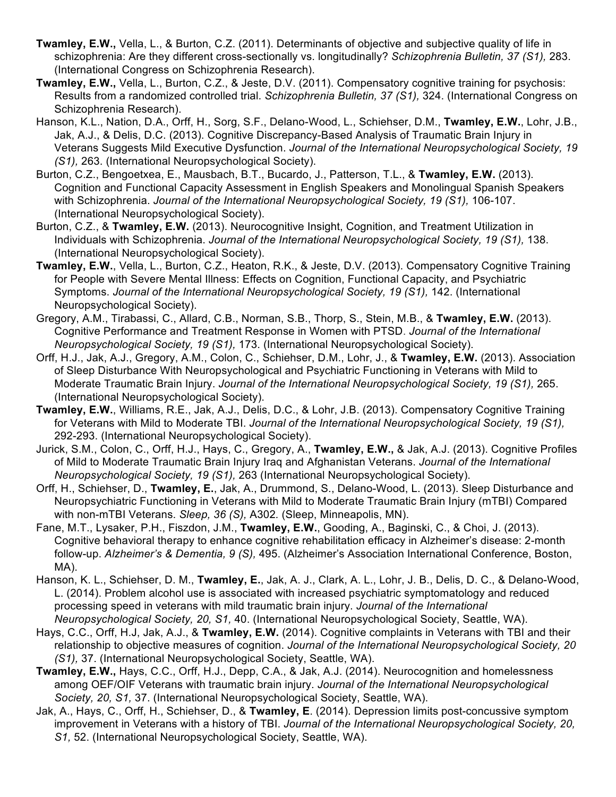- **Twamley, E.W.,** Vella, L., & Burton, C.Z. (2011). Determinants of objective and subjective quality of life in schizophrenia: Are they different cross-sectionally vs. longitudinally? *Schizophrenia Bulletin, 37 (S1),* 283. (International Congress on Schizophrenia Research).
- **Twamley, E.W.,** Vella, L., Burton, C.Z., & Jeste, D.V. (2011). Compensatory cognitive training for psychosis: Results from a randomized controlled trial. *Schizophrenia Bulletin, 37 (S1),* 324. (International Congress on Schizophrenia Research).
- Hanson, K.L., Nation, D.A., Orff, H., Sorg, S.F., Delano-Wood, L., Schiehser, D.M., **Twamley, E.W.**, Lohr, J.B., Jak, A.J., & Delis, D.C. (2013). Cognitive Discrepancy-Based Analysis of Traumatic Brain Injury in Veterans Suggests Mild Executive Dysfunction. *Journal of the International Neuropsychological Society, 19 (S1),* 263. (International Neuropsychological Society).
- Burton, C.Z., Bengoetxea, E., Mausbach, B.T., Bucardo, J., Patterson, T.L., & **Twamley, E.W.** (2013). Cognition and Functional Capacity Assessment in English Speakers and Monolingual Spanish Speakers with Schizophrenia. *Journal of the International Neuropsychological Society, 19 (S1),* 106-107. (International Neuropsychological Society).
- Burton, C.Z., & **Twamley, E.W.** (2013). Neurocognitive Insight, Cognition, and Treatment Utilization in Individuals with Schizophrenia. *Journal of the International Neuropsychological Society, 19 (S1),* 138. (International Neuropsychological Society).
- **Twamley, E.W.**, Vella, L., Burton, C.Z., Heaton, R.K., & Jeste, D.V. (2013). Compensatory Cognitive Training for People with Severe Mental Illness: Effects on Cognition, Functional Capacity, and Psychiatric Symptoms. *Journal of the International Neuropsychological Society, 19 (S1),* 142. (International Neuropsychological Society).
- Gregory, A.M., Tirabassi, C., Allard, C.B., Norman, S.B., Thorp, S., Stein, M.B., & **Twamley, E.W.** (2013). Cognitive Performance and Treatment Response in Women with PTSD. *Journal of the International Neuropsychological Society, 19 (S1),* 173. (International Neuropsychological Society).
- Orff, H.J., Jak, A.J., Gregory, A.M., Colon, C., Schiehser, D.M., Lohr, J., & **Twamley, E.W.** (2013). Association of Sleep Disturbance With Neuropsychological and Psychiatric Functioning in Veterans with Mild to Moderate Traumatic Brain Injury. *Journal of the International Neuropsychological Society, 19 (S1),* 265. (International Neuropsychological Society).
- **Twamley, E.W.**, Williams, R.E., Jak, A.J., Delis, D.C., & Lohr, J.B. (2013). Compensatory Cognitive Training for Veterans with Mild to Moderate TBI. *Journal of the International Neuropsychological Society, 19 (S1),*  292-293. (International Neuropsychological Society).
- Jurick, S.M., Colon, C., Orff, H.J., Hays, C., Gregory, A., **Twamley, E.W.,** & Jak, A.J. (2013). Cognitive Profiles of Mild to Moderate Traumatic Brain Injury Iraq and Afghanistan Veterans. *Journal of the International Neuropsychological Society, 19 (S1),* 263 (International Neuropsychological Society).
- Orff, H., Schiehser, D., **Twamley, E.**, Jak, A., Drummond, S., Delano-Wood, L. (2013). Sleep Disturbance and Neuropsychiatric Functioning in Veterans with Mild to Moderate Traumatic Brain Injury (mTBI) Compared with non-mTBI Veterans. *Sleep, 36 (S),* A302*.* (Sleep, Minneapolis, MN).
- Fane, M.T., Lysaker, P.H., Fiszdon, J.M., **Twamley, E.W.**, Gooding, A., Baginski, C., & Choi, J. (2013). Cognitive behavioral therapy to enhance cognitive rehabilitation efficacy in Alzheimer's disease: 2-month follow-up. *Alzheimer's & Dementia, 9 (S),* 495. (Alzheimer's Association International Conference, Boston, MA).
- Hanson, K. L., Schiehser, D. M., **Twamley, E.**, Jak, A. J., Clark, A. L., Lohr, J. B., Delis, D. C., & Delano-Wood, L. (2014). Problem alcohol use is associated with increased psychiatric symptomatology and reduced processing speed in veterans with mild traumatic brain injury. *Journal of the International Neuropsychological Society, 20, S1,* 40. (International Neuropsychological Society, Seattle, WA).
- Hays, C.C., Orff, H.J, Jak, A.J., & **Twamley, E.W.** (2014). Cognitive complaints in Veterans with TBI and their relationship to objective measures of cognition. *Journal of the International Neuropsychological Society, 20 (S1),* 37. (International Neuropsychological Society, Seattle, WA).
- **Twamley, E.W.,** Hays, C.C., Orff, H.J., Depp, C.A., & Jak, A.J. (2014). Neurocognition and homelessness among OEF/OIF Veterans with traumatic brain injury. *Journal of the International Neuropsychological Society, 20, S1,* 37. (International Neuropsychological Society, Seattle, WA).
- Jak, A., Hays, C., Orff, H., Schiehser, D., & **Twamley, E**. (2014). Depression limits post-concussive symptom improvement in Veterans with a history of TBI. *Journal of the International Neuropsychological Society, 20, S1,* 52. (International Neuropsychological Society, Seattle, WA).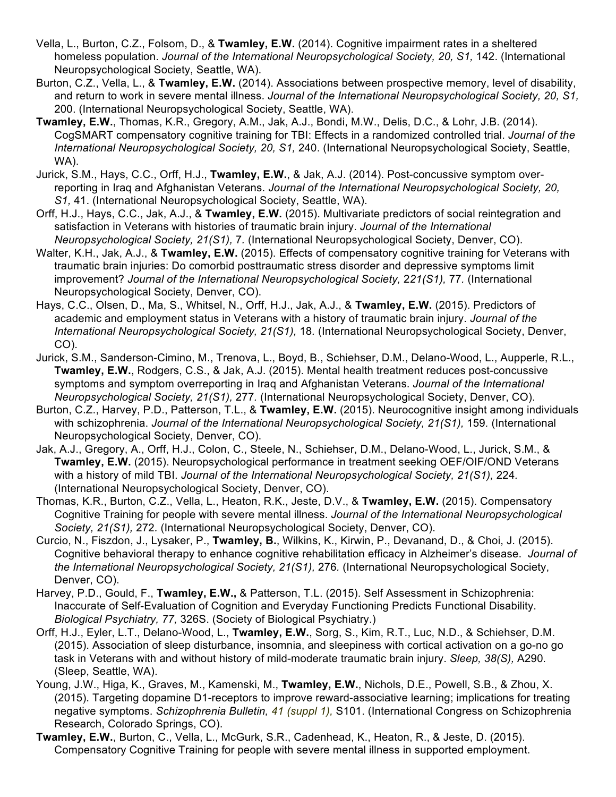- Vella, L., Burton, C.Z., Folsom, D., & **Twamley, E.W.** (2014). Cognitive impairment rates in a sheltered homeless population. *Journal of the International Neuropsychological Society, 20, S1, 142.* (International Neuropsychological Society, Seattle, WA).
- Burton, C.Z., Vella, L., & **Twamley, E.W.** (2014). Associations between prospective memory, level of disability, and return to work in severe mental illness. *Journal of the International Neuropsychological Society, 20, S1,*  200. (International Neuropsychological Society, Seattle, WA).
- **Twamley, E.W.**, Thomas, K.R., Gregory, A.M., Jak, A.J., Bondi, M.W., Delis, D.C., & Lohr, J.B. (2014). CogSMART compensatory cognitive training for TBI: Effects in a randomized controlled trial. *Journal of the International Neuropsychological Society, 20, S1,* 240. (International Neuropsychological Society, Seattle, WA).
- Jurick, S.M., Hays, C.C., Orff, H.J., **Twamley, E.W.**, & Jak, A.J. (2014). Post-concussive symptom overreporting in Iraq and Afghanistan Veterans. *Journal of the International Neuropsychological Society, 20, S1,* 41. (International Neuropsychological Society, Seattle, WA).
- Orff, H.J., Hays, C.C., Jak, A.J., & **Twamley, E.W.** (2015). Multivariate predictors of social reintegration and satisfaction in Veterans with histories of traumatic brain injury. *Journal of the International Neuropsychological Society, 21(S1),* 7*.* (International Neuropsychological Society, Denver, CO).
- Walter, K.H., Jak, A.J., & **Twamley, E.W.** (2015). Effects of compensatory cognitive training for Veterans with traumatic brain injuries: Do comorbid posttraumatic stress disorder and depressive symptoms limit improvement? *Journal of the International Neuropsychological Society,* 2*21(S1),* 77*.* (International Neuropsychological Society, Denver, CO).
- Hays, C.C., Olsen, D., Ma, S., Whitsel, N., Orff, H.J., Jak, A.J., & **Twamley, E.W.** (2015). Predictors of academic and employment status in Veterans with a history of traumatic brain injury. *Journal of the International Neuropsychological Society, 21(S1),* 18*.* (International Neuropsychological Society, Denver, CO).
- Jurick, S.M., Sanderson-Cimino, M., Trenova, L., Boyd, B., Schiehser, D.M., Delano-Wood, L., Aupperle, R.L., **Twamley, E.W.**, Rodgers, C.S., & Jak, A.J. (2015). Mental health treatment reduces post-concussive symptoms and symptom overreporting in Iraq and Afghanistan Veterans. *Journal of the International Neuropsychological Society, 21(S1),* 277*.* (International Neuropsychological Society, Denver, CO).
- Burton, C.Z., Harvey, P.D., Patterson, T.L., & **Twamley, E.W.** (2015). Neurocognitive insight among individuals with schizophrenia. *Journal of the International Neuropsychological Society, 21(S1),* 159*.* (International Neuropsychological Society, Denver, CO).
- Jak, A.J., Gregory, A., Orff, H.J., Colon, C., Steele, N., Schiehser, D.M., Delano-Wood, L., Jurick, S.M., & **Twamley, E.W.** (2015). Neuropsychological performance in treatment seeking OEF/OIF/OND Veterans with a history of mild TBI. *Journal of the International Neuropsychological Society, 21(S1),* 224*.* (International Neuropsychological Society, Denver, CO).
- Thomas, K.R., Burton, C.Z., Vella, L., Heaton, R.K., Jeste, D.V., & **Twamley, E.W.** (2015). Compensatory Cognitive Training for people with severe mental illness. *Journal of the International Neuropsychological Society, 21(S1),* 272*.* (International Neuropsychological Society, Denver, CO).
- Curcio, N., Fiszdon, J., Lysaker, P., **Twamley, B.**, Wilkins, K., Kirwin, P., Devanand, D., & Choi, J. (2015). Cognitive behavioral therapy to enhance cognitive rehabilitation efficacy in Alzheimer's disease. *Journal of the International Neuropsychological Society, 21(S1),* 276*.* (International Neuropsychological Society, Denver, CO).
- Harvey, P.D., Gould, F., **Twamley, E.W.,** & Patterson, T.L. (2015). Self Assessment in Schizophrenia: Inaccurate of Self-Evaluation of Cognition and Everyday Functioning Predicts Functional Disability. *Biological Psychiatry, 77,* 326S. (Society of Biological Psychiatry.)
- Orff, H.J., Eyler, L.T., Delano-Wood, L., **Twamley, E.W.**, Sorg, S., Kim, R.T., Luc, N.D., & Schiehser, D.M. (2015). Association of sleep disturbance, insomnia, and sleepiness with cortical activation on a go-no go task in Veterans with and without history of mild-moderate traumatic brain injury. *Sleep, 38(S),* A290*.* (Sleep, Seattle, WA).
- Young, J.W., Higa, K., Graves, M., Kamenski, M., **Twamley, E.W.**, Nichols, D.E., Powell, S.B., & Zhou, X. (2015). Targeting dopamine D1-receptors to improve reward-associative learning; implications for treating negative symptoms. *Schizophrenia Bulletin, 41 (suppl 1),* S101. (International Congress on Schizophrenia Research, Colorado Springs, CO).
- **Twamley, E.W.**, Burton, C., Vella, L., McGurk, S.R., Cadenhead, K., Heaton, R., & Jeste, D. (2015). Compensatory Cognitive Training for people with severe mental illness in supported employment.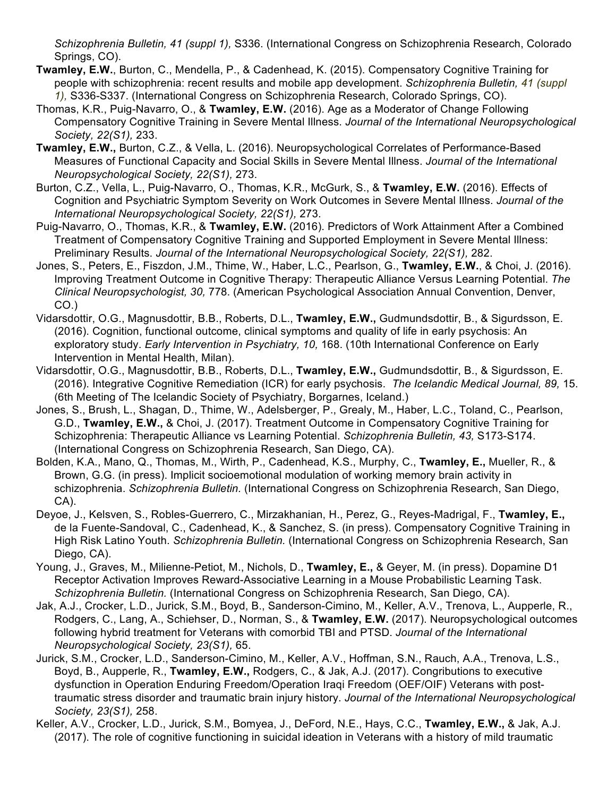*Schizophrenia Bulletin, 41 (suppl 1),* S336. (International Congress on Schizophrenia Research, Colorado Springs, CO).

- **Twamley, E.W.**, Burton, C., Mendella, P., & Cadenhead, K. (2015). Compensatory Cognitive Training for people with schizophrenia: recent results and mobile app development. *Schizophrenia Bulletin, 41 (suppl 1),* S336-S337. (International Congress on Schizophrenia Research, Colorado Springs, CO).
- Thomas, K.R., Puig-Navarro, O., & **Twamley, E.W.** (2016). Age as a Moderator of Change Following Compensatory Cognitive Training in Severe Mental Illness. *Journal of the International Neuropsychological Society, 22(S1),* 233.
- **Twamley, E.W.,** Burton, C.Z., & Vella, L. (2016). Neuropsychological Correlates of Performance-Based Measures of Functional Capacity and Social Skills in Severe Mental Illness. *Journal of the International Neuropsychological Society, 22(S1),* 273.
- Burton, C.Z., Vella, L., Puig-Navarro, O., Thomas, K.R., McGurk, S., & **Twamley, E.W.** (2016). Effects of Cognition and Psychiatric Symptom Severity on Work Outcomes in Severe Mental Illness. *Journal of the International Neuropsychological Society, 22(S1),* 273.
- Puig-Navarro, O., Thomas, K.R., & **Twamley, E.W.** (2016). Predictors of Work Attainment After a Combined Treatment of Compensatory Cognitive Training and Supported Employment in Severe Mental Illness: Preliminary Results. *Journal of the International Neuropsychological Society, 22(S1),* 282.
- Jones, S., Peters, E., Fiszdon, J.M., Thime, W., Haber, L.C., Pearlson, G., **Twamley, E.W.**, & Choi, J. (2016). Improving Treatment Outcome in Cognitive Therapy: Therapeutic Alliance Versus Learning Potential. *The Clinical Neuropsychologist, 30,* 778. (American Psychological Association Annual Convention, Denver, CO.)
- Vidarsdottir, O.G., Magnusdottir, B.B., Roberts, D.L., **Twamley, E.W.,** Gudmundsdottir, B., & Sigurdsson, E. (2016). Cognition, functional outcome, clinical symptoms and quality of life in early psychosis: An exploratory study. *Early Intervention in Psychiatry, 10,* 168. (10th International Conference on Early Intervention in Mental Health, Milan).
- Vidarsdottir, O.G., Magnusdottir, B.B., Roberts, D.L., **Twamley, E.W.,** Gudmundsdottir, B., & Sigurdsson, E. (2016). Integrative Cognitive Remediation (ICR) for early psychosis. *The Icelandic Medical Journal, 89,* 15. (6th Meeting of The Icelandic Society of Psychiatry, Borgarnes, Iceland.)
- Jones, S., Brush, L., Shagan, D., Thime, W., Adelsberger, P., Grealy, M., Haber, L.C., Toland, C., Pearlson, G.D., **Twamley, E.W.,** & Choi, J. (2017). Treatment Outcome in Compensatory Cognitive Training for Schizophrenia: Therapeutic Alliance vs Learning Potential. *Schizophrenia Bulletin, 43,* S173-S174. (International Congress on Schizophrenia Research, San Diego, CA).
- Bolden, K.A., Mano, Q., Thomas, M., Wirth, P., Cadenhead, K.S., Murphy, C., **Twamley, E.,** Mueller, R., & Brown, G.G. (in press). Implicit socioemotional modulation of working memory brain activity in schizophrenia. *Schizophrenia Bulletin.* (International Congress on Schizophrenia Research, San Diego, CA).
- Deyoe, J., Kelsven, S., Robles-Guerrero, C., Mirzakhanian, H., Perez, G., Reyes-Madrigal, F., **Twamley, E.,** de la Fuente-Sandoval, C., Cadenhead, K., & Sanchez, S. (in press). Compensatory Cognitive Training in High Risk Latino Youth. *Schizophrenia Bulletin.* (International Congress on Schizophrenia Research, San Diego, CA).
- Young, J., Graves, M., Milienne-Petiot, M., Nichols, D., **Twamley, E.,** & Geyer, M. (in press). Dopamine D1 Receptor Activation Improves Reward-Associative Learning in a Mouse Probabilistic Learning Task. *Schizophrenia Bulletin.* (International Congress on Schizophrenia Research, San Diego, CA).
- Jak, A.J., Crocker, L.D., Jurick, S.M., Boyd, B., Sanderson-Cimino, M., Keller, A.V., Trenova, L., Aupperle, R., Rodgers, C., Lang, A., Schiehser, D., Norman, S., & **Twamley, E.W.** (2017). Neuropsychological outcomes following hybrid treatment for Veterans with comorbid TBI and PTSD. *Journal of the International Neuropsychological Society, 23(S1),* 65.
- Jurick, S.M., Crocker, L.D., Sanderson-Cimino, M., Keller, A.V., Hoffman, S.N., Rauch, A.A., Trenova, L.S., Boyd, B., Aupperle, R., **Twamley, E.W.,** Rodgers, C., & Jak, A.J. (2017). Congributions to executive dysfunction in Operation Enduring Freedom/Operation Iraqi Freedom (OEF/OIF) Veterans with posttraumatic stress disorder and traumatic brain injury history. *Journal of the International Neuropsychological Society, 23(S1),* 258.
- Keller, A.V., Crocker, L.D., Jurick, S.M., Bomyea, J., DeFord, N.E., Hays, C.C., **Twamley, E.W.,** & Jak, A.J. (2017). The role of cognitive functioning in suicidal ideation in Veterans with a history of mild traumatic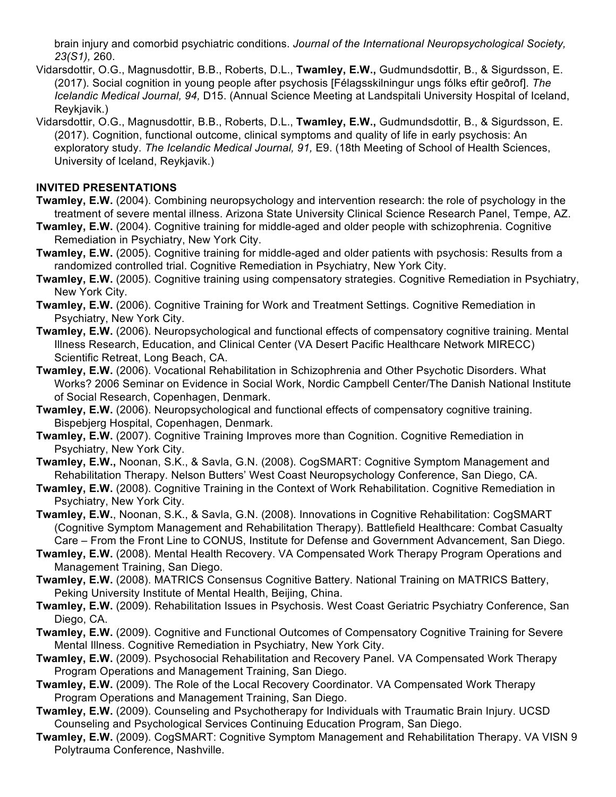brain injury and comorbid psychiatric conditions. *Journal of the International Neuropsychological Society, 23(S1),* 260.

- Vidarsdottir, O.G., Magnusdottir, B.B., Roberts, D.L., **Twamley, E.W.,** Gudmundsdottir, B., & Sigurdsson, E. (2017). Social cognition in young people after psychosis [Félagsskilningur ungs fólks eftir geðrof]. *The Icelandic Medical Journal, 94,* D15. (Annual Science Meeting at Landspitali University Hospital of Iceland, Reykjavik.)
- Vidarsdottir, O.G., Magnusdottir, B.B., Roberts, D.L., **Twamley, E.W.,** Gudmundsdottir, B., & Sigurdsson, E. (2017). Cognition, functional outcome, clinical symptoms and quality of life in early psychosis: An exploratory study. *The Icelandic Medical Journal, 91,* E9. (18th Meeting of School of Health Sciences, University of Iceland, Reykjavik.)

## **INVITED PRESENTATIONS**

- **Twamley, E.W.** (2004). Combining neuropsychology and intervention research: the role of psychology in the treatment of severe mental illness. Arizona State University Clinical Science Research Panel, Tempe, AZ.
- **Twamley, E.W.** (2004). Cognitive training for middle-aged and older people with schizophrenia. Cognitive Remediation in Psychiatry, New York City.
- **Twamley, E.W.** (2005). Cognitive training for middle-aged and older patients with psychosis: Results from a randomized controlled trial. Cognitive Remediation in Psychiatry, New York City.
- **Twamley, E.W.** (2005). Cognitive training using compensatory strategies. Cognitive Remediation in Psychiatry, New York City.
- **Twamley, E.W.** (2006). Cognitive Training for Work and Treatment Settings. Cognitive Remediation in Psychiatry, New York City.
- **Twamley, E.W.** (2006). Neuropsychological and functional effects of compensatory cognitive training. Mental Illness Research, Education, and Clinical Center (VA Desert Pacific Healthcare Network MIRECC) Scientific Retreat, Long Beach, CA.
- **Twamley, E.W.** (2006). Vocational Rehabilitation in Schizophrenia and Other Psychotic Disorders. What Works? 2006 Seminar on Evidence in Social Work, Nordic Campbell Center/The Danish National Institute of Social Research, Copenhagen, Denmark.
- **Twamley, E.W.** (2006). Neuropsychological and functional effects of compensatory cognitive training. Bispebjerg Hospital, Copenhagen, Denmark.
- **Twamley, E.W.** (2007). Cognitive Training Improves more than Cognition. Cognitive Remediation in Psychiatry, New York City.
- **Twamley, E.W.,** Noonan, S.K., & Savla, G.N. (2008). CogSMART: Cognitive Symptom Management and Rehabilitation Therapy. Nelson Butters' West Coast Neuropsychology Conference, San Diego, CA.
- **Twamley, E.W.** (2008). Cognitive Training in the Context of Work Rehabilitation. Cognitive Remediation in Psychiatry, New York City.
- **Twamley, E.W.**, Noonan, S.K., & Savla, G.N. (2008). Innovations in Cognitive Rehabilitation: CogSMART (Cognitive Symptom Management and Rehabilitation Therapy). Battlefield Healthcare: Combat Casualty Care – From the Front Line to CONUS, Institute for Defense and Government Advancement, San Diego.
- **Twamley, E.W.** (2008). Mental Health Recovery. VA Compensated Work Therapy Program Operations and Management Training, San Diego.
- **Twamley, E.W.** (2008). MATRICS Consensus Cognitive Battery. National Training on MATRICS Battery, Peking University Institute of Mental Health, Beijing, China.
- **Twamley, E.W.** (2009). Rehabilitation Issues in Psychosis. West Coast Geriatric Psychiatry Conference, San Diego, CA.
- **Twamley, E.W.** (2009). Cognitive and Functional Outcomes of Compensatory Cognitive Training for Severe Mental Illness. Cognitive Remediation in Psychiatry, New York City.
- **Twamley, E.W.** (2009). Psychosocial Rehabilitation and Recovery Panel. VA Compensated Work Therapy Program Operations and Management Training, San Diego.
- **Twamley, E.W.** (2009). The Role of the Local Recovery Coordinator. VA Compensated Work Therapy Program Operations and Management Training, San Diego.
- **Twamley, E.W.** (2009). Counseling and Psychotherapy for Individuals with Traumatic Brain Injury. UCSD Counseling and Psychological Services Continuing Education Program, San Diego.
- **Twamley, E.W.** (2009). CogSMART: Cognitive Symptom Management and Rehabilitation Therapy. VA VISN 9 Polytrauma Conference, Nashville.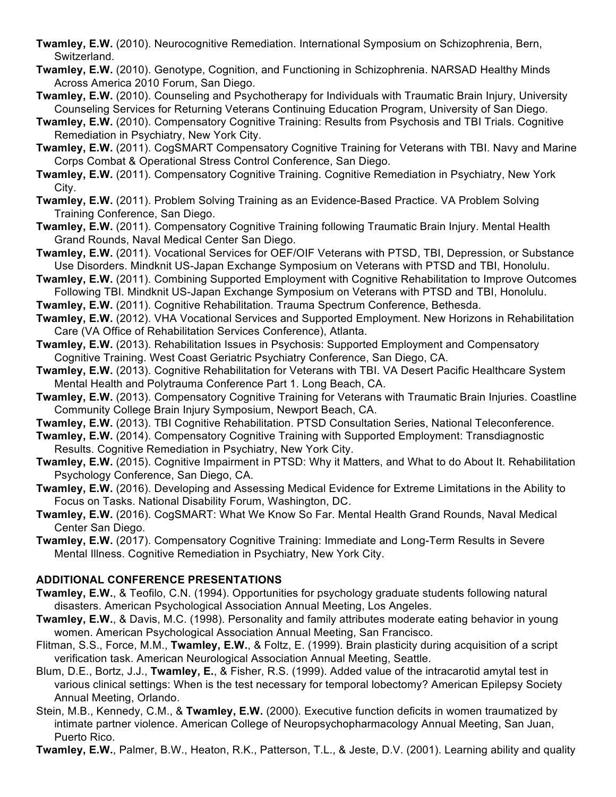- **Twamley, E.W.** (2010). Neurocognitive Remediation. International Symposium on Schizophrenia, Bern, Switzerland.
- **Twamley, E.W.** (2010). Genotype, Cognition, and Functioning in Schizophrenia. NARSAD Healthy Minds Across America 2010 Forum, San Diego.
- **Twamley, E.W.** (2010). Counseling and Psychotherapy for Individuals with Traumatic Brain Injury, University Counseling Services for Returning Veterans Continuing Education Program, University of San Diego.
- **Twamley, E.W.** (2010). Compensatory Cognitive Training: Results from Psychosis and TBI Trials. Cognitive Remediation in Psychiatry, New York City.
- **Twamley, E.W.** (2011). CogSMART Compensatory Cognitive Training for Veterans with TBI. Navy and Marine Corps Combat & Operational Stress Control Conference, San Diego.
- **Twamley, E.W.** (2011). Compensatory Cognitive Training. Cognitive Remediation in Psychiatry, New York City.
- **Twamley, E.W.** (2011). Problem Solving Training as an Evidence-Based Practice. VA Problem Solving Training Conference, San Diego.
- **Twamley, E.W.** (2011). Compensatory Cognitive Training following Traumatic Brain Injury. Mental Health Grand Rounds, Naval Medical Center San Diego.
- **Twamley, E.W.** (2011). Vocational Services for OEF/OIF Veterans with PTSD, TBI, Depression, or Substance Use Disorders. Mindknit US-Japan Exchange Symposium on Veterans with PTSD and TBI, Honolulu.
- **Twamley, E.W.** (2011). Combining Supported Employment with Cognitive Rehabilitation to Improve Outcomes Following TBI. Mindknit US-Japan Exchange Symposium on Veterans with PTSD and TBI, Honolulu.
- **Twamley, E.W.** (2011). Cognitive Rehabilitation. Trauma Spectrum Conference, Bethesda.
- **Twamley, E.W.** (2012). VHA Vocational Services and Supported Employment. New Horizons in Rehabilitation Care (VA Office of Rehabilitation Services Conference), Atlanta.
- **Twamley, E.W.** (2013). Rehabilitation Issues in Psychosis: Supported Employment and Compensatory Cognitive Training. West Coast Geriatric Psychiatry Conference, San Diego, CA.
- **Twamley, E.W.** (2013). Cognitive Rehabilitation for Veterans with TBI. VA Desert Pacific Healthcare System Mental Health and Polytrauma Conference Part 1. Long Beach, CA.
- **Twamley, E.W.** (2013). Compensatory Cognitive Training for Veterans with Traumatic Brain Injuries. Coastline Community College Brain Injury Symposium, Newport Beach, CA.
- **Twamley, E.W.** (2013). TBI Cognitive Rehabilitation. PTSD Consultation Series, National Teleconference.
- **Twamley, E.W.** (2014). Compensatory Cognitive Training with Supported Employment: Transdiagnostic Results. Cognitive Remediation in Psychiatry, New York City.
- **Twamley, E.W.** (2015). Cognitive Impairment in PTSD: Why it Matters, and What to do About It. Rehabilitation Psychology Conference, San Diego, CA.
- **Twamley, E.W.** (2016). Developing and Assessing Medical Evidence for Extreme Limitations in the Ability to Focus on Tasks. National Disability Forum, Washington, DC.
- **Twamley, E.W.** (2016). CogSMART: What We Know So Far. Mental Health Grand Rounds, Naval Medical Center San Diego.
- **Twamley, E.W.** (2017). Compensatory Cognitive Training: Immediate and Long-Term Results in Severe Mental Illness. Cognitive Remediation in Psychiatry, New York City.

## **ADDITIONAL CONFERENCE PRESENTATIONS**

- **Twamley, E.W.**, & Teofilo, C.N. (1994). Opportunities for psychology graduate students following natural disasters. American Psychological Association Annual Meeting, Los Angeles.
- **Twamley, E.W.**, & Davis, M.C. (1998). Personality and family attributes moderate eating behavior in young women. American Psychological Association Annual Meeting, San Francisco.
- Flitman, S.S., Force, M.M., **Twamley, E.W.**, & Foltz, E. (1999). Brain plasticity during acquisition of a script verification task. American Neurological Association Annual Meeting, Seattle.
- Blum, D.E., Bortz, J.J., **Twamley, E.**, & Fisher, R.S. (1999). Added value of the intracarotid amytal test in various clinical settings: When is the test necessary for temporal lobectomy? American Epilepsy Society Annual Meeting, Orlando.
- Stein, M.B., Kennedy, C.M., & **Twamley, E.W.** (2000). Executive function deficits in women traumatized by intimate partner violence. American College of Neuropsychopharmacology Annual Meeting, San Juan, Puerto Rico.

**Twamley, E.W.**, Palmer, B.W., Heaton, R.K., Patterson, T.L., & Jeste, D.V. (2001). Learning ability and quality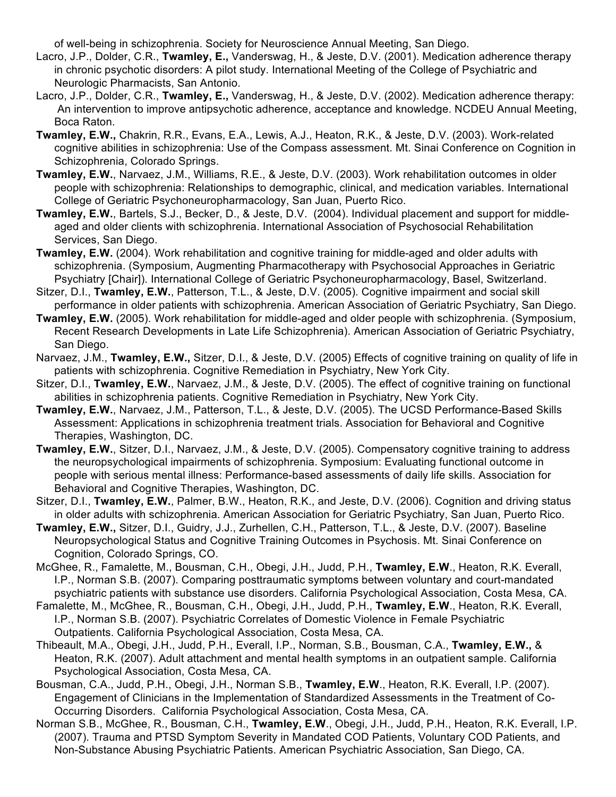of well-being in schizophrenia. Society for Neuroscience Annual Meeting, San Diego.

- Lacro, J.P., Dolder, C.R., **Twamley, E.,** Vanderswag, H., & Jeste, D.V. (2001). Medication adherence therapy in chronic psychotic disorders: A pilot study. International Meeting of the College of Psychiatric and Neurologic Pharmacists, San Antonio.
- Lacro, J.P., Dolder, C.R., **Twamley, E.,** Vanderswag, H., & Jeste, D.V. (2002). Medication adherence therapy: An intervention to improve antipsychotic adherence, acceptance and knowledge. NCDEU Annual Meeting, Boca Raton.
- **Twamley, E.W.,** Chakrin, R.R., Evans, E.A., Lewis, A.J., Heaton, R.K., & Jeste, D.V. (2003). Work-related cognitive abilities in schizophrenia: Use of the Compass assessment. Mt. Sinai Conference on Cognition in Schizophrenia, Colorado Springs.
- **Twamley, E.W.**, Narvaez, J.M., Williams, R.E., & Jeste, D.V. (2003). Work rehabilitation outcomes in older people with schizophrenia: Relationships to demographic, clinical, and medication variables. International College of Geriatric Psychoneuropharmacology, San Juan, Puerto Rico.
- **Twamley, E.W.**, Bartels, S.J., Becker, D., & Jeste, D.V. (2004). Individual placement and support for middleaged and older clients with schizophrenia. International Association of Psychosocial Rehabilitation Services, San Diego.
- **Twamley, E.W.** (2004). Work rehabilitation and cognitive training for middle-aged and older adults with schizophrenia. (Symposium, Augmenting Pharmacotherapy with Psychosocial Approaches in Geriatric Psychiatry [Chair]). International College of Geriatric Psychoneuropharmacology, Basel, Switzerland.
- Sitzer, D.I., **Twamley, E.W.**, Patterson, T.L., & Jeste, D.V. (2005). Cognitive impairment and social skill performance in older patients with schizophrenia. American Association of Geriatric Psychiatry, San Diego.
- **Twamley, E.W.** (2005). Work rehabilitation for middle-aged and older people with schizophrenia. (Symposium, Recent Research Developments in Late Life Schizophrenia). American Association of Geriatric Psychiatry, San Diego.
- Narvaez, J.M., **Twamley, E.W.,** Sitzer, D.I., & Jeste, D.V. (2005) Effects of cognitive training on quality of life in patients with schizophrenia. Cognitive Remediation in Psychiatry, New York City.
- Sitzer, D.I., **Twamley, E.W.**, Narvaez, J.M., & Jeste, D.V. (2005). The effect of cognitive training on functional abilities in schizophrenia patients. Cognitive Remediation in Psychiatry, New York City.
- **Twamley, E.W.**, Narvaez, J.M., Patterson, T.L., & Jeste, D.V. (2005). The UCSD Performance-Based Skills Assessment: Applications in schizophrenia treatment trials. Association for Behavioral and Cognitive Therapies, Washington, DC.
- **Twamley, E.W.**, Sitzer, D.I., Narvaez, J.M., & Jeste, D.V. (2005). Compensatory cognitive training to address the neuropsychological impairments of schizophrenia. Symposium: Evaluating functional outcome in people with serious mental illness: Performance-based assessments of daily life skills. Association for Behavioral and Cognitive Therapies, Washington, DC.
- Sitzer, D.I., **Twamley, E.W.**, Palmer, B.W., Heaton, R.K., and Jeste, D.V. (2006). Cognition and driving status in older adults with schizophrenia. American Association for Geriatric Psychiatry, San Juan, Puerto Rico.
- **Twamley, E.W.,** Sitzer, D.I., Guidry, J.J., Zurhellen, C.H., Patterson, T.L., & Jeste, D.V. (2007). Baseline Neuropsychological Status and Cognitive Training Outcomes in Psychosis. Mt. Sinai Conference on Cognition, Colorado Springs, CO.
- McGhee, R., Famalette, M., Bousman, C.H., Obegi, J.H., Judd, P.H., **Twamley, E.W**., Heaton, R.K. Everall, I.P., Norman S.B. (2007). Comparing posttraumatic symptoms between voluntary and court-mandated psychiatric patients with substance use disorders. California Psychological Association, Costa Mesa, CA.
- Famalette, M., McGhee, R., Bousman, C.H., Obegi, J.H., Judd, P.H., **Twamley, E.W**., Heaton, R.K. Everall, I.P., Norman S.B. (2007). Psychiatric Correlates of Domestic Violence in Female Psychiatric Outpatients. California Psychological Association, Costa Mesa, CA.
- Thibeault, M.A., Obegi, J.H., Judd, P.H., Everall, I.P., Norman, S.B., Bousman, C.A., **Twamley, E.W.,** & Heaton, R.K. (2007). Adult attachment and mental health symptoms in an outpatient sample. California Psychological Association, Costa Mesa, CA.
- Bousman, C.A., Judd, P.H., Obegi, J.H., Norman S.B., **Twamley, E.W**., Heaton, R.K. Everall, I.P. (2007). Engagement of Clinicians in the Implementation of Standardized Assessments in the Treatment of Co-Occurring Disorders. California Psychological Association, Costa Mesa, CA.
- Norman S.B., McGhee, R., Bousman, C.H., **Twamley, E.W**., Obegi, J.H., Judd, P.H., Heaton, R.K. Everall, I.P. (2007). Trauma and PTSD Symptom Severity in Mandated COD Patients, Voluntary COD Patients, and Non-Substance Abusing Psychiatric Patients. American Psychiatric Association, San Diego, CA.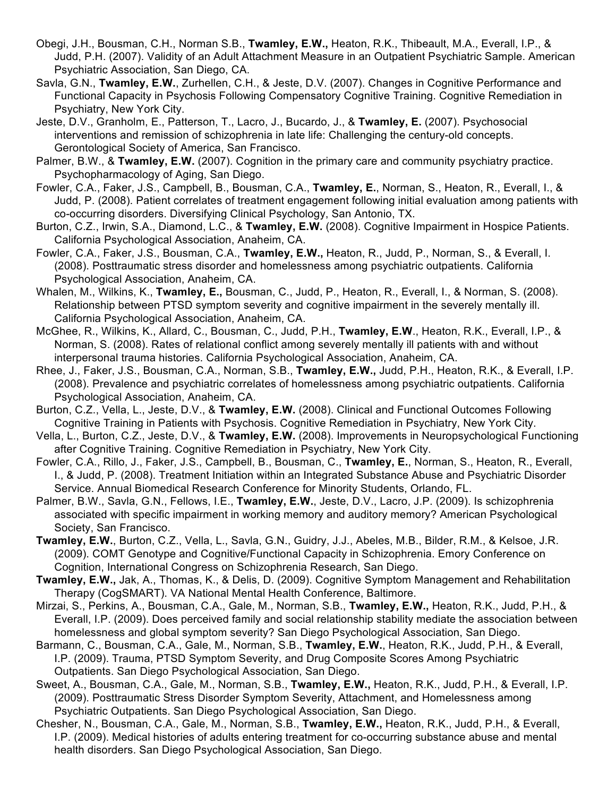- Obegi, J.H., Bousman, C.H., Norman S.B., **Twamley, E.W.,** Heaton, R.K., Thibeault, M.A., Everall, I.P., & Judd, P.H. (2007). Validity of an Adult Attachment Measure in an Outpatient Psychiatric Sample. American Psychiatric Association, San Diego, CA.
- Savla, G.N., **Twamley, E.W.**, Zurhellen, C.H., & Jeste, D.V. (2007). Changes in Cognitive Performance and Functional Capacity in Psychosis Following Compensatory Cognitive Training. Cognitive Remediation in Psychiatry, New York City.
- Jeste, D.V., Granholm, E., Patterson, T., Lacro, J., Bucardo, J., & **Twamley, E.** (2007). Psychosocial interventions and remission of schizophrenia in late life: Challenging the century-old concepts. Gerontological Society of America, San Francisco.
- Palmer, B.W., & **Twamley, E.W.** (2007). Cognition in the primary care and community psychiatry practice. Psychopharmacology of Aging, San Diego.
- Fowler, C.A., Faker, J.S., Campbell, B., Bousman, C.A., **Twamley, E.**, Norman, S., Heaton, R., Everall, I., & Judd, P. (2008). Patient correlates of treatment engagement following initial evaluation among patients with co-occurring disorders. Diversifying Clinical Psychology, San Antonio, TX.
- Burton, C.Z., Irwin, S.A., Diamond, L.C., & **Twamley, E.W.** (2008). Cognitive Impairment in Hospice Patients. California Psychological Association, Anaheim, CA.
- Fowler, C.A., Faker, J.S., Bousman, C.A., **Twamley, E.W.,** Heaton, R., Judd, P., Norman, S., & Everall, I. (2008). Posttraumatic stress disorder and homelessness among psychiatric outpatients. California Psychological Association, Anaheim, CA.
- Whalen, M., Wilkins, K., **Twamley, E.,** Bousman, C., Judd, P., Heaton, R., Everall, I., & Norman, S. (2008). Relationship between PTSD symptom severity and cognitive impairment in the severely mentally ill. California Psychological Association, Anaheim, CA.
- McGhee, R., Wilkins, K., Allard, C., Bousman, C., Judd, P.H., **Twamley, E.W**., Heaton, R.K., Everall, I.P., & Norman, S. (2008). Rates of relational conflict among severely mentally ill patients with and without interpersonal trauma histories. California Psychological Association, Anaheim, CA.
- Rhee, J., Faker, J.S., Bousman, C.A., Norman, S.B., **Twamley, E.W.,** Judd, P.H., Heaton, R.K., & Everall, I.P. (2008). Prevalence and psychiatric correlates of homelessness among psychiatric outpatients. California Psychological Association, Anaheim, CA.
- Burton, C.Z., Vella, L., Jeste, D.V., & **Twamley, E.W.** (2008). Clinical and Functional Outcomes Following Cognitive Training in Patients with Psychosis. Cognitive Remediation in Psychiatry, New York City.
- Vella, L., Burton, C.Z., Jeste, D.V., & **Twamley, E.W.** (2008). Improvements in Neuropsychological Functioning after Cognitive Training. Cognitive Remediation in Psychiatry, New York City.
- Fowler, C.A., Rillo, J., Faker, J.S., Campbell, B., Bousman, C., **Twamley, E.**, Norman, S., Heaton, R., Everall, I., & Judd, P. (2008). Treatment Initiation within an Integrated Substance Abuse and Psychiatric Disorder Service. Annual Biomedical Research Conference for Minority Students, Orlando, FL.
- Palmer, B.W., Savla, G.N., Fellows, I.E., **Twamley, E.W.**, Jeste, D.V., Lacro, J.P. (2009). Is schizophrenia associated with specific impairment in working memory and auditory memory? American Psychological Society, San Francisco.
- **Twamley, E.W.**, Burton, C.Z., Vella, L., Savla, G.N., Guidry, J.J., Abeles, M.B., Bilder, R.M., & Kelsoe, J.R. (2009). COMT Genotype and Cognitive/Functional Capacity in Schizophrenia. Emory Conference on Cognition, International Congress on Schizophrenia Research, San Diego.
- **Twamley, E.W.,** Jak, A., Thomas, K., & Delis, D. (2009). Cognitive Symptom Management and Rehabilitation Therapy (CogSMART). VA National Mental Health Conference, Baltimore.
- Mirzai, S., Perkins, A., Bousman, C.A., Gale, M., Norman, S.B., **Twamley, E.W.,** Heaton, R.K., Judd, P.H., & Everall, I.P. (2009). Does perceived family and social relationship stability mediate the association between homelessness and global symptom severity? San Diego Psychological Association, San Diego.
- Barmann, C., Bousman, C.A., Gale, M., Norman, S.B., **Twamley, E.W.**, Heaton, R.K., Judd, P.H., & Everall, I.P. (2009). Trauma, PTSD Symptom Severity, and Drug Composite Scores Among Psychiatric Outpatients. San Diego Psychological Association, San Diego.
- Sweet, A., Bousman, C.A., Gale, M., Norman, S.B., **Twamley, E.W.,** Heaton, R.K., Judd, P.H., & Everall, I.P. (2009). Posttraumatic Stress Disorder Symptom Severity, Attachment, and Homelessness among Psychiatric Outpatients. San Diego Psychological Association, San Diego.
- Chesher, N., Bousman, C.A., Gale, M., Norman, S.B., **Twamley, E.W.,** Heaton, R.K., Judd, P.H., & Everall, I.P. (2009). Medical histories of adults entering treatment for co-occurring substance abuse and mental health disorders. San Diego Psychological Association, San Diego.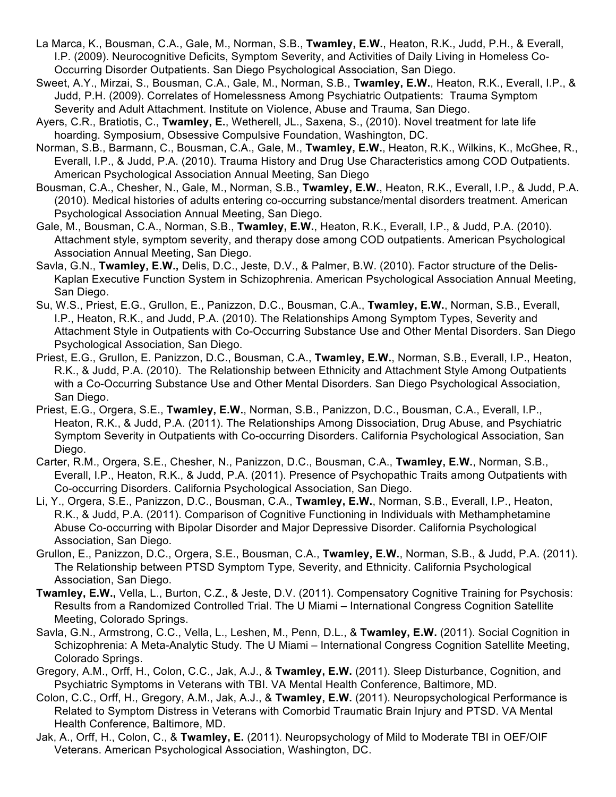- La Marca, K., Bousman, C.A., Gale, M., Norman, S.B., **Twamley, E.W.**, Heaton, R.K., Judd, P.H., & Everall, I.P. (2009). Neurocognitive Deficits, Symptom Severity, and Activities of Daily Living in Homeless Co-Occurring Disorder Outpatients. San Diego Psychological Association, San Diego.
- Sweet, A.Y., Mirzai, S., Bousman, C.A., Gale, M., Norman, S.B., **Twamley, E.W.**, Heaton, R.K., Everall, I.P., & Judd, P.H. (2009). Correlates of Homelessness Among Psychiatric Outpatients: Trauma Symptom Severity and Adult Attachment. Institute on Violence, Abuse and Trauma, San Diego.
- Ayers, C.R., Bratiotis, C., **Twamley, E.**, Wetherell, JL., Saxena, S., (2010). Novel treatment for late life hoarding. Symposium, Obsessive Compulsive Foundation, Washington, DC.
- Norman, S.B., Barmann, C., Bousman, C.A., Gale, M., **Twamley, E.W.**, Heaton, R.K., Wilkins, K., McGhee, R., Everall, I.P., & Judd, P.A. (2010). Trauma History and Drug Use Characteristics among COD Outpatients. American Psychological Association Annual Meeting, San Diego
- Bousman, C.A., Chesher, N., Gale, M., Norman, S.B., **Twamley, E.W.**, Heaton, R.K., Everall, I.P., & Judd, P.A. (2010). Medical histories of adults entering co-occurring substance/mental disorders treatment. American Psychological Association Annual Meeting, San Diego.
- Gale, M., Bousman, C.A., Norman, S.B., **Twamley, E.W.**, Heaton, R.K., Everall, I.P., & Judd, P.A. (2010). Attachment style, symptom severity, and therapy dose among COD outpatients. American Psychological Association Annual Meeting, San Diego.
- Savla, G.N., **Twamley, E.W.,** Delis, D.C., Jeste, D.V., & Palmer, B.W. (2010). Factor structure of the Delis-Kaplan Executive Function System in Schizophrenia. American Psychological Association Annual Meeting, San Diego.
- Su, W.S., Priest, E.G., Grullon, E., Panizzon, D.C., Bousman, C.A., **Twamley, E.W.**, Norman, S.B., Everall, I.P., Heaton, R.K., and Judd, P.A. (2010). The Relationships Among Symptom Types, Severity and Attachment Style in Outpatients with Co-Occurring Substance Use and Other Mental Disorders. San Diego Psychological Association, San Diego.
- Priest, E.G., Grullon, E. Panizzon, D.C., Bousman, C.A., **Twamley, E.W.**, Norman, S.B., Everall, I.P., Heaton, R.K., & Judd, P.A. (2010).The Relationship between Ethnicity and Attachment Style Among Outpatients with a Co-Occurring Substance Use and Other Mental Disorders. San Diego Psychological Association, San Diego.
- Priest, E.G., Orgera, S.E., **Twamley, E.W.**, Norman, S.B., Panizzon, D.C., Bousman, C.A., Everall, I.P., Heaton, R.K., & Judd, P.A. (2011). The Relationships Among Dissociation, Drug Abuse, and Psychiatric Symptom Severity in Outpatients with Co-occurring Disorders. California Psychological Association, San Diego.
- Carter, R.M., Orgera, S.E., Chesher, N., Panizzon, D.C., Bousman, C.A., **Twamley, E.W.**, Norman, S.B., Everall, I.P., Heaton, R.K., & Judd, P.A. (2011). Presence of Psychopathic Traits among Outpatients with Co-occurring Disorders. California Psychological Association, San Diego.
- Li, Y., Orgera, S.E., Panizzon, D.C., Bousman, C.A., **Twamley, E.W.**, Norman, S.B., Everall, I.P., Heaton, R.K., & Judd, P.A. (2011). Comparison of Cognitive Functioning in Individuals with Methamphetamine Abuse Co-occurring with Bipolar Disorder and Major Depressive Disorder. California Psychological Association, San Diego.
- Grullon, E., Panizzon, D.C., Orgera, S.E., Bousman, C.A., **Twamley, E.W.**, Norman, S.B., & Judd, P.A. (2011). The Relationship between PTSD Symptom Type, Severity, and Ethnicity. California Psychological Association, San Diego.
- **Twamley, E.W.,** Vella, L., Burton, C.Z., & Jeste, D.V. (2011). Compensatory Cognitive Training for Psychosis: Results from a Randomized Controlled Trial. The U Miami – International Congress Cognition Satellite Meeting, Colorado Springs.
- Savla, G.N., Armstrong, C.C., Vella, L., Leshen, M., Penn, D.L., & **Twamley, E.W.** (2011). Social Cognition in Schizophrenia: A Meta-Analytic Study*.* The U Miami – International Congress Cognition Satellite Meeting, Colorado Springs.
- Gregory, A.M., Orff, H., Colon, C.C., Jak, A.J., & **Twamley, E.W.** (2011). Sleep Disturbance, Cognition, and Psychiatric Symptoms in Veterans with TBI. VA Mental Health Conference, Baltimore, MD.
- Colon, C.C., Orff, H., Gregory, A.M., Jak, A.J., & **Twamley, E.W.** (2011). Neuropsychological Performance is Related to Symptom Distress in Veterans with Comorbid Traumatic Brain Injury and PTSD. VA Mental Health Conference, Baltimore, MD.
- Jak, A., Orff, H., Colon, C., & **Twamley, E.** (2011). Neuropsychology of Mild to Moderate TBI in OEF/OIF Veterans. American Psychological Association, Washington, DC.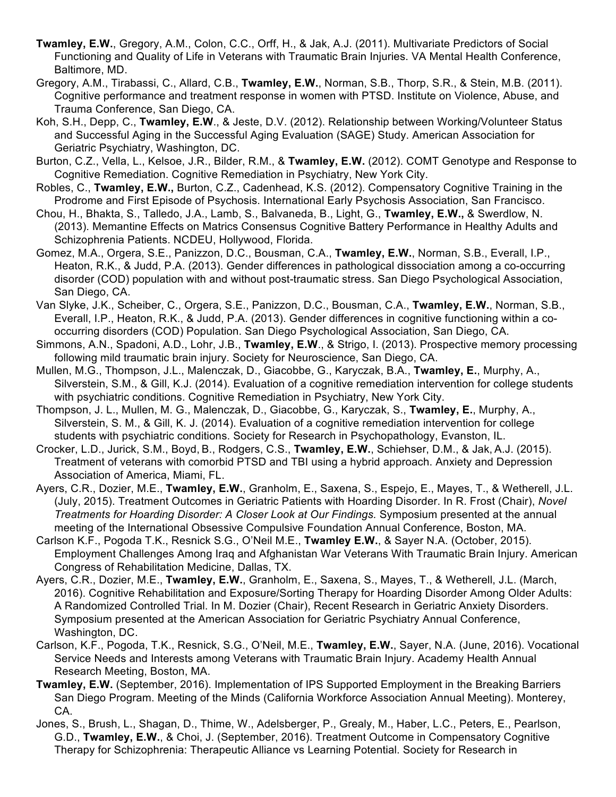- **Twamley, E.W.**, Gregory, A.M., Colon, C.C., Orff, H., & Jak, A.J. (2011). Multivariate Predictors of Social Functioning and Quality of Life in Veterans with Traumatic Brain Injuries. VA Mental Health Conference, Baltimore, MD.
- Gregory, A.M., Tirabassi, C., Allard, C.B., **Twamley, E.W.**, Norman, S.B., Thorp, S.R., & Stein, M.B. (2011). Cognitive performance and treatment response in women with PTSD. Institute on Violence, Abuse, and Trauma Conference, San Diego, CA.
- Koh, S.H., Depp, C., **Twamley, E.W**., & Jeste, D.V. (2012). Relationship between Working/Volunteer Status and Successful Aging in the Successful Aging Evaluation (SAGE) Study. American Association for Geriatric Psychiatry, Washington, DC.
- Burton, C.Z., Vella, L., Kelsoe, J.R., Bilder, R.M., & **Twamley, E.W.** (2012). COMT Genotype and Response to Cognitive Remediation. Cognitive Remediation in Psychiatry, New York City.
- Robles, C., **Twamley, E.W.,** Burton, C.Z., Cadenhead, K.S. (2012). Compensatory Cognitive Training in the Prodrome and First Episode of Psychosis. International Early Psychosis Association, San Francisco.
- Chou, H., Bhakta, S., Talledo, J.A., Lamb, S., Balvaneda, B., Light, G., **Twamley, E.W.,** & Swerdlow, N. (2013). Memantine Effects on Matrics Consensus Cognitive Battery Performance in Healthy Adults and Schizophrenia Patients. NCDEU, Hollywood, Florida.
- Gomez, M.A., Orgera, S.E., Panizzon, D.C., Bousman, C.A., **Twamley, E.W.**, Norman, S.B., Everall, I.P., Heaton, R.K., & Judd, P.A. (2013). Gender differences in pathological dissociation among a co-occurring disorder (COD) population with and without post-traumatic stress. San Diego Psychological Association, San Diego, CA.
- Van Slyke, J.K., Scheiber, C., Orgera, S.E., Panizzon, D.C., Bousman, C.A., **Twamley, E.W.**, Norman, S.B., Everall, I.P., Heaton, R.K., & Judd, P.A. (2013). Gender differences in cognitive functioning within a cooccurring disorders (COD) Population. San Diego Psychological Association, San Diego, CA.
- Simmons, A.N., Spadoni, A.D., Lohr, J.B., **Twamley, E.W**., & Strigo, I. (2013). Prospective memory processing following mild traumatic brain injury. Society for Neuroscience, San Diego, CA.
- Mullen, M.G., Thompson, J.L., Malenczak, D., Giacobbe, G., Karyczak, B.A., **Twamley, E.**, Murphy, A., Silverstein, S.M., & Gill, K.J. (2014). Evaluation of a cognitive remediation intervention for college students with psychiatric conditions. Cognitive Remediation in Psychiatry, New York City.
- Thompson, J. L., Mullen, M. G., Malenczak, D., Giacobbe, G., Karyczak, S., **Twamley, E.**, Murphy, A., Silverstein, S. M., & Gill, K. J. (2014). Evaluation of a cognitive remediation intervention for college students with psychiatric conditions. Society for Research in Psychopathology, Evanston, IL.
- Crocker, L.D., Jurick, S.M., Boyd, B., Rodgers, C.S., **Twamley, E.W.**, Schiehser, D.M., & Jak, A.J. (2015). Treatment of veterans with comorbid PTSD and TBI using a hybrid approach. Anxiety and Depression Association of America, Miami, FL.
- Ayers, C.R., Dozier, M.E., **Twamley, E.W.**, Granholm, E., Saxena, S., Espejo, E., Mayes, T., & Wetherell, J.L. (July, 2015). Treatment Outcomes in Geriatric Patients with Hoarding Disorder. In R. Frost (Chair), *Novel Treatments for Hoarding Disorder: A Closer Look at Our Findings.* Symposium presented at the annual meeting of the International Obsessive Compulsive Foundation Annual Conference, Boston, MA.
- Carlson K.F., Pogoda T.K., Resnick S.G., O'Neil M.E., **Twamley E.W.**, & Sayer N.A. (October, 2015). Employment Challenges Among Iraq and Afghanistan War Veterans With Traumatic Brain Injury. American Congress of Rehabilitation Medicine, Dallas, TX.
- Ayers, C.R., Dozier, M.E., **Twamley, E.W.**, Granholm, E., Saxena, S., Mayes, T., & Wetherell, J.L. (March, 2016). Cognitive Rehabilitation and Exposure/Sorting Therapy for Hoarding Disorder Among Older Adults: A Randomized Controlled Trial. In M. Dozier (Chair), Recent Research in Geriatric Anxiety Disorders. Symposium presented at the American Association for Geriatric Psychiatry Annual Conference, Washington, DC.
- Carlson, K.F., Pogoda, T.K., Resnick, S.G., O'Neil, M.E., **Twamley, E.W.**, Sayer, N.A. (June, 2016). Vocational Service Needs and Interests among Veterans with Traumatic Brain Injury. Academy Health Annual Research Meeting, Boston, MA.
- **Twamley, E.W.** (September, 2016). Implementation of IPS Supported Employment in the Breaking Barriers San Diego Program. Meeting of the Minds (California Workforce Association Annual Meeting). Monterey, CA.
- Jones, S., Brush, L., Shagan, D., Thime, W., Adelsberger, P., Grealy, M., Haber, L.C., Peters, E., Pearlson, G.D., **Twamley, E.W.**, & Choi, J. (September, 2016). Treatment Outcome in Compensatory Cognitive Therapy for Schizophrenia: Therapeutic Alliance vs Learning Potential. Society for Research in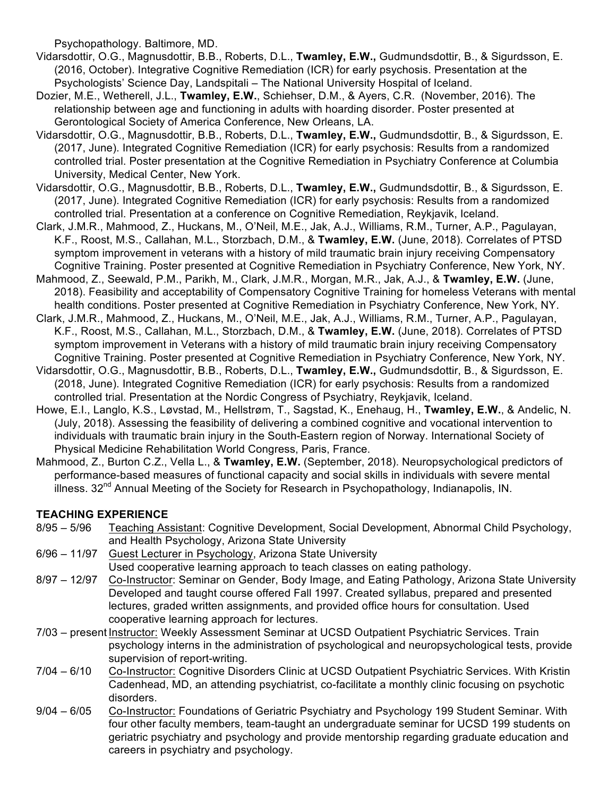Psychopathology. Baltimore, MD.

- Vidarsdottir, O.G., Magnusdottir, B.B., Roberts, D.L., **Twamley, E.W.,** Gudmundsdottir, B., & Sigurdsson, E. (2016, October). Integrative Cognitive Remediation (ICR) for early psychosis. Presentation at the Psychologists' Science Day, Landspitali – The National University Hospital of Iceland.
- Dozier, M.E., Wetherell, J.L., **Twamley, E.W.**, Schiehser, D.M., & Ayers, C.R. (November, 2016). The relationship between age and functioning in adults with hoarding disorder. Poster presented at Gerontological Society of America Conference, New Orleans, LA.
- Vidarsdottir, O.G., Magnusdottir, B.B., Roberts, D.L., **Twamley, E.W.,** Gudmundsdottir, B., & Sigurdsson, E. (2017, June). Integrated Cognitive Remediation (ICR) for early psychosis: Results from a randomized controlled trial. Poster presentation at the Cognitive Remediation in Psychiatry Conference at Columbia University, Medical Center, New York.
- Vidarsdottir, O.G., Magnusdottir, B.B., Roberts, D.L., **Twamley, E.W.,** Gudmundsdottir, B., & Sigurdsson, E. (2017, June). Integrated Cognitive Remediation (ICR) for early psychosis: Results from a randomized controlled trial. Presentation at a conference on Cognitive Remediation, Reykjavik, Iceland.
- Clark, J.M.R., Mahmood, Z., Huckans, M., O'Neil, M.E., Jak, A.J., Williams, R.M., Turner, A.P., Pagulayan, K.F., Roost, M.S., Callahan, M.L., Storzbach, D.M., & **Twamley, E.W.** (June, 2018). Correlates of PTSD symptom improvement in veterans with a history of mild traumatic brain injury receiving Compensatory Cognitive Training. Poster presented at Cognitive Remediation in Psychiatry Conference, New York, NY.
- Mahmood, Z., Seewald, P.M., Parikh, M., Clark, J.M.R., Morgan, M.R., Jak, A.J., & **Twamley, E.W.** (June, 2018). Feasibility and acceptability of Compensatory Cognitive Training for homeless Veterans with mental health conditions. Poster presented at Cognitive Remediation in Psychiatry Conference, New York, NY.
- Clark, J.M.R., Mahmood, Z., Huckans, M., O'Neil, M.E., Jak, A.J., Williams, R.M., Turner, A.P., Pagulayan, K.F., Roost, M.S., Callahan, M.L., Storzbach, D.M., & **Twamley, E.W.** (June, 2018). Correlates of PTSD symptom improvement in Veterans with a history of mild traumatic brain injury receiving Compensatory Cognitive Training. Poster presented at Cognitive Remediation in Psychiatry Conference, New York, NY.
- Vidarsdottir, O.G., Magnusdottir, B.B., Roberts, D.L., **Twamley, E.W.,** Gudmundsdottir, B., & Sigurdsson, E. (2018, June). Integrated Cognitive Remediation (ICR) for early psychosis: Results from a randomized controlled trial. Presentation at the Nordic Congress of Psychiatry, Reykjavik, Iceland.
- Howe, E.I., Langlo, K.S., Løvstad, M., Hellstrøm, T., Sagstad, K., Enehaug, H., **Twamley, E.W.**, & Andelic, N. (July, 2018). Assessing the feasibility of delivering a combined cognitive and vocational intervention to individuals with traumatic brain injury in the South-Eastern region of Norway. International Society of Physical Medicine Rehabilitation World Congress, Paris, France.
- Mahmood, Z., Burton C.Z., Vella L., & **Twamley, E.W.** (September, 2018). Neuropsychological predictors of performance-based measures of functional capacity and social skills in individuals with severe mental illness. 32<sup>nd</sup> Annual Meeting of the Society for Research in Psychopathology, Indianapolis, IN.

## **TEACHING EXPERIENCE**

- 8/95 5/96 Teaching Assistant: Cognitive Development, Social Development, Abnormal Child Psychology, and Health Psychology, Arizona State University
- 6/96 11/97 Guest Lecturer in Psychology, Arizona State University Used cooperative learning approach to teach classes on eating pathology.
- 8/97 12/97 Co-Instructor: Seminar on Gender, Body Image, and Eating Pathology, Arizona State University Developed and taught course offered Fall 1997. Created syllabus, prepared and presented lectures, graded written assignments, and provided office hours for consultation. Used cooperative learning approach for lectures.
- 7/03 present Instructor: Weekly Assessment Seminar at UCSD Outpatient Psychiatric Services. Train psychology interns in the administration of psychological and neuropsychological tests, provide supervision of report-writing.
- 7/04 6/10 Co-Instructor: Cognitive Disorders Clinic at UCSD Outpatient Psychiatric Services. With Kristin Cadenhead, MD, an attending psychiatrist, co-facilitate a monthly clinic focusing on psychotic disorders.
- 9/04 6/05 Co-Instructor: Foundations of Geriatric Psychiatry and Psychology 199 Student Seminar. With four other faculty members, team-taught an undergraduate seminar for UCSD 199 students on geriatric psychiatry and psychology and provide mentorship regarding graduate education and careers in psychiatry and psychology.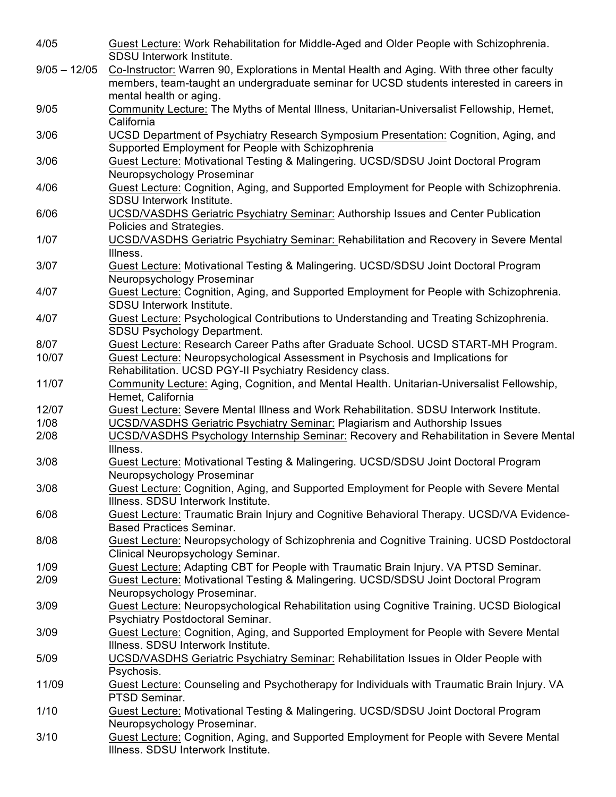| 4/05           | Guest Lecture: Work Rehabilitation for Middle-Aged and Older People with Schizophrenia.<br>SDSU Interwork Institute.                                                                    |
|----------------|-----------------------------------------------------------------------------------------------------------------------------------------------------------------------------------------|
| $9/05 - 12/05$ | Co-Instructor: Warren 90, Explorations in Mental Health and Aging. With three other faculty<br>members, team-taught an undergraduate seminar for UCSD students interested in careers in |
|                | mental health or aging.                                                                                                                                                                 |
| 9/05           | Community Lecture: The Myths of Mental Illness, Unitarian-Universalist Fellowship, Hemet,<br>California                                                                                 |
| 3/06           | <b>UCSD Department of Psychiatry Research Symposium Presentation: Cognition, Aging, and</b><br>Supported Employment for People with Schizophrenia                                       |
| 3/06           | Guest Lecture: Motivational Testing & Malingering. UCSD/SDSU Joint Doctoral Program<br>Neuropsychology Proseminar                                                                       |
| 4/06           | Guest Lecture: Cognition, Aging, and Supported Employment for People with Schizophrenia.<br>SDSU Interwork Institute.                                                                   |
| 6/06           | UCSD/VASDHS Geriatric Psychiatry Seminar: Authorship Issues and Center Publication<br>Policies and Strategies.                                                                          |
| 1/07           | UCSD/VASDHS Geriatric Psychiatry Seminar: Rehabilitation and Recovery in Severe Mental<br>Illness.                                                                                      |
| 3/07           | Guest Lecture: Motivational Testing & Malingering. UCSD/SDSU Joint Doctoral Program<br>Neuropsychology Proseminar                                                                       |
| 4/07           | Guest Lecture: Cognition, Aging, and Supported Employment for People with Schizophrenia.<br>SDSU Interwork Institute.                                                                   |
| 4/07           | Guest Lecture: Psychological Contributions to Understanding and Treating Schizophrenia.<br><b>SDSU Psychology Department.</b>                                                           |
| 8/07           | Guest Lecture: Research Career Paths after Graduate School. UCSD START-MH Program.                                                                                                      |
| 10/07          | Guest Lecture: Neuropsychological Assessment in Psychosis and Implications for<br>Rehabilitation. UCSD PGY-II Psychiatry Residency class.                                               |
| 11/07          | Community Lecture: Aging, Cognition, and Mental Health. Unitarian-Universalist Fellowship,<br>Hemet, California                                                                         |
| 12/07          | Guest Lecture: Severe Mental Illness and Work Rehabilitation. SDSU Interwork Institute.                                                                                                 |
| 1/08           | UCSD/VASDHS Geriatric Psychiatry Seminar: Plagiarism and Authorship Issues                                                                                                              |
| 2/08           | UCSD/VASDHS Psychology Internship Seminar: Recovery and Rehabilitation in Severe Mental<br>Illness.                                                                                     |
| 3/08           | Guest Lecture: Motivational Testing & Malingering. UCSD/SDSU Joint Doctoral Program<br>Neuropsychology Proseminar                                                                       |
| 3/08           | Guest Lecture: Cognition, Aging, and Supported Employment for People with Severe Mental<br>Illness. SDSU Interwork Institute.                                                           |
| 6/08           | Guest Lecture: Traumatic Brain Injury and Cognitive Behavioral Therapy. UCSD/VA Evidence-<br><b>Based Practices Seminar.</b>                                                            |
| 8/08           | Guest Lecture: Neuropsychology of Schizophrenia and Cognitive Training. UCSD Postdoctoral<br>Clinical Neuropsychology Seminar.                                                          |
| 1/09           | Guest Lecture: Adapting CBT for People with Traumatic Brain Injury. VA PTSD Seminar.                                                                                                    |
| 2/09           | Guest Lecture: Motivational Testing & Malingering. UCSD/SDSU Joint Doctoral Program<br>Neuropsychology Proseminar.                                                                      |
| 3/09           | Guest Lecture: Neuropsychological Rehabilitation using Cognitive Training. UCSD Biological<br>Psychiatry Postdoctoral Seminar.                                                          |
| 3/09           | Guest Lecture: Cognition, Aging, and Supported Employment for People with Severe Mental<br>Illness. SDSU Interwork Institute.                                                           |
| 5/09           | UCSD/VASDHS Geriatric Psychiatry Seminar: Rehabilitation Issues in Older People with<br>Psychosis.                                                                                      |
| 11/09          | Guest Lecture: Counseling and Psychotherapy for Individuals with Traumatic Brain Injury. VA<br>PTSD Seminar.                                                                            |
| 1/10           | Guest Lecture: Motivational Testing & Malingering. UCSD/SDSU Joint Doctoral Program<br>Neuropsychology Proseminar.                                                                      |
| 3/10           | Guest Lecture: Cognition, Aging, and Supported Employment for People with Severe Mental<br>Illness. SDSU Interwork Institute.                                                           |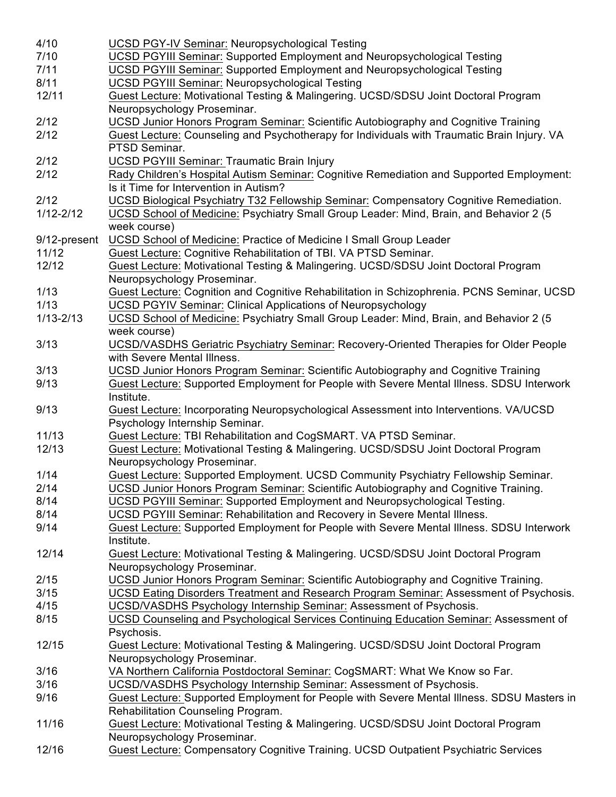| 4/10          | <b>UCSD PGY-IV Seminar: Neuropsychological Testing</b>                                      |  |  |  |  |
|---------------|---------------------------------------------------------------------------------------------|--|--|--|--|
| 7/10          | <b>UCSD PGYIII Seminar: Supported Employment and Neuropsychological Testing</b>             |  |  |  |  |
| 7/11          | UCSD PGYIII Seminar: Supported Employment and Neuropsychological Testing                    |  |  |  |  |
| 8/11          | UCSD PGYIII Seminar: Neuropsychological Testing                                             |  |  |  |  |
| 12/11         | Guest Lecture: Motivational Testing & Malingering. UCSD/SDSU Joint Doctoral Program         |  |  |  |  |
|               | Neuropsychology Proseminar.                                                                 |  |  |  |  |
| 2/12          | <b>UCSD Junior Honors Program Seminar: Scientific Autobiography and Cognitive Training</b>  |  |  |  |  |
| 2/12          | Guest Lecture: Counseling and Psychotherapy for Individuals with Traumatic Brain Injury. VA |  |  |  |  |
|               | PTSD Seminar.                                                                               |  |  |  |  |
|               |                                                                                             |  |  |  |  |
| 2/12          | <b>UCSD PGYIII Seminar: Traumatic Brain Injury</b>                                          |  |  |  |  |
| 2/12          | Rady Children's Hospital Autism Seminar: Cognitive Remediation and Supported Employment:    |  |  |  |  |
|               | Is it Time for Intervention in Autism?                                                      |  |  |  |  |
| 2/12          | UCSD Biological Psychiatry T32 Fellowship Seminar: Compensatory Cognitive Remediation.      |  |  |  |  |
| $1/12 - 2/12$ | UCSD School of Medicine: Psychiatry Small Group Leader: Mind, Brain, and Behavior 2 (5      |  |  |  |  |
|               | week course)                                                                                |  |  |  |  |
| 9/12-present  | UCSD School of Medicine: Practice of Medicine I Small Group Leader                          |  |  |  |  |
| 11/12         | Guest Lecture: Cognitive Rehabilitation of TBI. VA PTSD Seminar.                            |  |  |  |  |
| 12/12         | Guest Lecture: Motivational Testing & Malingering. UCSD/SDSU Joint Doctoral Program         |  |  |  |  |
|               |                                                                                             |  |  |  |  |
|               | Neuropsychology Proseminar.                                                                 |  |  |  |  |
| 1/13          | Guest Lecture: Cognition and Cognitive Rehabilitation in Schizophrenia. PCNS Seminar, UCSD  |  |  |  |  |
| 1/13          | <b>UCSD PGYIV Seminar: Clinical Applications of Neuropsychology</b>                         |  |  |  |  |
| $1/13 - 2/13$ | UCSD School of Medicine: Psychiatry Small Group Leader: Mind, Brain, and Behavior 2 (5      |  |  |  |  |
|               | week course)                                                                                |  |  |  |  |
| 3/13          | UCSD/VASDHS Geriatric Psychiatry Seminar: Recovery-Oriented Therapies for Older People      |  |  |  |  |
|               | with Severe Mental Illness.                                                                 |  |  |  |  |
| 3/13          | UCSD Junior Honors Program Seminar: Scientific Autobiography and Cognitive Training         |  |  |  |  |
| 9/13          | Guest Lecture: Supported Employment for People with Severe Mental Illness. SDSU Interwork   |  |  |  |  |
|               |                                                                                             |  |  |  |  |
|               | Institute.                                                                                  |  |  |  |  |
| 9/13          | Guest Lecture: Incorporating Neuropsychological Assessment into Interventions. VA/UCSD      |  |  |  |  |
|               | Psychology Internship Seminar.                                                              |  |  |  |  |
| 11/13         | Guest Lecture: TBI Rehabilitation and CogSMART. VA PTSD Seminar.                            |  |  |  |  |
| 12/13         | Guest Lecture: Motivational Testing & Malingering. UCSD/SDSU Joint Doctoral Program         |  |  |  |  |
|               | Neuropsychology Proseminar.                                                                 |  |  |  |  |
| 1/14          | Guest Lecture: Supported Employment. UCSD Community Psychiatry Fellowship Seminar.          |  |  |  |  |
| 2/14          | UCSD Junior Honors Program Seminar: Scientific Autobiography and Cognitive Training.        |  |  |  |  |
| 8/14          | UCSD PGYIII Seminar: Supported Employment and Neuropsychological Testing.                   |  |  |  |  |
| 8/14          | UCSD PGYIII Seminar: Rehabilitation and Recovery in Severe Mental Illness.                  |  |  |  |  |
|               |                                                                                             |  |  |  |  |
| 9/14          | Guest Lecture: Supported Employment for People with Severe Mental Illness. SDSU Interwork   |  |  |  |  |
|               | Institute.                                                                                  |  |  |  |  |
| 12/14         | Guest Lecture: Motivational Testing & Malingering. UCSD/SDSU Joint Doctoral Program         |  |  |  |  |
|               | Neuropsychology Proseminar.                                                                 |  |  |  |  |
| 2/15          | UCSD Junior Honors Program Seminar: Scientific Autobiography and Cognitive Training.        |  |  |  |  |
| 3/15          | UCSD Eating Disorders Treatment and Research Program Seminar: Assessment of Psychosis.      |  |  |  |  |
| 4/15          | UCSD/VASDHS Psychology Internship Seminar: Assessment of Psychosis.                         |  |  |  |  |
| 8/15          | UCSD Counseling and Psychological Services Continuing Education Seminar: Assessment of      |  |  |  |  |
|               | Psychosis.                                                                                  |  |  |  |  |
|               |                                                                                             |  |  |  |  |
| 12/15         | Guest Lecture: Motivational Testing & Malingering. UCSD/SDSU Joint Doctoral Program         |  |  |  |  |
|               | Neuropsychology Proseminar.                                                                 |  |  |  |  |
| 3/16          | VA Northern California Postdoctoral Seminar: CogSMART: What We Know so Far.                 |  |  |  |  |
| 3/16          | UCSD/VASDHS Psychology Internship Seminar: Assessment of Psychosis.                         |  |  |  |  |
| 9/16          | Guest Lecture: Supported Employment for People with Severe Mental Illness. SDSU Masters in  |  |  |  |  |
|               | Rehabilitation Counseling Program.                                                          |  |  |  |  |
| 11/16         | Guest Lecture: Motivational Testing & Malingering. UCSD/SDSU Joint Doctoral Program         |  |  |  |  |
|               | Neuropsychology Proseminar.                                                                 |  |  |  |  |
| 12/16         | Guest Lecture: Compensatory Cognitive Training. UCSD Outpatient Psychiatric Services        |  |  |  |  |
|               |                                                                                             |  |  |  |  |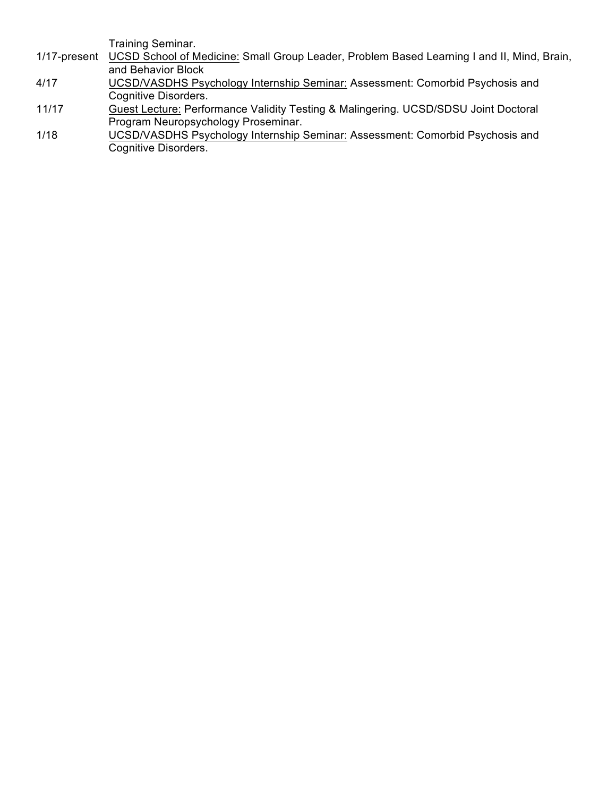Training Seminar.

- 1/17-present UCSD School of Medicine: Small Group Leader, Problem Based Learning I and II, Mind, Brain, and Behavior Block
- 4/17 UCSD/VASDHS Psychology Internship Seminar: Assessment: Comorbid Psychosis and Cognitive Disorders.
- 11/17 Guest Lecture: Performance Validity Testing & Malingering. UCSD/SDSU Joint Doctoral Program Neuropsychology Proseminar.
- 1/18 UCSD/VASDHS Psychology Internship Seminar: Assessment: Comorbid Psychosis and Cognitive Disorders.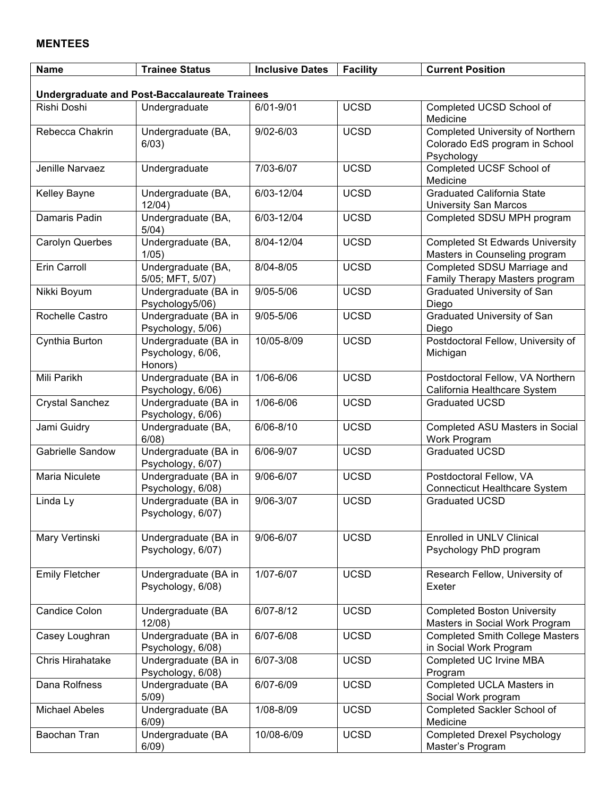#### **MENTEES**

| <b>Name</b>                                          | <b>Trainee Status</b>                                | <b>Inclusive Dates</b> | <b>Facility</b> | <b>Current Position</b>                                                          |  |
|------------------------------------------------------|------------------------------------------------------|------------------------|-----------------|----------------------------------------------------------------------------------|--|
| <b>Undergraduate and Post-Baccalaureate Trainees</b> |                                                      |                        |                 |                                                                                  |  |
| Rishi Doshi                                          | Undergraduate                                        | 6/01-9/01              | <b>UCSD</b>     | Completed UCSD School of<br>Medicine                                             |  |
| Rebecca Chakrin                                      | Undergraduate (BA,<br>6/03)                          | $9/02 - 6/03$          | <b>UCSD</b>     | Completed University of Northern<br>Colorado EdS program in School<br>Psychology |  |
| Jenille Narvaez                                      | Undergraduate                                        | 7/03-6/07              | <b>UCSD</b>     | Completed UCSF School of<br>Medicine                                             |  |
| Kelley Bayne                                         | Undergraduate (BA,<br>12/04)                         | 6/03-12/04             | <b>UCSD</b>     | <b>Graduated California State</b><br><b>University San Marcos</b>                |  |
| Damaris Padin                                        | Undergraduate (BA,<br>5/04)                          | 6/03-12/04             | <b>UCSD</b>     | Completed SDSU MPH program                                                       |  |
| <b>Carolyn Querbes</b>                               | Undergraduate (BA,<br>1/05                           | 8/04-12/04             | <b>UCSD</b>     | <b>Completed St Edwards University</b><br>Masters in Counseling program          |  |
| Erin Carroll                                         | Undergraduate (BA,<br>5/05; MFT, 5/07)               | 8/04-8/05              | <b>UCSD</b>     | Completed SDSU Marriage and<br>Family Therapy Masters program                    |  |
| Nikki Boyum                                          | Undergraduate (BA in<br>Psychology5/06)              | $9/05 - 5/06$          | <b>UCSD</b>     | <b>Graduated University of San</b><br>Diego                                      |  |
| Rochelle Castro                                      | Undergraduate (BA in<br>Psychology, 5/06)            | $9/05 - 5/06$          | <b>UCSD</b>     | Graduated University of San<br>Diego                                             |  |
| Cynthia Burton                                       | Undergraduate (BA in<br>Psychology, 6/06,<br>Honors) | 10/05-8/09             | <b>UCSD</b>     | Postdoctoral Fellow, University of<br>Michigan                                   |  |
| Mili Parikh                                          | Undergraduate (BA in<br>Psychology, 6/06)            | 1/06-6/06              | <b>UCSD</b>     | Postdoctoral Fellow, VA Northern<br>California Healthcare System                 |  |
| <b>Crystal Sanchez</b>                               | Undergraduate (BA in<br>Psychology, 6/06)            | 1/06-6/06              | <b>UCSD</b>     | <b>Graduated UCSD</b>                                                            |  |
| Jami Guidry                                          | Undergraduate (BA,<br>$6/08$ )                       | $6/06 - 8/10$          | <b>UCSD</b>     | Completed ASU Masters in Social<br>Work Program                                  |  |
| Gabrielle Sandow                                     | Undergraduate (BA in<br>Psychology, 6/07)            | 6/06-9/07              | <b>UCSD</b>     | <b>Graduated UCSD</b>                                                            |  |
| Maria Niculete                                       | Undergraduate (BA in<br>Psychology, 6/08)            | 9/06-6/07              | <b>UCSD</b>     | Postdoctoral Fellow, VA<br><b>Connecticut Healthcare System</b>                  |  |
| Linda Ly                                             | Undergraduate (BA in<br>Psychology, 6/07)            | 9/06-3/07              | <b>UCSD</b>     | <b>Graduated UCSD</b>                                                            |  |
| Mary Vertinski                                       | Undergraduate (BA in<br>Psychology, 6/07)            | 9/06-6/07              | <b>UCSD</b>     | Enrolled in UNLV Clinical<br>Psychology PhD program                              |  |
| <b>Emily Fletcher</b>                                | Undergraduate (BA in<br>Psychology, 6/08)            | 1/07-6/07              | <b>UCSD</b>     | Research Fellow, University of<br>Exeter                                         |  |
| Candice Colon                                        | Undergraduate (BA<br>$12/08$ )                       | $6/07 - 8/12$          | <b>UCSD</b>     | <b>Completed Boston University</b><br>Masters in Social Work Program             |  |
| Casey Loughran                                       | Undergraduate (BA in<br>Psychology, 6/08)            | 6/07-6/08              | <b>UCSD</b>     | <b>Completed Smith College Masters</b><br>in Social Work Program                 |  |
| Chris Hirahatake                                     | Undergraduate (BA in<br>Psychology, 6/08)            | 6/07-3/08              | <b>UCSD</b>     | Completed UC Irvine MBA<br>Program                                               |  |
| Dana Rolfness                                        | Undergraduate (BA<br>$5/09$ )                        | 6/07-6/09              | <b>UCSD</b>     | Completed UCLA Masters in<br>Social Work program                                 |  |
| <b>Michael Abeles</b>                                | Undergraduate (BA<br>6/09)                           | 1/08-8/09              | <b>UCSD</b>     | Completed Sackler School of<br>Medicine                                          |  |
| Baochan Tran                                         | Undergraduate (BA<br>6/09)                           | 10/08-6/09             | <b>UCSD</b>     | <b>Completed Drexel Psychology</b><br>Master's Program                           |  |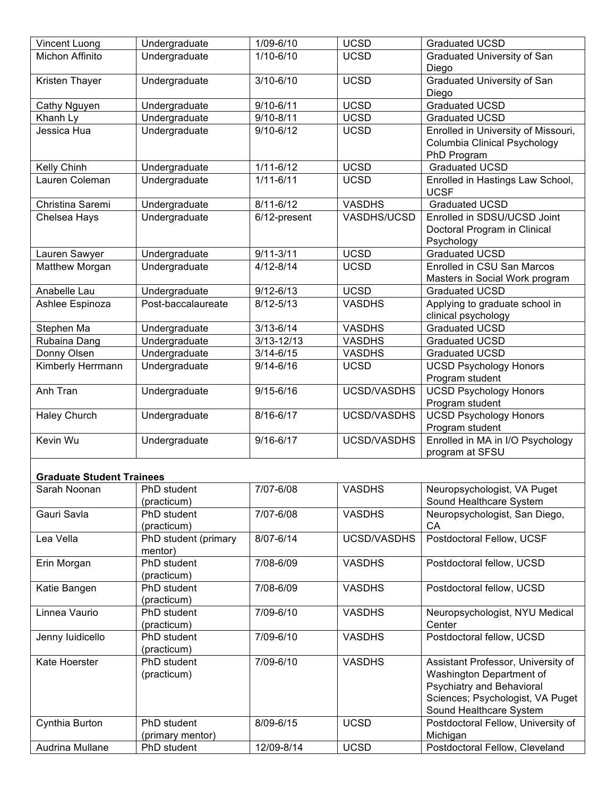| Vincent Luong                    | Undergraduate                   | 1/09-6/10      | <b>UCSD</b>        | <b>Graduated UCSD</b>                                                                                                                                             |
|----------------------------------|---------------------------------|----------------|--------------------|-------------------------------------------------------------------------------------------------------------------------------------------------------------------|
| Michon Affinito                  | Undergraduate                   | $1/10 - 6/10$  | <b>UCSD</b>        | Graduated University of San<br>Diego                                                                                                                              |
| Kristen Thayer                   | Undergraduate                   | $3/10 - 6/10$  | <b>UCSD</b>        | Graduated University of San<br>Diego                                                                                                                              |
| Cathy Nguyen                     | Undergraduate                   | $9/10 - 6/11$  | <b>UCSD</b>        | <b>Graduated UCSD</b>                                                                                                                                             |
| Khanh Ly                         | Undergraduate                   | $9/10 - 8/11$  | <b>UCSD</b>        | <b>Graduated UCSD</b>                                                                                                                                             |
| Jessica Hua                      | Undergraduate                   | $9/10 - 6/12$  | <b>UCSD</b>        | Enrolled in University of Missouri,<br>Columbia Clinical Psychology<br>PhD Program                                                                                |
| Kelly Chinh                      | Undergraduate                   | $1/11 - 6/12$  | <b>UCSD</b>        | <b>Graduated UCSD</b>                                                                                                                                             |
| Lauren Coleman                   | Undergraduate                   | $1/11 - 6/11$  | <b>UCSD</b>        | Enrolled in Hastings Law School,<br><b>UCSF</b>                                                                                                                   |
| Christina Saremi                 | Undergraduate                   | $8/11 - 6/12$  | <b>VASDHS</b>      | <b>Graduated UCSD</b>                                                                                                                                             |
| Chelsea Hays                     | Undergraduate                   | 6/12-present   | VASDHS/UCSD        | Enrolled in SDSU/UCSD Joint<br>Doctoral Program in Clinical<br>Psychology                                                                                         |
| Lauren Sawyer                    | Undergraduate                   | $9/11 - 3/11$  | <b>UCSD</b>        | <b>Graduated UCSD</b>                                                                                                                                             |
| Matthew Morgan                   | Undergraduate                   | $4/12 - 8/14$  | <b>UCSD</b>        | Enrolled in CSU San Marcos<br>Masters in Social Work program                                                                                                      |
| Anabelle Lau                     | Undergraduate                   | $9/12 - 6/13$  | <b>UCSD</b>        | <b>Graduated UCSD</b>                                                                                                                                             |
| Ashlee Espinoza                  | Post-baccalaureate              | $8/12 - 5/13$  | <b>VASDHS</b>      | Applying to graduate school in<br>clinical psychology                                                                                                             |
| Stephen Ma                       | Undergraduate                   | $3/13 - 6/14$  | <b>VASDHS</b>      | <b>Graduated UCSD</b>                                                                                                                                             |
| Rubaina Dang                     | Undergraduate                   | $3/13 - 12/13$ | <b>VASDHS</b>      | Graduated UCSD                                                                                                                                                    |
| Donny Olsen                      | Undergraduate                   | $3/14 - 6/15$  | <b>VASDHS</b>      | <b>Graduated UCSD</b>                                                                                                                                             |
| Kimberly Herrmann                | Undergraduate                   | $9/14 - 6/16$  | <b>UCSD</b>        | <b>UCSD Psychology Honors</b><br>Program student                                                                                                                  |
| Anh Tran                         | Undergraduate                   | $9/15 - 6/16$  | <b>UCSD/VASDHS</b> | <b>UCSD Psychology Honors</b><br>Program student                                                                                                                  |
| <b>Haley Church</b>              | Undergraduate                   | 8/16-6/17      | UCSD/VASDHS        | <b>UCSD Psychology Honors</b><br>Program student                                                                                                                  |
| Kevin Wu                         | Undergraduate                   | $9/16 - 6/17$  | UCSD/VASDHS        | Enrolled in MA in I/O Psychology<br>program at SFSU                                                                                                               |
| <b>Graduate Student Trainees</b> |                                 |                |                    |                                                                                                                                                                   |
| Sarah Noonan                     | PhD student<br>(practicum)      | 7/07-6/08      | <b>VASDHS</b>      | Neuropsychologist, VA Puget<br>Sound Healthcare System                                                                                                            |
| Gauri Savla                      | PhD student<br>(practicum)      | 7/07-6/08      | <b>VASDHS</b>      | Neuropsychologist, San Diego,<br>CA                                                                                                                               |
| Lea Vella                        | PhD student (primary<br>mentor) | 8/07-6/14      | <b>UCSD/VASDHS</b> | Postdoctoral Fellow, UCSF                                                                                                                                         |
| Erin Morgan                      | PhD student<br>(practicum)      | 7/08-6/09      | <b>VASDHS</b>      | Postdoctoral fellow, UCSD                                                                                                                                         |
| Katie Bangen                     | PhD student<br>(practicum)      | 7/08-6/09      | <b>VASDHS</b>      | Postdoctoral fellow, UCSD                                                                                                                                         |
| Linnea Vaurio                    | PhD student<br>(practicum)      | 7/09-6/10      | <b>VASDHS</b>      | Neuropsychologist, NYU Medical<br>Center                                                                                                                          |
| Jenny luidicello                 | PhD student<br>(practicum)      | 7/09-6/10      | <b>VASDHS</b>      | Postdoctoral fellow, UCSD                                                                                                                                         |
| Kate Hoerster                    | PhD student<br>(practicum)      | 7/09-6/10      | <b>VASDHS</b>      | Assistant Professor, University of<br>Washington Department of<br><b>Psychiatry and Behavioral</b><br>Sciences; Psychologist, VA Puget<br>Sound Healthcare System |
| Cynthia Burton                   | PhD student<br>(primary mentor) | 8/09-6/15      | <b>UCSD</b>        | Postdoctoral Fellow, University of<br>Michigan                                                                                                                    |
| Audrina Mullane                  | PhD student                     | 12/09-8/14     | <b>UCSD</b>        | Postdoctoral Fellow, Cleveland                                                                                                                                    |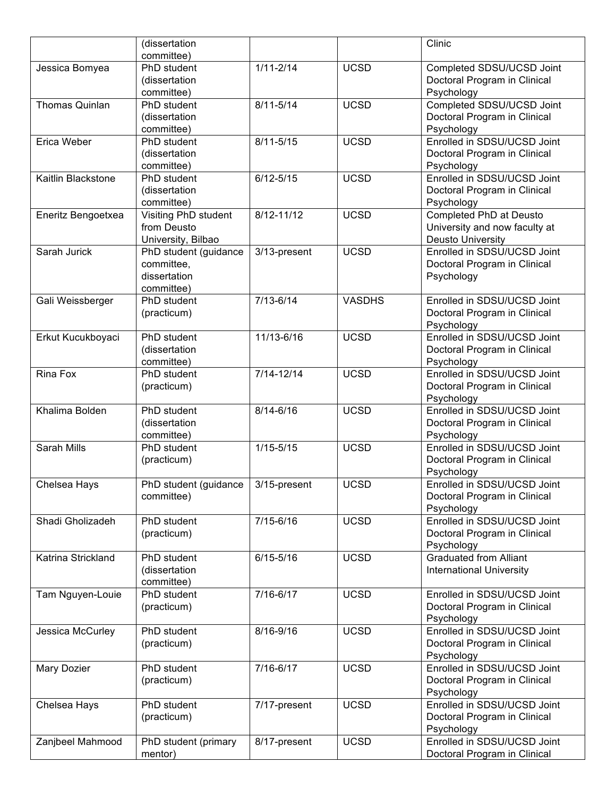|                    | (dissertation          |               |               | Clinic                          |
|--------------------|------------------------|---------------|---------------|---------------------------------|
|                    | committee)             |               |               |                                 |
| Jessica Bomyea     | PhD student            | $1/11 - 2/14$ | <b>UCSD</b>   | Completed SDSU/UCSD Joint       |
|                    | (dissertation          |               |               | Doctoral Program in Clinical    |
|                    | committee)             |               |               | Psychology                      |
| Thomas Quinlan     | PhD student            | $8/11 - 5/14$ | <b>UCSD</b>   | Completed SDSU/UCSD Joint       |
|                    | (dissertation          |               |               | Doctoral Program in Clinical    |
|                    | committee)             |               |               | Psychology                      |
| Erica Weber        | PhD student            | $8/11 - 5/15$ | <b>UCSD</b>   | Enrolled in SDSU/UCSD Joint     |
|                    | (dissertation          |               |               | Doctoral Program in Clinical    |
|                    | committee)             |               |               | Psychology                      |
| Kaitlin Blackstone | PhD student            | $6/12 - 5/15$ | <b>UCSD</b>   | Enrolled in SDSU/UCSD Joint     |
|                    | (dissertation          |               |               | Doctoral Program in Clinical    |
|                    | committee)             |               |               | Psychology                      |
| Eneritz Bengoetxea | Visiting PhD student   | 8/12-11/12    | <b>UCSD</b>   | Completed PhD at Deusto         |
|                    | from Deusto            |               |               | University and now faculty at   |
|                    | University, Bilbao     |               |               | <b>Deusto University</b>        |
| Sarah Jurick       | PhD student (guidance  | 3/13-present  | <b>UCSD</b>   | Enrolled in SDSU/UCSD Joint     |
|                    | committee.             |               |               | Doctoral Program in Clinical    |
|                    | dissertation           |               |               | Psychology                      |
|                    | committee)             |               |               |                                 |
| Gali Weissberger   | PhD student            | $7/13 - 6/14$ | <b>VASDHS</b> | Enrolled in SDSU/UCSD Joint     |
|                    | (practicum)            |               |               | Doctoral Program in Clinical    |
|                    |                        |               |               | Psychology                      |
| Erkut Kucukboyaci  | PhD student            | 11/13-6/16    | <b>UCSD</b>   | Enrolled in SDSU/UCSD Joint     |
|                    | (dissertation          |               |               | Doctoral Program in Clinical    |
|                    | committee)             |               |               | Psychology                      |
| Rina Fox           | PhD student            | 7/14-12/14    | <b>UCSD</b>   | Enrolled in SDSU/UCSD Joint     |
|                    | (practicum)            |               |               | Doctoral Program in Clinical    |
|                    |                        |               |               | Psychology                      |
| Khalima Bolden     | PhD student            | $8/14 - 6/16$ | <b>UCSD</b>   | Enrolled in SDSU/UCSD Joint     |
|                    | (dissertation          |               |               | Doctoral Program in Clinical    |
|                    | committee)             |               |               | Psychology                      |
| Sarah Mills        | PhD student            | $1/15 - 5/15$ | <b>UCSD</b>   | Enrolled in SDSU/UCSD Joint     |
|                    | (practicum)            |               |               | Doctoral Program in Clinical    |
|                    |                        |               |               | Psychology                      |
| Chelsea Hays       | PhD student (guidance) | 3/15-present  | <b>UCSD</b>   | Enrolled in SDSU/UCSD Joint     |
|                    | committee)             |               |               | Doctoral Program in Clinical    |
|                    |                        |               |               | Psychology                      |
| Shadi Gholizadeh   | PhD student            | $7/15 - 6/16$ | <b>UCSD</b>   | Enrolled in SDSU/UCSD Joint     |
|                    | (practicum)            |               |               | Doctoral Program in Clinical    |
|                    |                        |               |               | Psychology                      |
| Katrina Strickland | PhD student            | $6/15 - 5/16$ | <b>UCSD</b>   | <b>Graduated from Alliant</b>   |
|                    | (dissertation          |               |               | <b>International University</b> |
|                    | committee)             |               |               |                                 |
| Tam Nguyen-Louie   | PhD student            | 7/16-6/17     | <b>UCSD</b>   | Enrolled in SDSU/UCSD Joint     |
|                    | (practicum)            |               |               | Doctoral Program in Clinical    |
|                    |                        |               |               | Psychology                      |
| Jessica McCurley   | PhD student            | 8/16-9/16     | <b>UCSD</b>   | Enrolled in SDSU/UCSD Joint     |
|                    | (practicum)            |               |               | Doctoral Program in Clinical    |
|                    |                        |               |               | Psychology                      |
| Mary Dozier        | PhD student            | 7/16-6/17     | <b>UCSD</b>   | Enrolled in SDSU/UCSD Joint     |
|                    | (practicum)            |               |               | Doctoral Program in Clinical    |
|                    |                        |               |               | Psychology                      |
| Chelsea Hays       | PhD student            | 7/17-present  | <b>UCSD</b>   | Enrolled in SDSU/UCSD Joint     |
|                    | (practicum)            |               |               | Doctoral Program in Clinical    |
|                    |                        |               |               | Psychology                      |
| Zanjbeel Mahmood   | PhD student (primary   | 8/17-present  | <b>UCSD</b>   | Enrolled in SDSU/UCSD Joint     |
|                    |                        |               |               |                                 |
|                    | mentor)                |               |               | Doctoral Program in Clinical    |